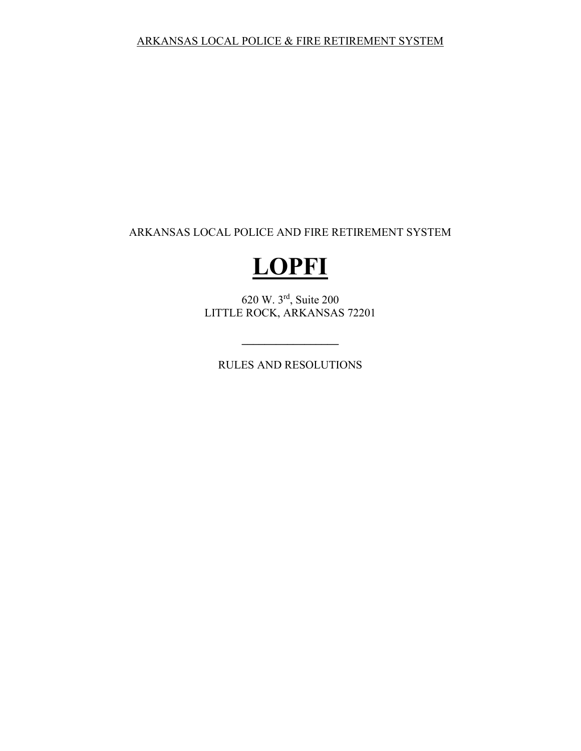ARKANSAS LOCAL POLICE AND FIRE RETIREMENT SYSTEM

# **LOPFI**

620 W. 3rd, Suite 200 LITTLE ROCK, ARKANSAS 72201

RULES AND RESOLUTIONS

**\_\_\_\_\_\_\_\_\_\_\_\_\_\_\_\_\_**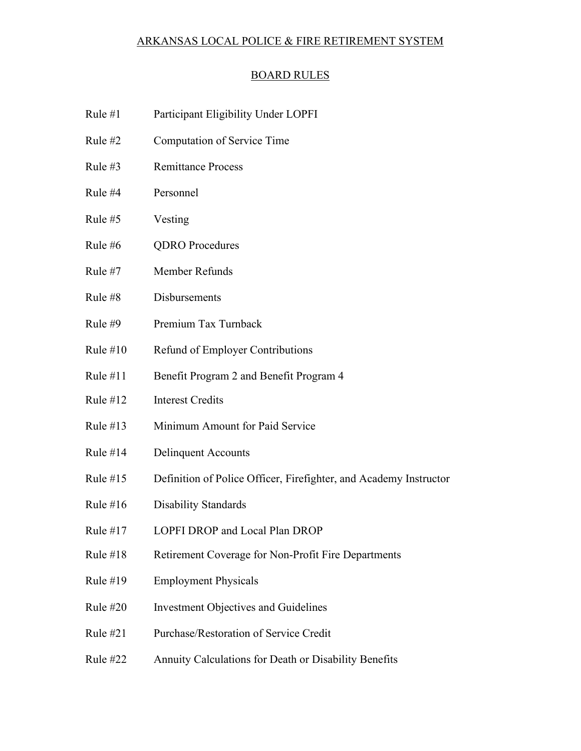#### BOARD RULES

- [Rule #1 Participant Eligibility Under LOPFI](#page-3-0)
- [Rule #2 Computation of Service Time](#page-4-0)
- Rule #3 Remittance Process
- [Rule #4 Personnel](#page-7-0)
- [Rule #5 Vesting](#page-11-0)
- [Rule #6 QDRO Procedures](#page-12-0)
- [Rule #7 Member Refunds](#page-16-0)
- [Rule #8 Disbursements](#page-18-0)
- [Rule #9 Premium Tax Turnback](#page-20-0)
- [Rule #10 Refund of Employer Contributions](#page-22-0)
- [Rule #11 Benefit Program 2 and Benefit Program 4](#page-23-0)
- [Rule #12 Interest Credits](#page-26-0)
- [Rule #13 Minimum Amount for Paid Service](#page-28-0)
- [Rule #14 Delinquent Accounts](#page-29-0)
- [Rule #15 Definition of Police Officer, Firefighter, and Academy Instructor](#page-30-0)
- [Rule #16 Disability Standards](#page-31-0)
- [Rule #17 LOPFI DROP and Local Plan DROP](#page-41-0)
- Rule #18 Retirement Coverage for Non-Profit Fire Departments
- [Rule #19 Employment Physicals](#page-47-0)
- [Rule #20 Investment Objectives and Guidelines](#page-48-0)
- [Rule #21 Purchase/Restoration of Service Credit](#page-56-0)
- [Rule #22 Annuity Calculations for Death or Disability Benefits](#page-57-0)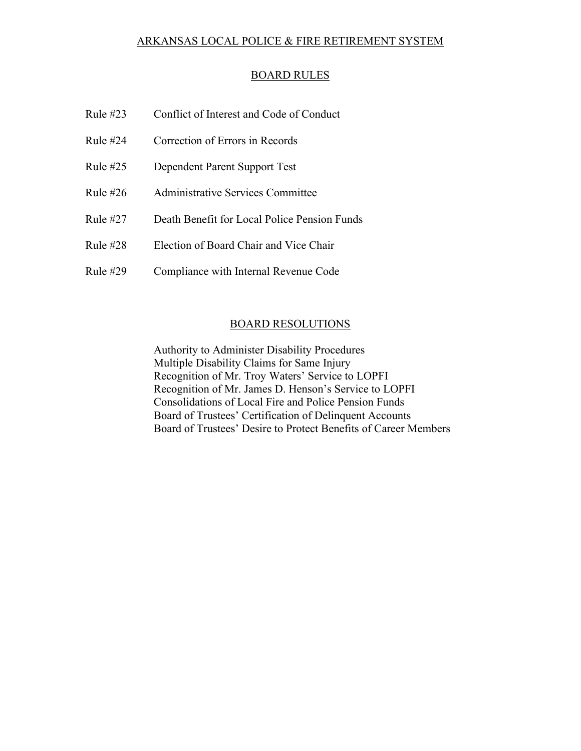#### BOARD RULES

| Rule $#23$ | Conflict of Interest and Code of Conduct     |
|------------|----------------------------------------------|
| Rule $#24$ | Correction of Errors in Records              |
| Rule $#25$ | Dependent Parent Support Test                |
| Rule $#26$ | Administrative Services Committee            |
| Rule $#27$ | Death Benefit for Local Police Pension Funds |
| Rule $#28$ | Election of Board Chair and Vice Chair       |
| Rule $#29$ | Compliance with Internal Revenue Code        |

#### BOARD RESOLUTIONS

 [Authority to Administer Disability Procedures](#page-77-0)  [Multiple Disability Claims for Same Injury](#page-78-0)  [Recognition of Mr. Troy Waters' Service to LOPFI](#page-79-0)  [Recognition of Mr. James D. Henson's Service to LOPFI](#page-80-0)  [Consolidations of Local Fire and Police Pension Funds](#page-81-0)  [Board of Trustees' Certification of Delinquent Accounts](#page-82-0)  [Board of Trustees' Desire to Protect Benefits of Career Members](#page-83-0)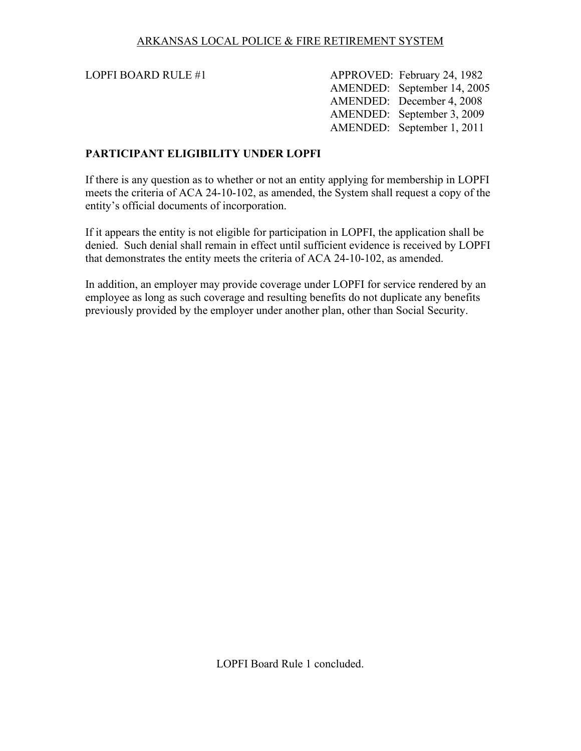<span id="page-3-0"></span>

LOPFI BOARD RULE #1 APPROVED: February 24, 1982 AMENDED: September 14, 2005 AMENDED: December 4, 2008 AMENDED: September 3, 2009 AMENDED: September 1, 2011

#### **PARTICIPANT ELIGIBILITY UNDER LOPFI**

If there is any question as to whether or not an entity applying for membership in LOPFI meets the criteria of ACA 24-10-102, as amended, the System shall request a copy of the entity's official documents of incorporation.

If it appears the entity is not eligible for participation in LOPFI, the application shall be denied. Such denial shall remain in effect until sufficient evidence is received by LOPFI that demonstrates the entity meets the criteria of ACA 24-10-102, as amended.

In addition, an employer may provide coverage under LOPFI for service rendered by an employee as long as such coverage and resulting benefits do not duplicate any benefits previously provided by the employer under another plan, other than Social Security.

LOPFI Board Rule 1 concluded.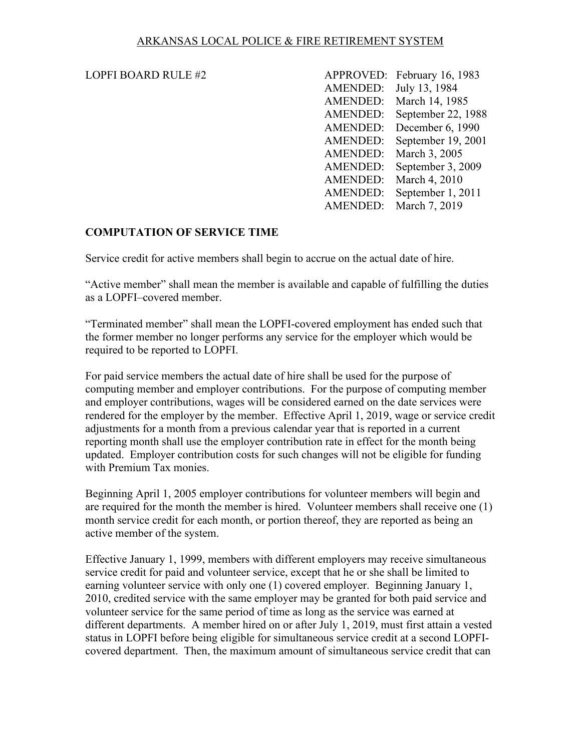#### <span id="page-4-0"></span>LOPFI BOARD RULE  $#2$

| LOPFI BOARD RULE #2 |                        | APPROVED: February 16, 1983 |
|---------------------|------------------------|-----------------------------|
|                     | AMENDED: July 13, 1984 |                             |
|                     |                        | AMENDED: March 14, 1985     |
|                     |                        | AMENDED: September 22, 1988 |
|                     |                        | AMENDED: December 6, 1990   |
|                     |                        | AMENDED: September 19, 2001 |
|                     |                        | AMENDED: March 3, 2005      |
|                     |                        | AMENDED: September 3, 2009  |
|                     |                        | AMENDED: March 4, 2010      |
|                     |                        | AMENDED: September 1, 2011  |
|                     |                        | AMENDED: March 7, 2019      |

# **COMPUTATION OF SERVICE TIME**

Service credit for active members shall begin to accrue on the actual date of hire.

"Active member" shall mean the member is available and capable of fulfilling the duties as a LOPFI–covered member.

"Terminated member" shall mean the LOPFI-covered employment has ended such that the former member no longer performs any service for the employer which would be required to be reported to LOPFI.

For paid service members the actual date of hire shall be used for the purpose of computing member and employer contributions. For the purpose of computing member and employer contributions, wages will be considered earned on the date services were rendered for the employer by the member. Effective April 1, 2019, wage or service credit adjustments for a month from a previous calendar year that is reported in a current reporting month shall use the employer contribution rate in effect for the month being updated. Employer contribution costs for such changes will not be eligible for funding with Premium Tax monies.

Beginning April 1, 2005 employer contributions for volunteer members will begin and are required for the month the member is hired. Volunteer members shall receive one (1) month service credit for each month, or portion thereof, they are reported as being an active member of the system.

Effective January 1, 1999, members with different employers may receive simultaneous service credit for paid and volunteer service, except that he or she shall be limited to earning volunteer service with only one (1) covered employer. Beginning January 1, 2010, credited service with the same employer may be granted for both paid service and volunteer service for the same period of time as long as the service was earned at different departments. A member hired on or after July 1, 2019, must first attain a vested status in LOPFI before being eligible for simultaneous service credit at a second LOPFIcovered department. Then, the maximum amount of simultaneous service credit that can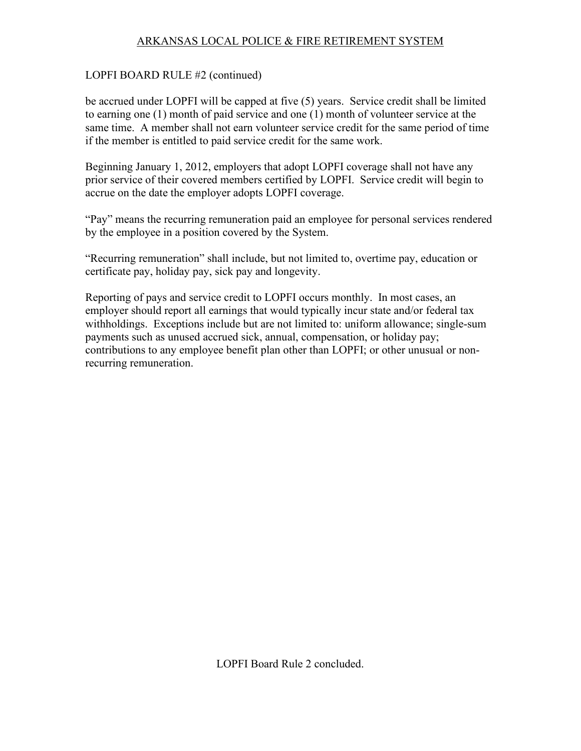# LOPFI BOARD RULE #2 (continued)

be accrued under LOPFI will be capped at five (5) years. Service credit shall be limited to earning one (1) month of paid service and one (1) month of volunteer service at the same time. A member shall not earn volunteer service credit for the same period of time if the member is entitled to paid service credit for the same work.

Beginning January 1, 2012, employers that adopt LOPFI coverage shall not have any prior service of their covered members certified by LOPFI. Service credit will begin to accrue on the date the employer adopts LOPFI coverage.

"Pay" means the recurring remuneration paid an employee for personal services rendered by the employee in a position covered by the System.

"Recurring remuneration" shall include, but not limited to, overtime pay, education or certificate pay, holiday pay, sick pay and longevity.

Reporting of pays and service credit to LOPFI occurs monthly. In most cases, an employer should report all earnings that would typically incur state and/or federal tax withholdings. Exceptions include but are not limited to: uniform allowance; single-sum payments such as unused accrued sick, annual, compensation, or holiday pay; contributions to any employee benefit plan other than LOPFI; or other unusual or nonrecurring remuneration.

LOPFI Board Rule 2 concluded.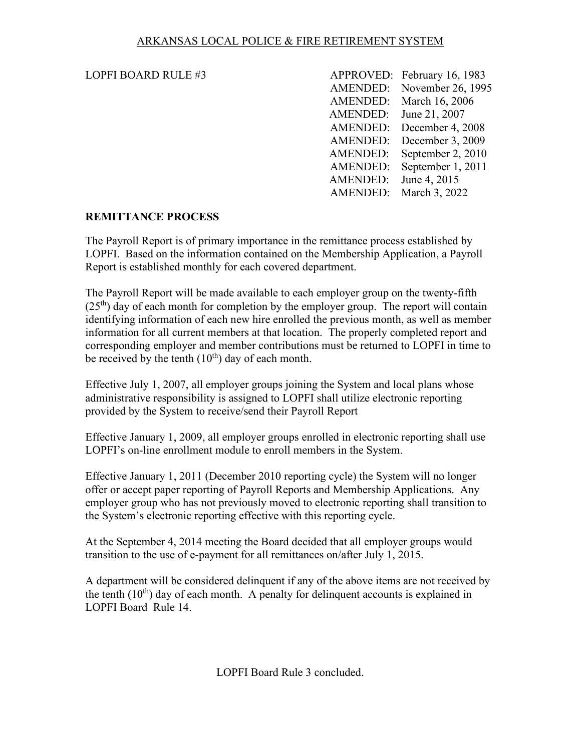#### <span id="page-6-0"></span>LOPFI BOARD RULE  $#3$

| <b>LOPFI BOARD RULE #3</b> |                       | APPROVED: February 16, 1983 |
|----------------------------|-----------------------|-----------------------------|
|                            |                       | AMENDED: November 26, 1995  |
|                            |                       | AMENDED: March 16, 2006     |
|                            |                       | AMENDED: June 21, 2007      |
|                            |                       | AMENDED: December 4, 2008   |
|                            |                       | AMENDED: December 3, 2009   |
|                            |                       | AMENDED: September 2, 2010  |
|                            |                       | AMENDED: September 1, 2011  |
|                            | AMENDED: June 4, 2015 |                             |
|                            |                       | AMENDED: March 3, 2022      |

# **REMITTANCE PROCESS**

The Payroll Report is of primary importance in the remittance process established by LOPFI. Based on the information contained on the Membership Application, a Payroll Report is established monthly for each covered department.

The Payroll Report will be made available to each employer group on the twenty-fifth  $(25<sup>th</sup>)$  day of each month for completion by the employer group. The report will contain identifying information of each new hire enrolled the previous month, as well as member information for all current members at that location. The properly completed report and corresponding employer and member contributions must be returned to LOPFI in time to be received by the tenth  $(10^{th})$  day of each month.

Effective July 1, 2007, all employer groups joining the System and local plans whose administrative responsibility is assigned to LOPFI shall utilize electronic reporting provided by the System to receive/send their Payroll Report

Effective January 1, 2009, all employer groups enrolled in electronic reporting shall use LOPFI's on-line enrollment module to enroll members in the System.

Effective January 1, 2011 (December 2010 reporting cycle) the System will no longer offer or accept paper reporting of Payroll Reports and Membership Applications. Any employer group who has not previously moved to electronic reporting shall transition to the System's electronic reporting effective with this reporting cycle.

At the September 4, 2014 meeting the Board decided that all employer groups would transition to the use of e-payment for all remittances on/after July 1, 2015.

A department will be considered delinquent if any of the above items are not received by the tenth  $(10<sup>th</sup>)$  day of each month. A penalty for delinguent accounts is explained in LOPFI Board Rule 14.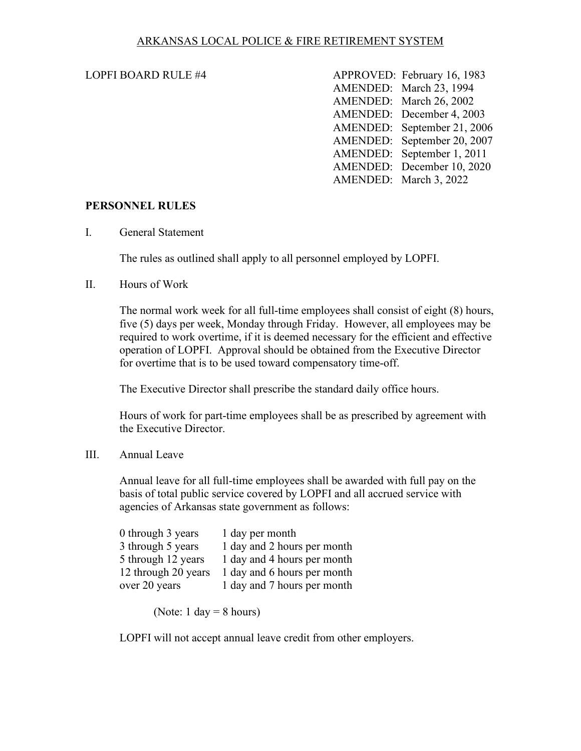#### <span id="page-7-0"></span>LOPFI BOARD RULE  $#4$

| <b>LOPFI BOARD RULE #4</b> | APPROVED: February 16, 1983 |
|----------------------------|-----------------------------|
|                            | AMENDED: March 23, 1994     |
|                            | AMENDED: March 26, 2002     |
|                            | AMENDED: December 4, 2003   |
|                            | AMENDED: September 21, 2006 |
|                            | AMENDED: September 20, 2007 |
|                            | AMENDED: September 1, 2011  |
|                            | AMENDED: December 10, 2020  |
|                            | AMENDED: March 3, 2022      |

#### **PERSONNEL RULES**

I. General Statement

The rules as outlined shall apply to all personnel employed by LOPFI.

#### II. Hours of Work

The normal work week for all full-time employees shall consist of eight (8) hours, five (5) days per week, Monday through Friday. However, all employees may be required to work overtime, if it is deemed necessary for the efficient and effective operation of LOPFI. Approval should be obtained from the Executive Director for overtime that is to be used toward compensatory time-off.

The Executive Director shall prescribe the standard daily office hours.

Hours of work for part-time employees shall be as prescribed by agreement with the Executive Director.

III. Annual Leave

Annual leave for all full-time employees shall be awarded with full pay on the basis of total public service covered by LOPFI and all accrued service with agencies of Arkansas state government as follows:

| 0 through 3 years   | 1 day per month             |
|---------------------|-----------------------------|
| 3 through 5 years   | 1 day and 2 hours per month |
| 5 through 12 years  | 1 day and 4 hours per month |
| 12 through 20 years | 1 day and 6 hours per month |
| over 20 years       | 1 day and 7 hours per month |

(Note:  $1 \text{ day} = 8 \text{ hours}$ )

LOPFI will not accept annual leave credit from other employers.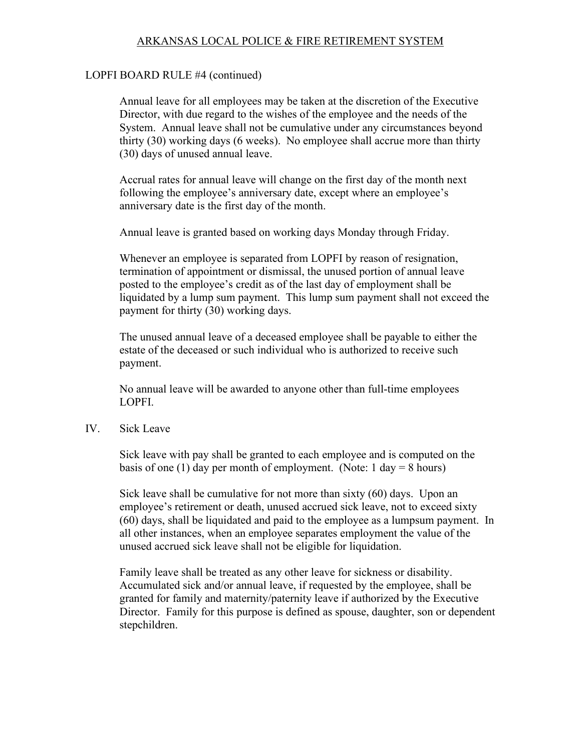#### LOPFI BOARD RULE #4 (continued)

Annual leave for all employees may be taken at the discretion of the Executive Director, with due regard to the wishes of the employee and the needs of the System. Annual leave shall not be cumulative under any circumstances beyond thirty (30) working days (6 weeks). No employee shall accrue more than thirty (30) days of unused annual leave.

Accrual rates for annual leave will change on the first day of the month next following the employee's anniversary date, except where an employee's anniversary date is the first day of the month.

Annual leave is granted based on working days Monday through Friday.

Whenever an employee is separated from LOPFI by reason of resignation, termination of appointment or dismissal, the unused portion of annual leave posted to the employee's credit as of the last day of employment shall be liquidated by a lump sum payment. This lump sum payment shall not exceed the payment for thirty (30) working days.

The unused annual leave of a deceased employee shall be payable to either the estate of the deceased or such individual who is authorized to receive such payment.

No annual leave will be awarded to anyone other than full-time employees LOPFI.

IV. Sick Leave

Sick leave with pay shall be granted to each employee and is computed on the basis of one (1) day per month of employment. (Note:  $1 \text{ day} = 8 \text{ hours}$ )

Sick leave shall be cumulative for not more than sixty (60) days. Upon an employee's retirement or death, unused accrued sick leave, not to exceed sixty (60) days, shall be liquidated and paid to the employee as a lumpsum payment. In all other instances, when an employee separates employment the value of the unused accrued sick leave shall not be eligible for liquidation.

Family leave shall be treated as any other leave for sickness or disability. Accumulated sick and/or annual leave, if requested by the employee, shall be granted for family and maternity/paternity leave if authorized by the Executive Director. Family for this purpose is defined as spouse, daughter, son or dependent stepchildren.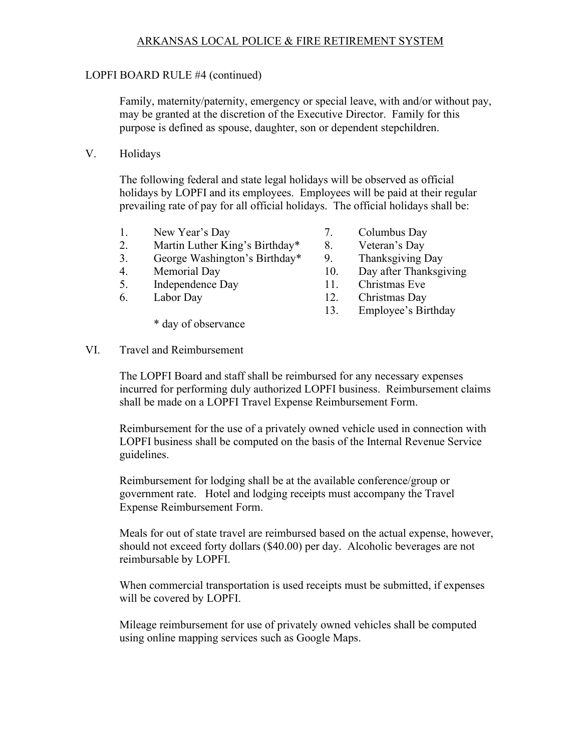#### LOPFI BOARD RULE #4 (continued)

Family, maternity/paternity, emergency or special leave, with and/or without pay, may be granted at the discretion of the Executive Director. Family for this purpose is defined as spouse, daughter, son or dependent stepchildren.

V. Holidays

The following federal and state legal holidays will be observed as official holidays by LOPFI and its employees. Employees will be paid at their regular prevailing rate of pay for all official holidays. The official holidays shall be:

- 1. New Year's Day 7. Columbus Day
- 2. Martin Luther King's Birthday\* 8. Veteran's Day
- 3. George Washington's Birthday\* 9. Thanksgiving Day
- 
- 5. Independence Day 11. Christmas Eve
- 

\* day of observance

- 
- 
- 
- 4. Memorial Day 10. Day after Thanksgiving
	-
- 6. Labor Day 12. Christmas Day
	- 13. Employee's Birthday

VI. Travel and Reimbursement

The LOPFI Board and staff shall be reimbursed for any necessary expenses incurred for performing duly authorized LOPFI business. Reimbursement claims shall be made on a LOPFI Travel Expense Reimbursement Form.

Reimbursement for the use of a privately owned vehicle used in connection with LOPFI business shall be computed on the basis of the Internal Revenue Service guidelines.

Reimbursement for lodging shall be at the available conference/group or government rate. Hotel and lodging receipts must accompany the Travel Expense Reimbursement Form.

 Meals for out of state travel are reimbursed based on the actual expense, however, should not exceed forty dollars (\$40.00) per day. Alcoholic beverages are not reimbursable by LOPFI.

 When commercial transportation is used receipts must be submitted, if expenses will be covered by LOPFI.

 Mileage reimbursement for use of privately owned vehicles shall be computed using online mapping services such as Google Maps.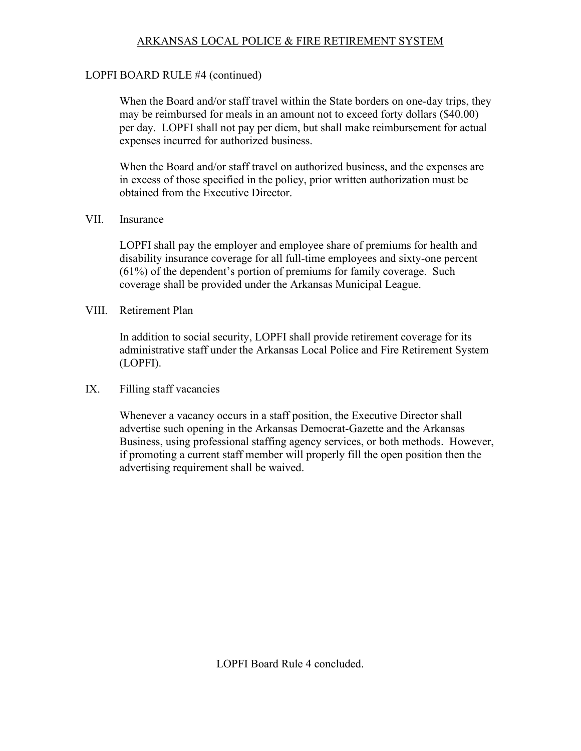# LOPFI BOARD RULE #4 (continued)

When the Board and/or staff travel within the State borders on one-day trips, they may be reimbursed for meals in an amount not to exceed forty dollars (\$40.00) per day. LOPFI shall not pay per diem, but shall make reimbursement for actual expenses incurred for authorized business.

 When the Board and/or staff travel on authorized business, and the expenses are in excess of those specified in the policy, prior written authorization must be obtained from the Executive Director.

#### VII. Insurance

LOPFI shall pay the employer and employee share of premiums for health and disability insurance coverage for all full-time employees and sixty-one percent (61%) of the dependent's portion of premiums for family coverage. Such coverage shall be provided under the Arkansas Municipal League.

#### VIII. Retirement Plan

 In addition to social security, LOPFI shall provide retirement coverage for its administrative staff under the Arkansas Local Police and Fire Retirement System (LOPFI).

#### IX. Filling staff vacancies

Whenever a vacancy occurs in a staff position, the Executive Director shall advertise such opening in the Arkansas Democrat-Gazette and the Arkansas Business, using professional staffing agency services, or both methods. However, if promoting a current staff member will properly fill the open position then the advertising requirement shall be waived.

LOPFI Board Rule 4 concluded.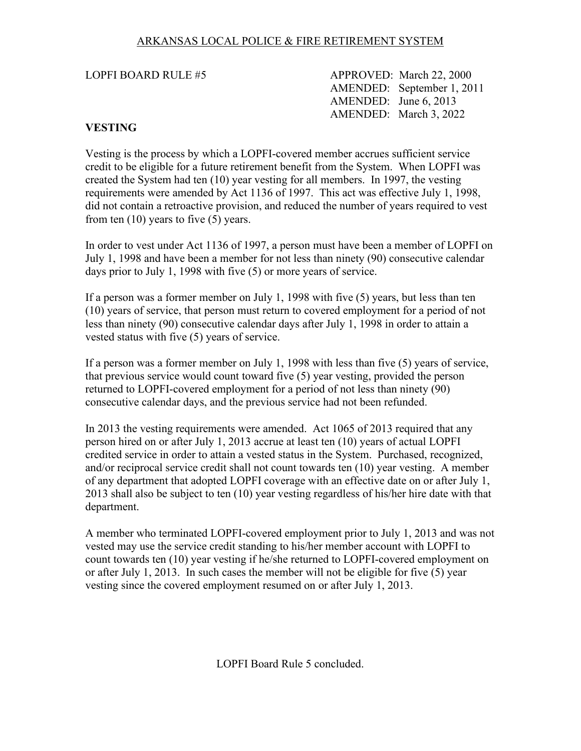<span id="page-11-0"></span>LOPFI BOARD RULE #5 APPROVED: March 22, 2000 AMENDED: September 1, 2011 AMENDED: June 6, 2013 AMENDED: March 3, 2022

# **VESTING**

Vesting is the process by which a LOPFI-covered member accrues sufficient service credit to be eligible for a future retirement benefit from the System. When LOPFI was created the System had ten (10) year vesting for all members. In 1997, the vesting requirements were amended by Act 1136 of 1997. This act was effective July 1, 1998, did not contain a retroactive provision, and reduced the number of years required to vest from ten  $(10)$  years to five  $(5)$  years.

In order to vest under Act 1136 of 1997, a person must have been a member of LOPFI on July 1, 1998 and have been a member for not less than ninety (90) consecutive calendar days prior to July 1, 1998 with five (5) or more years of service.

If a person was a former member on July 1, 1998 with five (5) years, but less than ten (10) years of service, that person must return to covered employment for a period of not less than ninety (90) consecutive calendar days after July 1, 1998 in order to attain a vested status with five (5) years of service.

If a person was a former member on July 1, 1998 with less than five (5) years of service, that previous service would count toward five (5) year vesting, provided the person returned to LOPFI-covered employment for a period of not less than ninety (90) consecutive calendar days, and the previous service had not been refunded.

In 2013 the vesting requirements were amended. Act 1065 of 2013 required that any person hired on or after July 1, 2013 accrue at least ten (10) years of actual LOPFI credited service in order to attain a vested status in the System. Purchased, recognized, and/or reciprocal service credit shall not count towards ten (10) year vesting. A member of any department that adopted LOPFI coverage with an effective date on or after July 1, 2013 shall also be subject to ten (10) year vesting regardless of his/her hire date with that department.

A member who terminated LOPFI-covered employment prior to July 1, 2013 and was not vested may use the service credit standing to his/her member account with LOPFI to count towards ten (10) year vesting if he/she returned to LOPFI-covered employment on or after July 1, 2013. In such cases the member will not be eligible for five (5) year vesting since the covered employment resumed on or after July 1, 2013.

LOPFI Board Rule 5 concluded.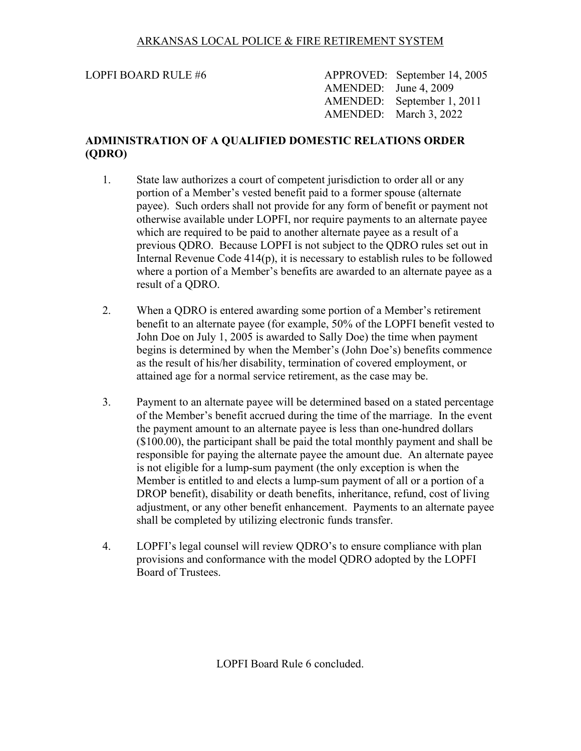<span id="page-12-0"></span>LOPFI BOARD RULE #6 APPROVED: September 14, 2005 AMENDED: June 4, 2009 AMENDED: September 1, 2011 AMENDED: March 3, 2022

# **ADMINISTRATION OF A QUALIFIED DOMESTIC RELATIONS ORDER (QDRO)**

- 1. State law authorizes a court of competent jurisdiction to order all or any portion of a Member's vested benefit paid to a former spouse (alternate payee). Such orders shall not provide for any form of benefit or payment not otherwise available under LOPFI, nor require payments to an alternate payee which are required to be paid to another alternate payee as a result of a previous QDRO. Because LOPFI is not subject to the QDRO rules set out in Internal Revenue Code 414(p), it is necessary to establish rules to be followed where a portion of a Member's benefits are awarded to an alternate payee as a result of a QDRO.
- 2. When a QDRO is entered awarding some portion of a Member's retirement benefit to an alternate payee (for example, 50% of the LOPFI benefit vested to John Doe on July 1, 2005 is awarded to Sally Doe) the time when payment begins is determined by when the Member's (John Doe's) benefits commence as the result of his/her disability, termination of covered employment, or attained age for a normal service retirement, as the case may be.
- 3. Payment to an alternate payee will be determined based on a stated percentage of the Member's benefit accrued during the time of the marriage. In the event the payment amount to an alternate payee is less than one-hundred dollars (\$100.00), the participant shall be paid the total monthly payment and shall be responsible for paying the alternate payee the amount due. An alternate payee is not eligible for a lump-sum payment (the only exception is when the Member is entitled to and elects a lump-sum payment of all or a portion of a DROP benefit), disability or death benefits, inheritance, refund, cost of living adjustment, or any other benefit enhancement. Payments to an alternate payee shall be completed by utilizing electronic funds transfer.
- 4. LOPFI's legal counsel will review QDRO's to ensure compliance with plan provisions and conformance with the model QDRO adopted by the LOPFI Board of Trustees.

LOPFI Board Rule 6 concluded.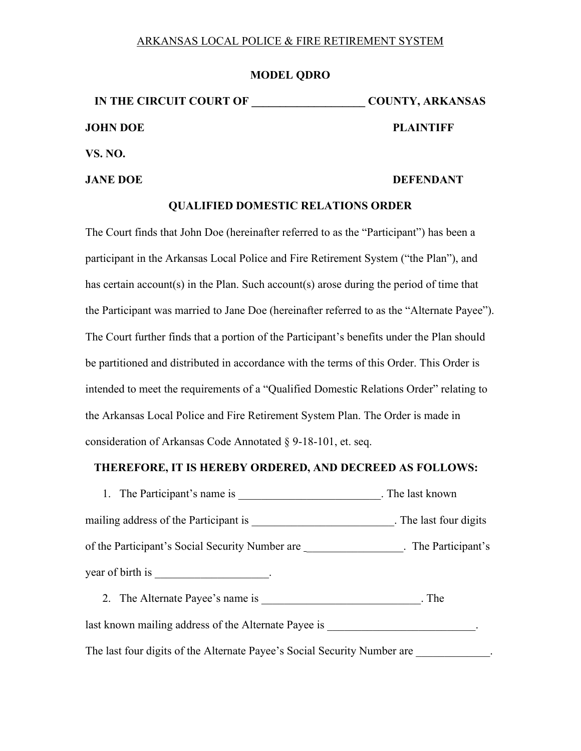#### **MODEL QDRO**

**IN THE CIRCUIT COURT OF \_\_\_\_\_\_\_\_\_\_\_\_\_\_\_\_\_\_\_\_ COUNTY, ARKANSAS JOHN DOE PLAINTIFF VS. NO.** 

#### **JANE DOE** DEFENDANT

#### **QUALIFIED DOMESTIC RELATIONS ORDER**

The Court finds that John Doe (hereinafter referred to as the "Participant") has been a participant in the Arkansas Local Police and Fire Retirement System ("the Plan"), and has certain account(s) in the Plan. Such account(s) arose during the period of time that the Participant was married to Jane Doe (hereinafter referred to as the "Alternate Payee"). The Court further finds that a portion of the Participant's benefits under the Plan should be partitioned and distributed in accordance with the terms of this Order. This Order is intended to meet the requirements of a "Qualified Domestic Relations Order" relating to the Arkansas Local Police and Fire Retirement System Plan. The Order is made in consideration of Arkansas Code Annotated § 9-18-101, et. seq.

#### **THEREFORE, IT IS HEREBY ORDERED, AND DECREED AS FOLLOWS:**

1. The Participant's name is \_\_\_\_\_\_\_\_\_\_\_\_\_\_\_\_\_\_\_\_\_\_\_\_\_\_\_. The last known mailing address of the Participant is \_\_\_\_\_\_\_\_\_\_\_\_\_\_\_\_\_\_\_\_\_\_\_\_\_\_\_. The last four digits of the Participant's Social Security Number are The Participant's . The Participant's year of birth is \_\_\_\_\_\_\_\_\_\_\_\_\_\_\_\_\_\_\_\_.

2. The Alternate Payee's name is \_\_\_\_\_\_\_\_\_\_\_\_\_\_\_\_\_\_\_\_\_\_\_\_\_\_\_. The last known mailing address of the Alternate Payee is  $\cdot$ The last four digits of the Alternate Payee's Social Security Number are  $\blacksquare$ .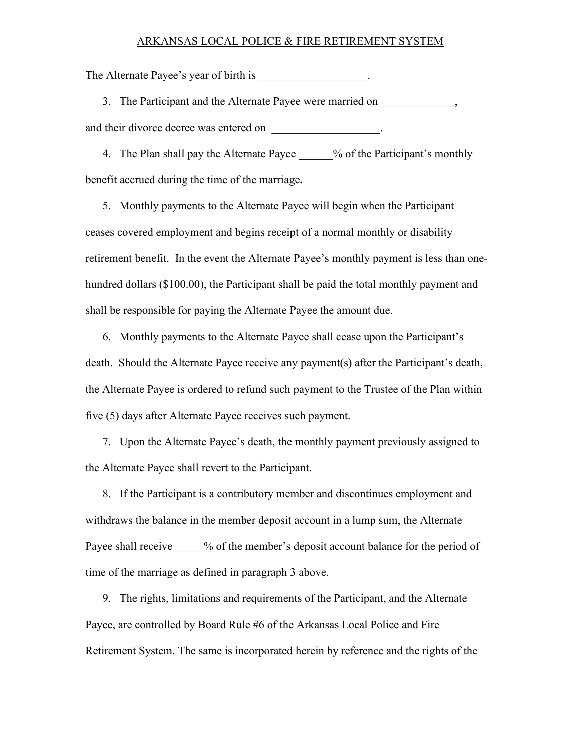The Alternate Payee's year of birth is  $\cdot$ 

3. The Participant and the Alternate Payee were married on \_\_\_\_\_\_\_\_\_\_\_\_\_, and their divorce decree was entered on  $\cdot$ 

4. The Plan shall pay the Alternate Payee \_\_\_\_\_% of the Participant's monthly benefit accrued during the time of the marriage**.**

5. Monthly payments to the Alternate Payee will begin when the Participant ceases covered employment and begins receipt of a normal monthly or disability retirement benefit. In the event the Alternate Payee's monthly payment is less than onehundred dollars (\$100.00), the Participant shall be paid the total monthly payment and shall be responsible for paying the Alternate Payee the amount due.

6. Monthly payments to the Alternate Payee shall cease upon the Participant's death. Should the Alternate Payee receive any payment(s) after the Participant's death, the Alternate Payee is ordered to refund such payment to the Trustee of the Plan within five (5) days after Alternate Payee receives such payment.

7. Upon the Alternate Payee's death, the monthly payment previously assigned to the Alternate Payee shall revert to the Participant.

8. If the Participant is a contributory member and discontinues employment and withdraws the balance in the member deposit account in a lump sum, the Alternate Payee shall receive  $\%$  of the member's deposit account balance for the period of time of the marriage as defined in paragraph 3 above.

9. The rights, limitations and requirements of the Participant, and the Alternate Payee, are controlled by Board Rule #6 of the Arkansas Local Police and Fire Retirement System. The same is incorporated herein by reference and the rights of the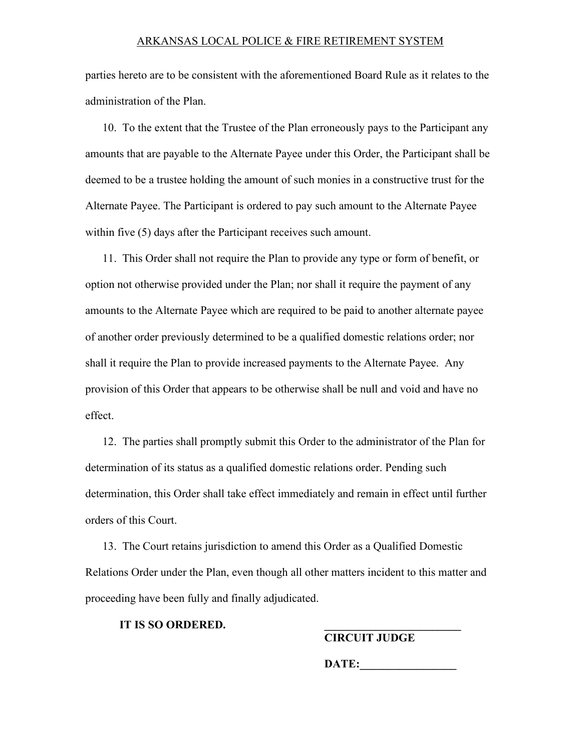parties hereto are to be consistent with the aforementioned Board Rule as it relates to the administration of the Plan.

10. To the extent that the Trustee of the Plan erroneously pays to the Participant any amounts that are payable to the Alternate Payee under this Order, the Participant shall be deemed to be a trustee holding the amount of such monies in a constructive trust for the Alternate Payee. The Participant is ordered to pay such amount to the Alternate Payee within five (5) days after the Participant receives such amount.

11. This Order shall not require the Plan to provide any type or form of benefit, or option not otherwise provided under the Plan; nor shall it require the payment of any amounts to the Alternate Payee which are required to be paid to another alternate payee of another order previously determined to be a qualified domestic relations order; nor shall it require the Plan to provide increased payments to the Alternate Payee. Any provision of this Order that appears to be otherwise shall be null and void and have no effect.

12. The parties shall promptly submit this Order to the administrator of the Plan for determination of its status as a qualified domestic relations order. Pending such determination, this Order shall take effect immediately and remain in effect until further orders of this Court.

13. The Court retains jurisdiction to amend this Order as a Qualified Domestic Relations Order under the Plan, even though all other matters incident to this matter and proceeding have been fully and finally adjudicated.

**IT IS SO ORDERED.** 

**CIRCUIT JUDGE** 

DATE: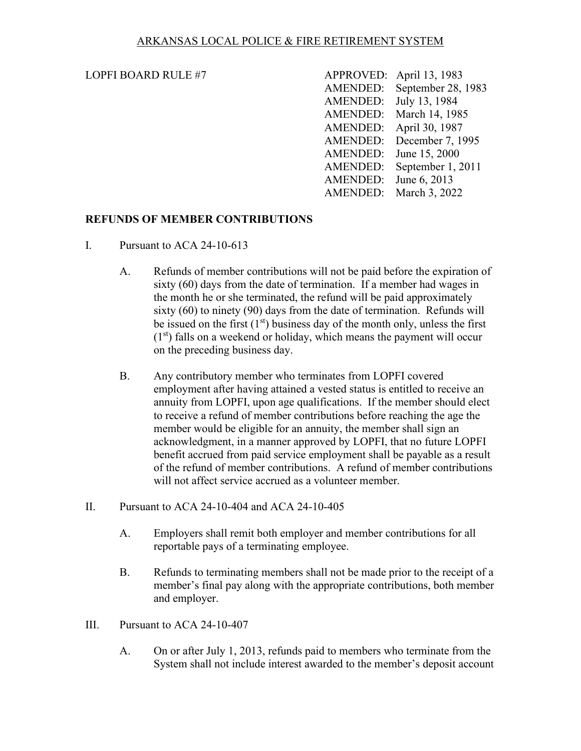#### <span id="page-16-0"></span>LOPFI BOARD RULE  $#7$

| <b>LOPFI BOARD RULE #7</b> |                        | APPROVED: April 13, 1983    |
|----------------------------|------------------------|-----------------------------|
|                            |                        | AMENDED: September 28, 1983 |
|                            | AMENDED: July 13, 1984 |                             |
|                            |                        | AMENDED: March 14, 1985     |
|                            |                        | AMENDED: April 30, 1987     |
|                            |                        | AMENDED: December 7, 1995   |
|                            |                        | AMENDED: June 15, 2000      |
|                            |                        | AMENDED: September 1, 2011  |
|                            | AMENDED: June 6, 2013  |                             |
|                            |                        | AMENDED: March 3, 2022      |

#### **REFUNDS OF MEMBER CONTRIBUTIONS**

- I. Pursuant to ACA 24-10-613
	- A. Refunds of member contributions will not be paid before the expiration of sixty (60) days from the date of termination. If a member had wages in the month he or she terminated, the refund will be paid approximately sixty (60) to ninety (90) days from the date of termination. Refunds will be issued on the first  $(1<sup>st</sup>)$  business day of the month only, unless the first  $(1<sup>st</sup>)$  falls on a weekend or holiday, which means the payment will occur on the preceding business day.
	- B. Any contributory member who terminates from LOPFI covered employment after having attained a vested status is entitled to receive an annuity from LOPFI, upon age qualifications. If the member should elect to receive a refund of member contributions before reaching the age the member would be eligible for an annuity, the member shall sign an acknowledgment, in a manner approved by LOPFI, that no future LOPFI benefit accrued from paid service employment shall be payable as a result of the refund of member contributions. A refund of member contributions will not affect service accrued as a volunteer member.
- II. Pursuant to ACA 24-10-404 and ACA 24-10-405
	- A. Employers shall remit both employer and member contributions for all reportable pays of a terminating employee.
	- B. Refunds to terminating members shall not be made prior to the receipt of a member's final pay along with the appropriate contributions, both member and employer.
- III. Pursuant to ACA 24-10-407
	- A. On or after July 1, 2013, refunds paid to members who terminate from the System shall not include interest awarded to the member's deposit account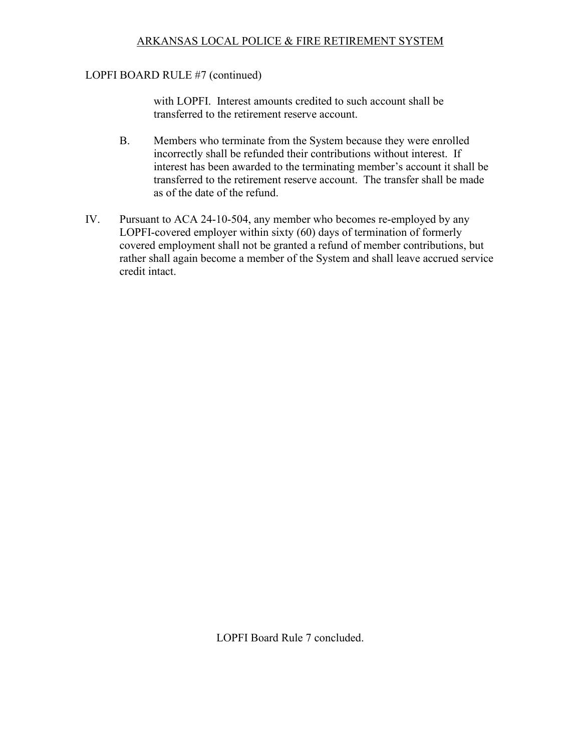#### LOPFI BOARD RULE #7 (continued)

with LOPFI. Interest amounts credited to such account shall be transferred to the retirement reserve account.

- B. Members who terminate from the System because they were enrolled incorrectly shall be refunded their contributions without interest. If interest has been awarded to the terminating member's account it shall be transferred to the retirement reserve account. The transfer shall be made as of the date of the refund.
- IV. Pursuant to ACA 24-10-504, any member who becomes re-employed by any LOPFI-covered employer within sixty (60) days of termination of formerly covered employment shall not be granted a refund of member contributions, but rather shall again become a member of the System and shall leave accrued service credit intact.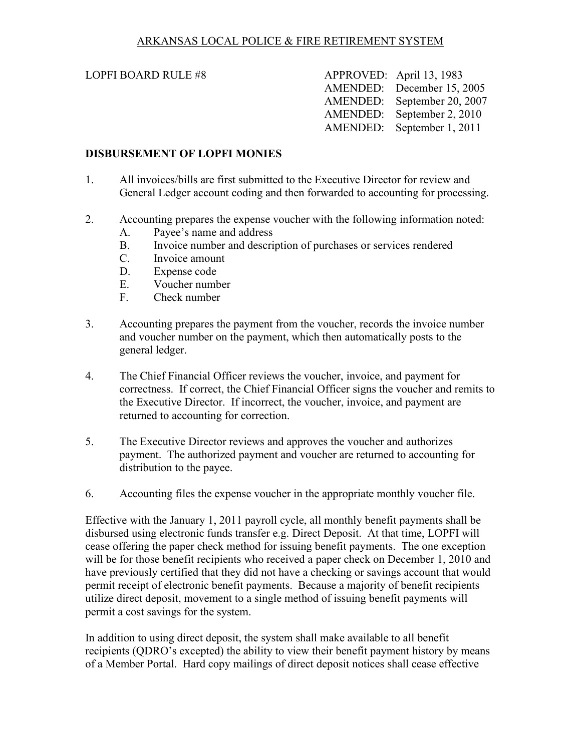#### <span id="page-18-0"></span>LOPFI BOARD RULE  $#8$

| APPROVED: April 13, 1983    |
|-----------------------------|
| AMENDED: December 15, 2005  |
| AMENDED: September 20, 2007 |
| AMENDED: September 2, 2010  |
| AMENDED: September 1, 2011  |
|                             |

## **DISBURSEMENT OF LOPFI MONIES**

- 1. All invoices/bills are first submitted to the Executive Director for review and General Ledger account coding and then forwarded to accounting for processing.
- 2. Accounting prepares the expense voucher with the following information noted:
	- A. Payee's name and address
	- B. Invoice number and description of purchases or services rendered
	- C. Invoice amount
	- D. Expense code
	- E. Voucher number
	- F. Check number
- 3. Accounting prepares the payment from the voucher, records the invoice number and voucher number on the payment, which then automatically posts to the general ledger.
- 4. The Chief Financial Officer reviews the voucher, invoice, and payment for correctness. If correct, the Chief Financial Officer signs the voucher and remits to the Executive Director. If incorrect, the voucher, invoice, and payment are returned to accounting for correction.
- 5. The Executive Director reviews and approves the voucher and authorizes payment. The authorized payment and voucher are returned to accounting for distribution to the payee.
- 6. Accounting files the expense voucher in the appropriate monthly voucher file.

Effective with the January 1, 2011 payroll cycle, all monthly benefit payments shall be disbursed using electronic funds transfer e.g. Direct Deposit. At that time, LOPFI will cease offering the paper check method for issuing benefit payments. The one exception will be for those benefit recipients who received a paper check on December 1, 2010 and have previously certified that they did not have a checking or savings account that would permit receipt of electronic benefit payments. Because a majority of benefit recipients utilize direct deposit, movement to a single method of issuing benefit payments will permit a cost savings for the system.

In addition to using direct deposit, the system shall make available to all benefit recipients (QDRO's excepted) the ability to view their benefit payment history by means of a Member Portal. Hard copy mailings of direct deposit notices shall cease effective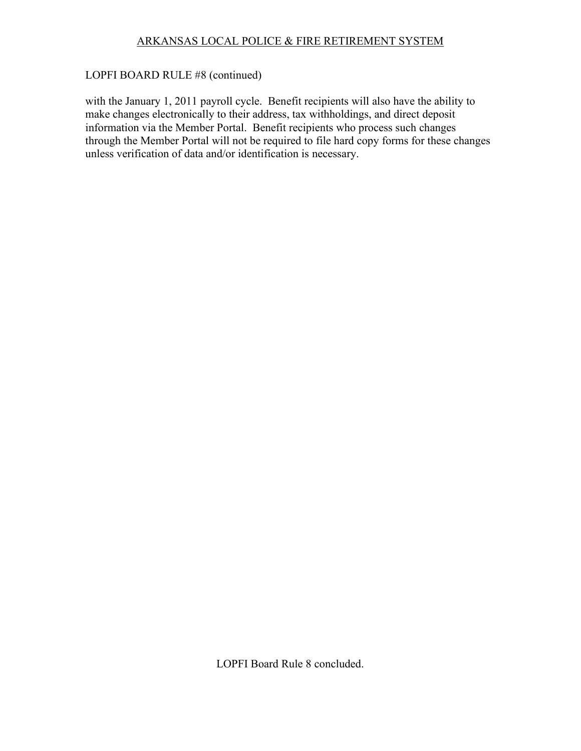# LOPFI BOARD RULE #8 (continued)

with the January 1, 2011 payroll cycle. Benefit recipients will also have the ability to make changes electronically to their address, tax withholdings, and direct deposit information via the Member Portal. Benefit recipients who process such changes through the Member Portal will not be required to file hard copy forms for these changes unless verification of data and/or identification is necessary.

LOPFI Board Rule 8 concluded.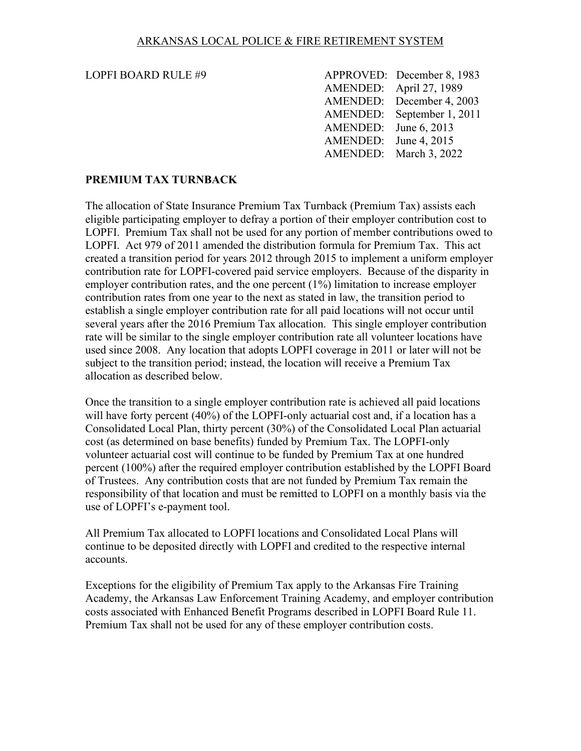#### <span id="page-20-0"></span>LOPFI BOARD RULE #9

| LOPFI BOARD RULE #9 |                       | APPROVED: December 8, 1983 |
|---------------------|-----------------------|----------------------------|
|                     |                       | AMENDED: April 27, 1989    |
|                     |                       | AMENDED: December 4, 2003  |
|                     |                       | AMENDED: September 1, 2011 |
|                     | AMENDED: June 6, 2013 |                            |
|                     | AMENDED: June 4, 2015 |                            |
|                     |                       | AMENDED: March 3, 2022     |

## **PREMIUM TAX TURNBACK**

The allocation of State Insurance Premium Tax Turnback (Premium Tax) assists each eligible participating employer to defray a portion of their employer contribution cost to LOPFI. Premium Tax shall not be used for any portion of member contributions owed to LOPFI. Act 979 of 2011 amended the distribution formula for Premium Tax. This act created a transition period for years 2012 through 2015 to implement a uniform employer contribution rate for LOPFI-covered paid service employers. Because of the disparity in employer contribution rates, and the one percent (1%) limitation to increase employer contribution rates from one year to the next as stated in law, the transition period to establish a single employer contribution rate for all paid locations will not occur until several years after the 2016 Premium Tax allocation. This single employer contribution rate will be similar to the single employer contribution rate all volunteer locations have used since 2008. Any location that adopts LOPFI coverage in 2011 or later will not be subject to the transition period; instead, the location will receive a Premium Tax allocation as described below.

Once the transition to a single employer contribution rate is achieved all paid locations will have forty percent (40%) of the LOPFI-only actuarial cost and, if a location has a Consolidated Local Plan, thirty percent (30%) of the Consolidated Local Plan actuarial cost (as determined on base benefits) funded by Premium Tax. The LOPFI-only volunteer actuarial cost will continue to be funded by Premium Tax at one hundred percent (100%) after the required employer contribution established by the LOPFI Board of Trustees. Any contribution costs that are not funded by Premium Tax remain the responsibility of that location and must be remitted to LOPFI on a monthly basis via the use of LOPFI's e-payment tool.

All Premium Tax allocated to LOPFI locations and Consolidated Local Plans will continue to be deposited directly with LOPFI and credited to the respective internal accounts.

Exceptions for the eligibility of Premium Tax apply to the Arkansas Fire Training Academy, the Arkansas Law Enforcement Training Academy, and employer contribution costs associated with Enhanced Benefit Programs described in LOPFI Board Rule 11. Premium Tax shall not be used for any of these employer contribution costs.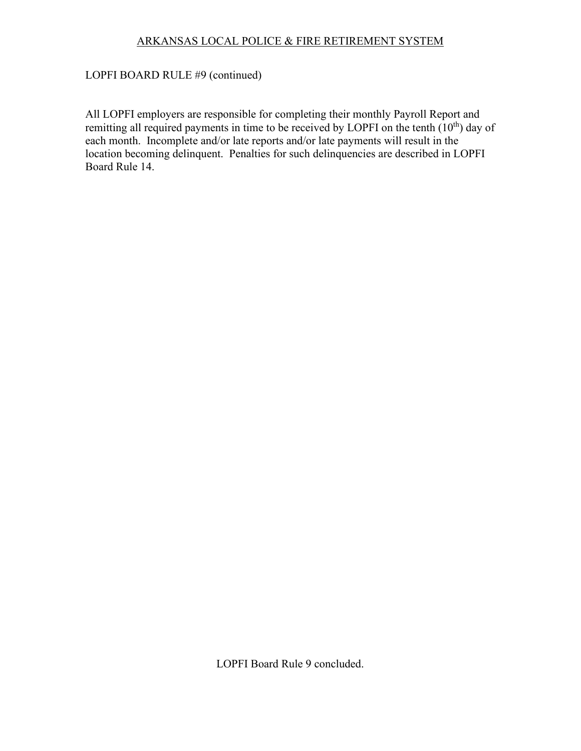# LOPFI BOARD RULE #9 (continued)

All LOPFI employers are responsible for completing their monthly Payroll Report and remitting all required payments in time to be received by LOPFI on the tenth (10<sup>th</sup>) day of each month. Incomplete and/or late reports and/or late payments will result in the location becoming delinquent. Penalties for such delinquencies are described in LOPFI Board Rule 14.

LOPFI Board Rule 9 concluded.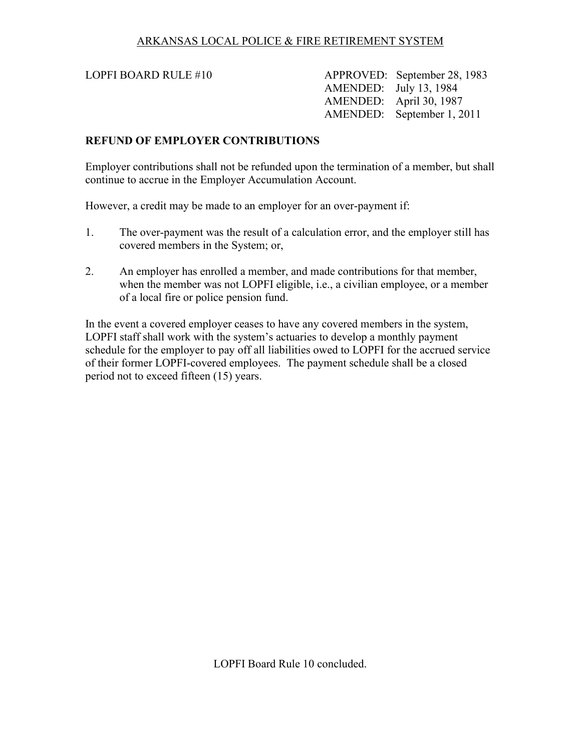<span id="page-22-0"></span>LOPFI BOARD RULE #10 APPROVED: September 28, 1983 AMENDED: July 13, 1984 AMENDED: April 30, 1987 AMENDED: September 1, 2011

#### **REFUND OF EMPLOYER CONTRIBUTIONS**

Employer contributions shall not be refunded upon the termination of a member, but shall continue to accrue in the Employer Accumulation Account.

However, a credit may be made to an employer for an over-payment if:

- 1. The over-payment was the result of a calculation error, and the employer still has covered members in the System; or,
- 2. An employer has enrolled a member, and made contributions for that member, when the member was not LOPFI eligible, i.e., a civilian employee, or a member of a local fire or police pension fund.

In the event a covered employer ceases to have any covered members in the system, LOPFI staff shall work with the system's actuaries to develop a monthly payment schedule for the employer to pay off all liabilities owed to LOPFI for the accrued service of their former LOPFI-covered employees. The payment schedule shall be a closed period not to exceed fifteen (15) years.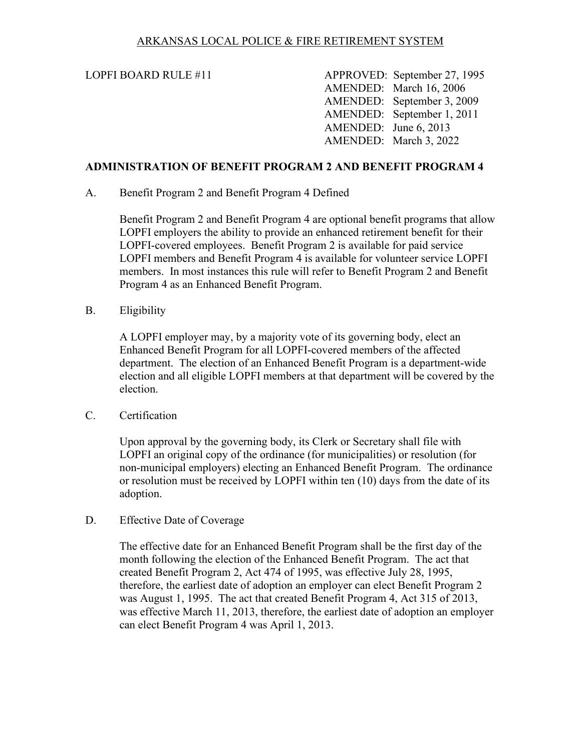<span id="page-23-0"></span>LOPFI BOARD RULE #11 APPROVED: September 27, 1995 AMENDED: March 16, 2006 AMENDED: September 3, 2009 AMENDED: September 1, 2011 AMENDED: June 6, 2013 AMENDED: March 3, 2022

## **ADMINISTRATION OF BENEFIT PROGRAM 2 AND BENEFIT PROGRAM 4**

A. Benefit Program 2 and Benefit Program 4 Defined

Benefit Program 2 and Benefit Program 4 are optional benefit programs that allow LOPFI employers the ability to provide an enhanced retirement benefit for their LOPFI-covered employees. Benefit Program 2 is available for paid service LOPFI members and Benefit Program 4 is available for volunteer service LOPFI members. In most instances this rule will refer to Benefit Program 2 and Benefit Program 4 as an Enhanced Benefit Program.

B. Eligibility

A LOPFI employer may, by a majority vote of its governing body, elect an Enhanced Benefit Program for all LOPFI-covered members of the affected department. The election of an Enhanced Benefit Program is a department-wide election and all eligible LOPFI members at that department will be covered by the election.

C. Certification

Upon approval by the governing body, its Clerk or Secretary shall file with LOPFI an original copy of the ordinance (for municipalities) or resolution (for non-municipal employers) electing an Enhanced Benefit Program. The ordinance or resolution must be received by LOPFI within ten (10) days from the date of its adoption.

D. Effective Date of Coverage

The effective date for an Enhanced Benefit Program shall be the first day of the month following the election of the Enhanced Benefit Program. The act that created Benefit Program 2, Act 474 of 1995, was effective July 28, 1995, therefore, the earliest date of adoption an employer can elect Benefit Program 2 was August 1, 1995. The act that created Benefit Program 4, Act 315 of 2013, was effective March 11, 2013, therefore, the earliest date of adoption an employer can elect Benefit Program 4 was April 1, 2013.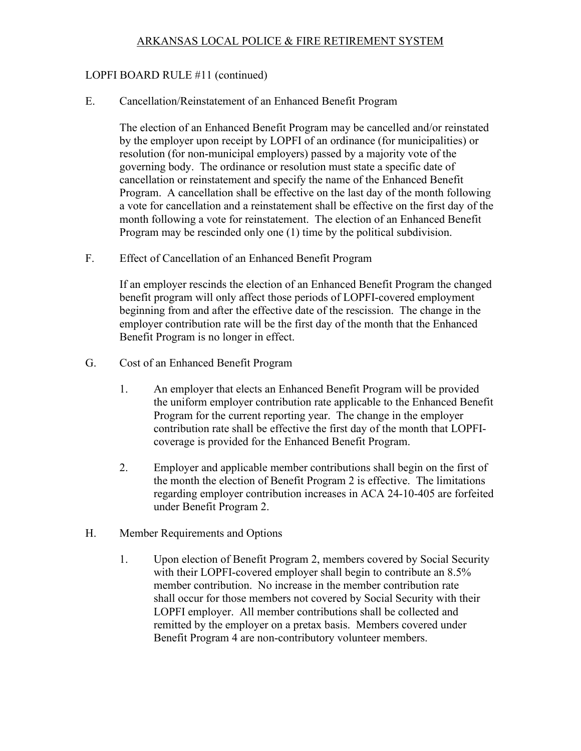# LOPFI BOARD RULE #11 (continued)

E. Cancellation/Reinstatement of an Enhanced Benefit Program

The election of an Enhanced Benefit Program may be cancelled and/or reinstated by the employer upon receipt by LOPFI of an ordinance (for municipalities) or resolution (for non-municipal employers) passed by a majority vote of the governing body. The ordinance or resolution must state a specific date of cancellation or reinstatement and specify the name of the Enhanced Benefit Program. A cancellation shall be effective on the last day of the month following a vote for cancellation and a reinstatement shall be effective on the first day of the month following a vote for reinstatement. The election of an Enhanced Benefit Program may be rescinded only one (1) time by the political subdivision.

F. Effect of Cancellation of an Enhanced Benefit Program

If an employer rescinds the election of an Enhanced Benefit Program the changed benefit program will only affect those periods of LOPFI-covered employment beginning from and after the effective date of the rescission. The change in the employer contribution rate will be the first day of the month that the Enhanced Benefit Program is no longer in effect.

- G. Cost of an Enhanced Benefit Program
	- 1. An employer that elects an Enhanced Benefit Program will be provided the uniform employer contribution rate applicable to the Enhanced Benefit Program for the current reporting year. The change in the employer contribution rate shall be effective the first day of the month that LOPFIcoverage is provided for the Enhanced Benefit Program.
	- 2. Employer and applicable member contributions shall begin on the first of the month the election of Benefit Program 2 is effective. The limitations regarding employer contribution increases in ACA 24-10-405 are forfeited under Benefit Program 2.
- H. Member Requirements and Options
	- 1. Upon election of Benefit Program 2, members covered by Social Security with their LOPFI-covered employer shall begin to contribute an  $8.5\%$ member contribution. No increase in the member contribution rate shall occur for those members not covered by Social Security with their LOPFI employer. All member contributions shall be collected and remitted by the employer on a pretax basis. Members covered under Benefit Program 4 are non-contributory volunteer members.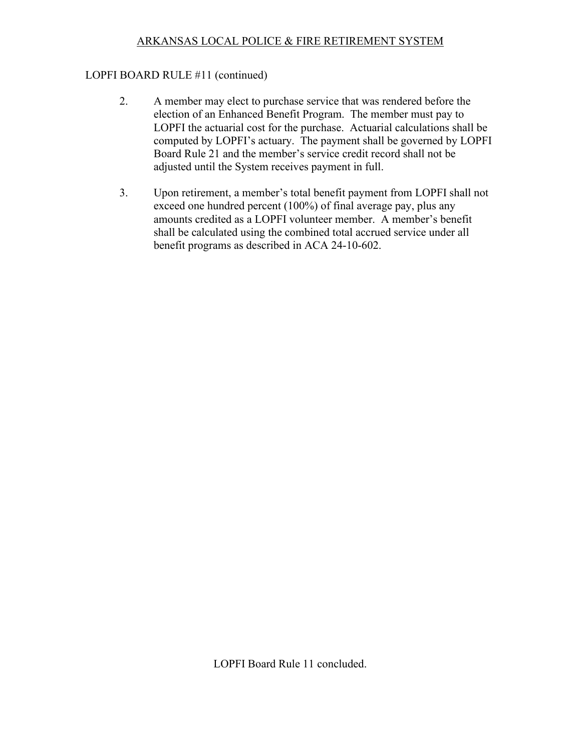# LOPFI BOARD RULE #11 (continued)

- 2. A member may elect to purchase service that was rendered before the election of an Enhanced Benefit Program. The member must pay to LOPFI the actuarial cost for the purchase. Actuarial calculations shall be computed by LOPFI's actuary. The payment shall be governed by LOPFI Board Rule 21 and the member's service credit record shall not be adjusted until the System receives payment in full.
- 3. Upon retirement, a member's total benefit payment from LOPFI shall not exceed one hundred percent (100%) of final average pay, plus any amounts credited as a LOPFI volunteer member. A member's benefit shall be calculated using the combined total accrued service under all benefit programs as described in ACA 24-10-602.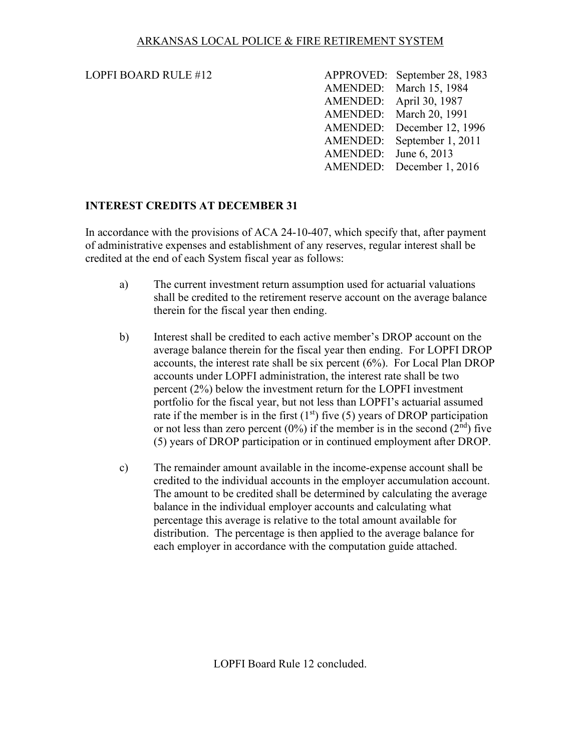# <span id="page-26-0"></span>LOPFI BOARD RULE  $#12$

| LOPFI BOARD RULE #12 |                       | APPROVED: September 28, 1983 |
|----------------------|-----------------------|------------------------------|
|                      |                       | AMENDED: March 15, 1984      |
|                      |                       | AMENDED: April 30, 1987      |
|                      |                       | AMENDED: March 20, 1991      |
|                      |                       | AMENDED: December 12, 1996   |
|                      |                       | AMENDED: September 1, 2011   |
|                      | AMENDED: June 6, 2013 |                              |
|                      |                       | AMENDED: December 1, 2016    |

# **INTEREST CREDITS AT DECEMBER 31**

In accordance with the provisions of ACA 24-10-407, which specify that, after payment of administrative expenses and establishment of any reserves, regular interest shall be credited at the end of each System fiscal year as follows:

- a) The current investment return assumption used for actuarial valuations shall be credited to the retirement reserve account on the average balance therein for the fiscal year then ending.
- b) Interest shall be credited to each active member's DROP account on the average balance therein for the fiscal year then ending. For LOPFI DROP accounts, the interest rate shall be six percent (6%). For Local Plan DROP accounts under LOPFI administration, the interest rate shall be two percent (2%) below the investment return for the LOPFI investment portfolio for the fiscal year, but not less than LOPFI's actuarial assumed rate if the member is in the first  $(1<sup>st</sup>)$  five (5) years of DROP participation or not less than zero percent  $(0\%)$  if the member is in the second  $(2<sup>nd</sup>)$  five (5) years of DROP participation or in continued employment after DROP.
- c) The remainder amount available in the income-expense account shall be credited to the individual accounts in the employer accumulation account. The amount to be credited shall be determined by calculating the average balance in the individual employer accounts and calculating what percentage this average is relative to the total amount available for distribution. The percentage is then applied to the average balance for each employer in accordance with the computation guide attached.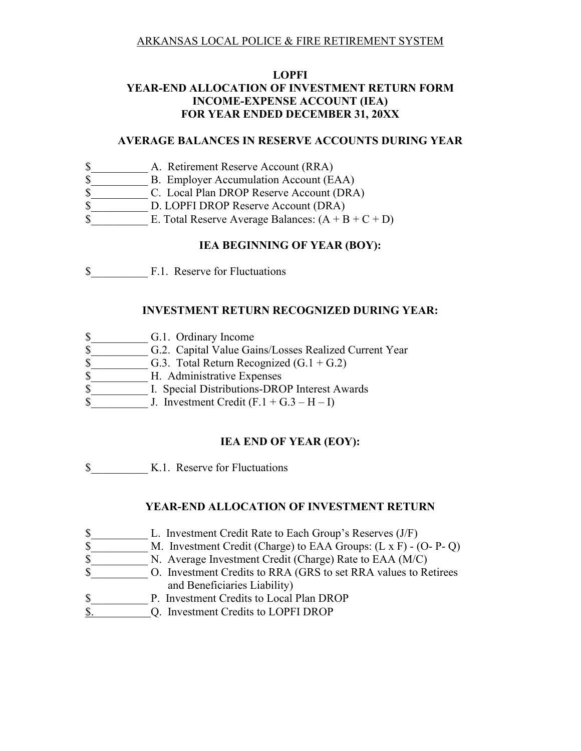# **LOPFI YEAR-END ALLOCATION OF INVESTMENT RETURN FORM INCOME-EXPENSE ACCOUNT (IEA) FOR YEAR ENDED DECEMBER 31, 20XX**

#### **AVERAGE BALANCES IN RESERVE ACCOUNTS DURING YEAR**

- \$ A. Retirement Reserve Account (RRA)
- \$ B. Employer Accumulation Account (EAA)
- \$ C. Local Plan DROP Reserve Account (DRA)
- \$ D. LOPFI DROP Reserve Account (DRA)
- $\text{\$}$  E. Total Reserve Average Balances:  $(A + B + C + D)$

# **IEA BEGINNING OF YEAR (BOY):**

\$ F.1. Reserve for Fluctuations

# **INVESTMENT RETURN RECOGNIZED DURING YEAR:**

- \$ G.1. Ordinary Income
- \$ 6.2. Capital Value Gains/Losses Realized Current Year
- $\$\$  G.3. Total Return Recognized (G.1 + G.2)
- \$ H. Administrative Expenses
- \$ [I. Special Distributions-DROP Interest Awards
- $\text{S}$  J. Investment Credit (F.1 + G.3 H I)

# **IEA END OF YEAR (EOY):**

\$\_\_\_\_\_\_\_\_\_\_ K.1. Reserve for Fluctuations

# **YEAR-END ALLOCATION OF INVESTMENT RETURN**

- \$ L. Investment Credit Rate to Each Group's Reserves (J/F)
- \$ M. Investment Credit (Charge) to EAA Groups: (L x F) (O- P- Q)
- \$ N. Average Investment Credit (Charge) Rate to EAA (M/C)
- \$\_\_\_\_\_\_\_\_\_\_ O. Investment Credits to RRA (GRS to set RRA values to Retirees and Beneficiaries Liability)
- \$\_\_\_\_\_\_\_\_\_\_ P. Investment Credits to Local Plan DROP
- \$. Q. Investment Credits to LOPFI DROP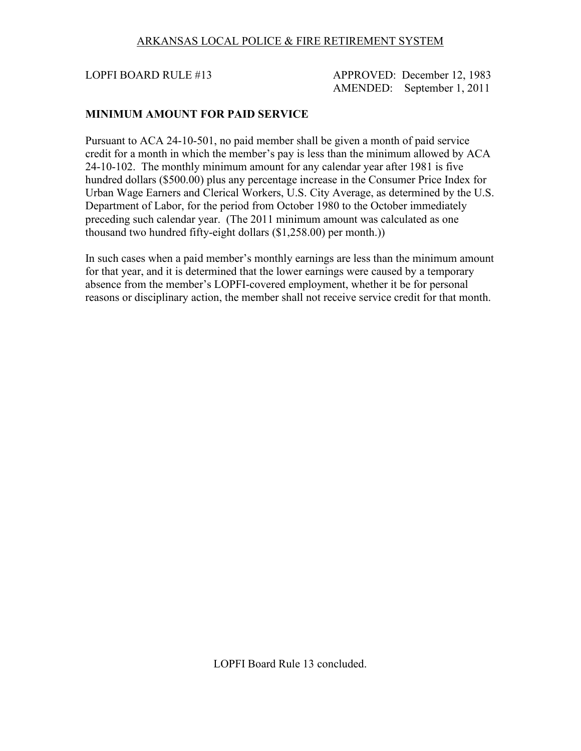<span id="page-28-0"></span>LOPFI BOARD RULE #13 APPROVED: December 12, 1983 AMENDED: September 1, 2011

## **MINIMUM AMOUNT FOR PAID SERVICE**

Pursuant to ACA 24-10-501, no paid member shall be given a month of paid service credit for a month in which the member's pay is less than the minimum allowed by ACA 24-10-102. The monthly minimum amount for any calendar year after 1981 is five hundred dollars (\$500.00) plus any percentage increase in the Consumer Price Index for Urban Wage Earners and Clerical Workers, U.S. City Average, as determined by the U.S. Department of Labor, for the period from October 1980 to the October immediately preceding such calendar year. (The 2011 minimum amount was calculated as one thousand two hundred fifty-eight dollars (\$1,258.00) per month.))

In such cases when a paid member's monthly earnings are less than the minimum amount for that year, and it is determined that the lower earnings were caused by a temporary absence from the member's LOPFI-covered employment, whether it be for personal reasons or disciplinary action, the member shall not receive service credit for that month.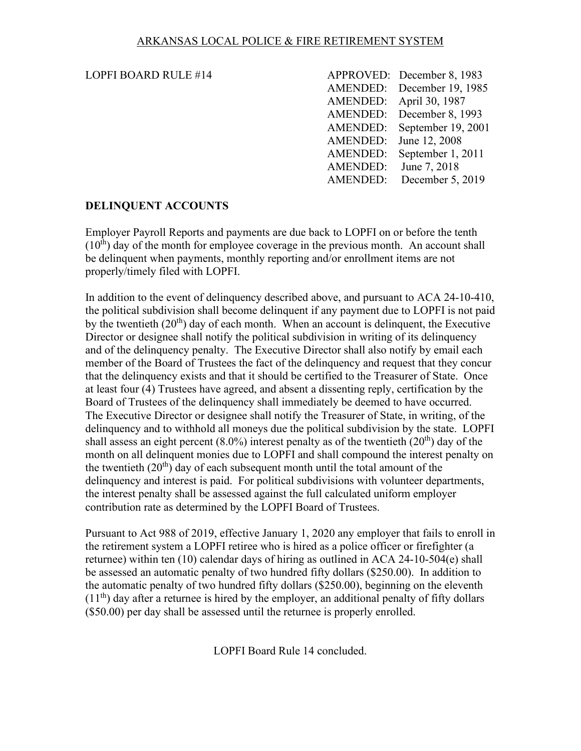#### <span id="page-29-0"></span>LOPFI BOARD RULE  $#14$

| <b>LOPFI BOARD RULE #14</b> |                       | APPROVED: December 8, 1983  |
|-----------------------------|-----------------------|-----------------------------|
|                             |                       | AMENDED: December 19, 1985  |
|                             |                       | AMENDED: April 30, 1987     |
|                             |                       | AMENDED: December 8, 1993   |
|                             |                       | AMENDED: September 19, 2001 |
|                             |                       | AMENDED: June 12, 2008      |
|                             |                       | AMENDED: September 1, 2011  |
|                             | AMENDED: June 7, 2018 |                             |
|                             |                       | AMENDED: December 5, 2019   |

# **DELINQUENT ACCOUNTS**

Employer Payroll Reports and payments are due back to LOPFI on or before the tenth  $(10<sup>th</sup>)$  day of the month for employee coverage in the previous month. An account shall be delinquent when payments, monthly reporting and/or enrollment items are not properly/timely filed with LOPFI.

In addition to the event of delinquency described above, and pursuant to ACA 24-10-410, the political subdivision shall become delinquent if any payment due to LOPFI is not paid by the twentieth  $(20<sup>th</sup>)$  day of each month. When an account is delinguent, the Executive Director or designee shall notify the political subdivision in writing of its delinquency and of the delinquency penalty. The Executive Director shall also notify by email each member of the Board of Trustees the fact of the delinquency and request that they concur that the delinquency exists and that it should be certified to the Treasurer of State. Once at least four (4) Trustees have agreed, and absent a dissenting reply, certification by the Board of Trustees of the delinquency shall immediately be deemed to have occurred. The Executive Director or designee shall notify the Treasurer of State, in writing, of the delinquency and to withhold all moneys due the political subdivision by the state. LOPFI shall assess an eight percent  $(8.0\%)$  interest penalty as of the twentieth  $(20<sup>th</sup>)$  day of the month on all delinquent monies due to LOPFI and shall compound the interest penalty on the twentieth  $(20<sup>th</sup>)$  day of each subsequent month until the total amount of the delinquency and interest is paid. For political subdivisions with volunteer departments, the interest penalty shall be assessed against the full calculated uniform employer contribution rate as determined by the LOPFI Board of Trustees.

Pursuant to Act 988 of 2019, effective January 1, 2020 any employer that fails to enroll in the retirement system a LOPFI retiree who is hired as a police officer or firefighter (a returnee) within ten (10) calendar days of hiring as outlined in ACA 24-10-504(e) shall be assessed an automatic penalty of two hundred fifty dollars (\$250.00). In addition to the automatic penalty of two hundred fifty dollars (\$250.00), beginning on the eleventh  $(11<sup>th</sup>)$  day after a returnee is hired by the employer, an additional penalty of fifty dollars (\$50.00) per day shall be assessed until the returnee is properly enrolled.

LOPFI Board Rule 14 concluded.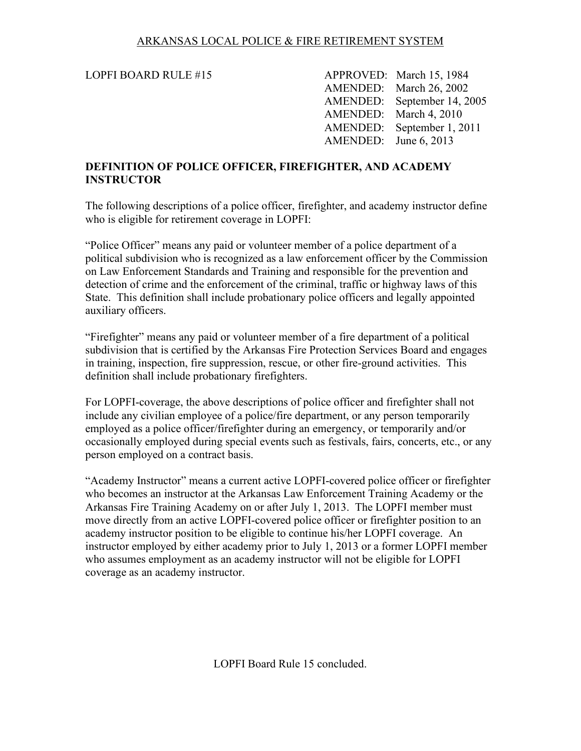<span id="page-30-0"></span>LOPFI BOARD RULE #15 APPROVED: March 15, 1984 AMENDED: March 26, 2002 AMENDED: September 14, 2005 AMENDED: March 4, 2010 AMENDED: September 1, 2011 AMENDED: June 6, 2013

#### **DEFINITION OF POLICE OFFICER, FIREFIGHTER, AND ACADEMY INSTRUCTOR**

The following descriptions of a police officer, firefighter, and academy instructor define who is eligible for retirement coverage in LOPFI:

"Police Officer" means any paid or volunteer member of a police department of a political subdivision who is recognized as a law enforcement officer by the Commission on Law Enforcement Standards and Training and responsible for the prevention and detection of crime and the enforcement of the criminal, traffic or highway laws of this State. This definition shall include probationary police officers and legally appointed auxiliary officers.

"Firefighter" means any paid or volunteer member of a fire department of a political subdivision that is certified by the Arkansas Fire Protection Services Board and engages in training, inspection, fire suppression, rescue, or other fire-ground activities. This definition shall include probationary firefighters.

For LOPFI-coverage, the above descriptions of police officer and firefighter shall not include any civilian employee of a police/fire department, or any person temporarily employed as a police officer/firefighter during an emergency, or temporarily and/or occasionally employed during special events such as festivals, fairs, concerts, etc., or any person employed on a contract basis.

"Academy Instructor" means a current active LOPFI-covered police officer or firefighter who becomes an instructor at the Arkansas Law Enforcement Training Academy or the Arkansas Fire Training Academy on or after July 1, 2013. The LOPFI member must move directly from an active LOPFI-covered police officer or firefighter position to an academy instructor position to be eligible to continue his/her LOPFI coverage. An instructor employed by either academy prior to July 1, 2013 or a former LOPFI member who assumes employment as an academy instructor will not be eligible for LOPFI coverage as an academy instructor.

LOPFI Board Rule 15 concluded.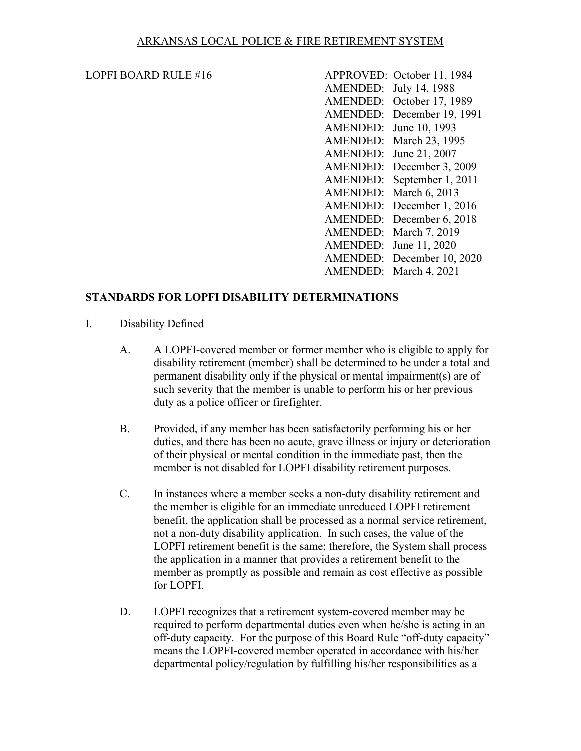#### <span id="page-31-0"></span>LOPFI BOARD RULE  $#16$

| <b>LOPFI BOARD RULE #16</b> |                        | APPROVED: October 11, 1984 |
|-----------------------------|------------------------|----------------------------|
|                             | AMENDED: July 14, 1988 |                            |
|                             |                        | AMENDED: October 17, 1989  |
|                             |                        | AMENDED: December 19, 1991 |
|                             |                        | AMENDED: June 10, 1993     |
|                             |                        | AMENDED: March 23, 1995    |
|                             |                        | AMENDED: June 21, 2007     |
|                             |                        | AMENDED: December 3, 2009  |
|                             |                        | AMENDED: September 1, 2011 |
|                             |                        | AMENDED: March 6, 2013     |
|                             |                        | AMENDED: December 1, 2016  |
|                             |                        | AMENDED: December 6, 2018  |
|                             |                        | AMENDED: March 7, 2019     |
|                             |                        | AMENDED: June 11, 2020     |
|                             |                        | AMENDED: December 10, 2020 |
|                             |                        | AMENDED: March 4, 2021     |

#### **STANDARDS FOR LOPFI DISABILITY DETERMINATIONS**

- I. Disability Defined
	- A. A LOPFI-covered member or former member who is eligible to apply for disability retirement (member) shall be determined to be under a total and permanent disability only if the physical or mental impairment(s) are of such severity that the member is unable to perform his or her previous duty as a police officer or firefighter.
	- B. Provided, if any member has been satisfactorily performing his or her duties, and there has been no acute, grave illness or injury or deterioration of their physical or mental condition in the immediate past, then the member is not disabled for LOPFI disability retirement purposes.
	- C. In instances where a member seeks a non-duty disability retirement and the member is eligible for an immediate unreduced LOPFI retirement benefit, the application shall be processed as a normal service retirement, not a non-duty disability application. In such cases, the value of the LOPFI retirement benefit is the same; therefore, the System shall process the application in a manner that provides a retirement benefit to the member as promptly as possible and remain as cost effective as possible for LOPFI.
	- D. LOPFI recognizes that a retirement system-covered member may be required to perform departmental duties even when he/she is acting in an off-duty capacity. For the purpose of this Board Rule "off-duty capacity" means the LOPFI-covered member operated in accordance with his/her departmental policy/regulation by fulfilling his/her responsibilities as a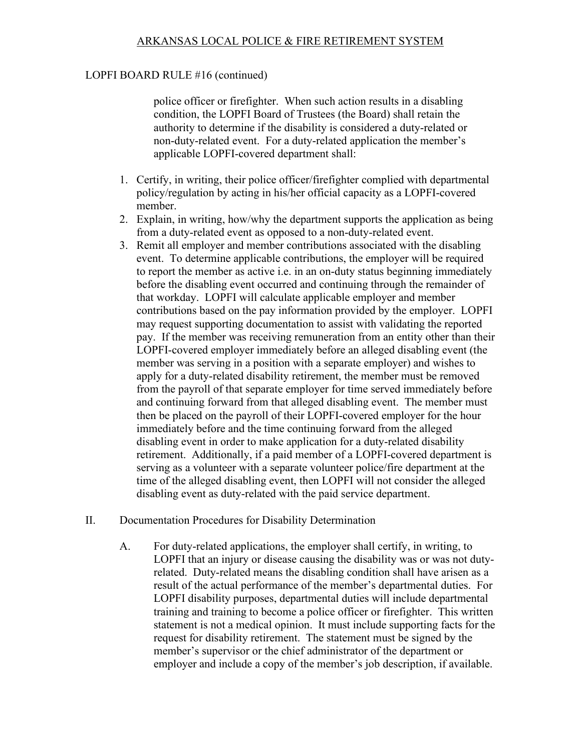# LOPFI BOARD RULE #16 (continued)

police officer or firefighter. When such action results in a disabling condition, the LOPFI Board of Trustees (the Board) shall retain the authority to determine if the disability is considered a duty-related or non-duty-related event. For a duty-related application the member's applicable LOPFI-covered department shall:

- 1. Certify, in writing, their police officer/firefighter complied with departmental policy/regulation by acting in his/her official capacity as a LOPFI-covered member.
- 2. Explain, in writing, how/why the department supports the application as being from a duty-related event as opposed to a non-duty-related event.
- 3. Remit all employer and member contributions associated with the disabling event. To determine applicable contributions, the employer will be required to report the member as active i.e. in an on-duty status beginning immediately before the disabling event occurred and continuing through the remainder of that workday. LOPFI will calculate applicable employer and member contributions based on the pay information provided by the employer. LOPFI may request supporting documentation to assist with validating the reported pay. If the member was receiving remuneration from an entity other than their LOPFI-covered employer immediately before an alleged disabling event (the member was serving in a position with a separate employer) and wishes to apply for a duty-related disability retirement, the member must be removed from the payroll of that separate employer for time served immediately before and continuing forward from that alleged disabling event. The member must then be placed on the payroll of their LOPFI-covered employer for the hour immediately before and the time continuing forward from the alleged disabling event in order to make application for a duty-related disability retirement. Additionally, if a paid member of a LOPFI-covered department is serving as a volunteer with a separate volunteer police/fire department at the time of the alleged disabling event, then LOPFI will not consider the alleged disabling event as duty-related with the paid service department.
- II. Documentation Procedures for Disability Determination
	- A. For duty-related applications, the employer shall certify, in writing, to LOPFI that an injury or disease causing the disability was or was not dutyrelated. Duty-related means the disabling condition shall have arisen as a result of the actual performance of the member's departmental duties. For LOPFI disability purposes, departmental duties will include departmental training and training to become a police officer or firefighter. This written statement is not a medical opinion. It must include supporting facts for the request for disability retirement. The statement must be signed by the member's supervisor or the chief administrator of the department or employer and include a copy of the member's job description, if available.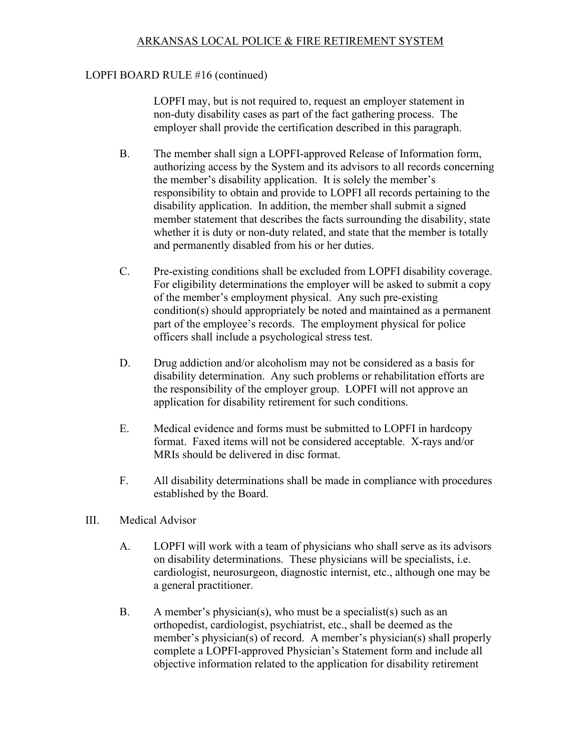## LOPFI BOARD RULE #16 (continued)

LOPFI may, but is not required to, request an employer statement in non-duty disability cases as part of the fact gathering process. The employer shall provide the certification described in this paragraph.

- B. The member shall sign a LOPFI-approved Release of Information form, authorizing access by the System and its advisors to all records concerning the member's disability application. It is solely the member's responsibility to obtain and provide to LOPFI all records pertaining to the disability application. In addition, the member shall submit a signed member statement that describes the facts surrounding the disability, state whether it is duty or non-duty related, and state that the member is totally and permanently disabled from his or her duties.
- C. Pre-existing conditions shall be excluded from LOPFI disability coverage. For eligibility determinations the employer will be asked to submit a copy of the member's employment physical. Any such pre-existing condition(s) should appropriately be noted and maintained as a permanent part of the employee's records. The employment physical for police officers shall include a psychological stress test.
- D. Drug addiction and/or alcoholism may not be considered as a basis for disability determination. Any such problems or rehabilitation efforts are the responsibility of the employer group. LOPFI will not approve an application for disability retirement for such conditions.
- E. Medical evidence and forms must be submitted to LOPFI in hardcopy format. Faxed items will not be considered acceptable. X-rays and/or MRIs should be delivered in disc format.
- F. All disability determinations shall be made in compliance with procedures established by the Board.
- III. Medical Advisor
	- A. LOPFI will work with a team of physicians who shall serve as its advisors on disability determinations. These physicians will be specialists, i.e. cardiologist, neurosurgeon, diagnostic internist, etc., although one may be a general practitioner.
	- B. A member's physician(s), who must be a specialist(s) such as an orthopedist, cardiologist, psychiatrist, etc., shall be deemed as the member's physician(s) of record. A member's physician(s) shall properly complete a LOPFI-approved Physician's Statement form and include all objective information related to the application for disability retirement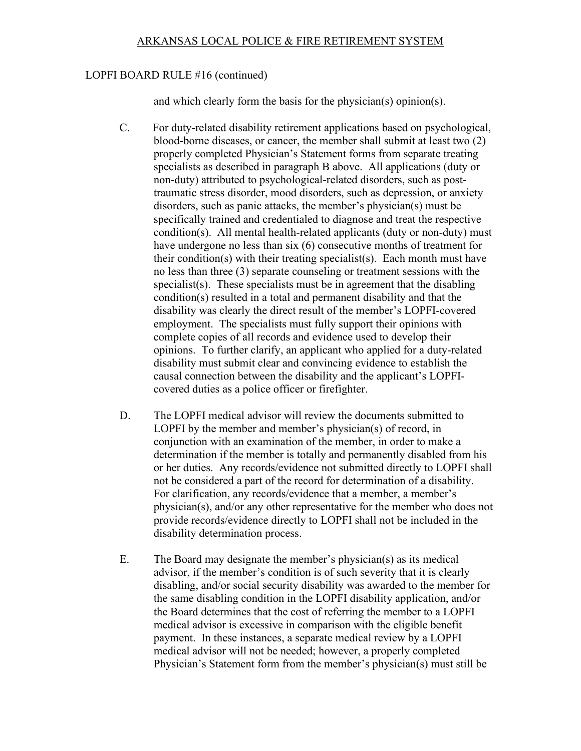#### LOPFI BOARD RULE #16 (continued)

and which clearly form the basis for the physician(s) opinion(s).

- C. For duty-related disability retirement applications based on psychological, blood-borne diseases, or cancer, the member shall submit at least two (2) properly completed Physician's Statement forms from separate treating specialists as described in paragraph B above. All applications (duty or non-duty) attributed to psychological-related disorders, such as posttraumatic stress disorder, mood disorders, such as depression, or anxiety disorders, such as panic attacks, the member's physician(s) must be specifically trained and credentialed to diagnose and treat the respective condition(s). All mental health-related applicants (duty or non-duty) must have undergone no less than six (6) consecutive months of treatment for their condition(s) with their treating specialist(s). Each month must have no less than three (3) separate counseling or treatment sessions with the specialist(s). These specialists must be in agreement that the disabling condition(s) resulted in a total and permanent disability and that the disability was clearly the direct result of the member's LOPFI-covered employment. The specialists must fully support their opinions with complete copies of all records and evidence used to develop their opinions. To further clarify, an applicant who applied for a duty-related disability must submit clear and convincing evidence to establish the causal connection between the disability and the applicant's LOPFIcovered duties as a police officer or firefighter.
- D. The LOPFI medical advisor will review the documents submitted to LOPFI by the member and member's physician(s) of record, in conjunction with an examination of the member, in order to make a determination if the member is totally and permanently disabled from his or her duties. Any records/evidence not submitted directly to LOPFI shall not be considered a part of the record for determination of a disability. For clarification, any records/evidence that a member, a member's physician(s), and/or any other representative for the member who does not provide records/evidence directly to LOPFI shall not be included in the disability determination process.
- E. The Board may designate the member's physician(s) as its medical advisor, if the member's condition is of such severity that it is clearly disabling, and/or social security disability was awarded to the member for the same disabling condition in the LOPFI disability application, and/or the Board determines that the cost of referring the member to a LOPFI medical advisor is excessive in comparison with the eligible benefit payment. In these instances, a separate medical review by a LOPFI medical advisor will not be needed; however, a properly completed Physician's Statement form from the member's physician(s) must still be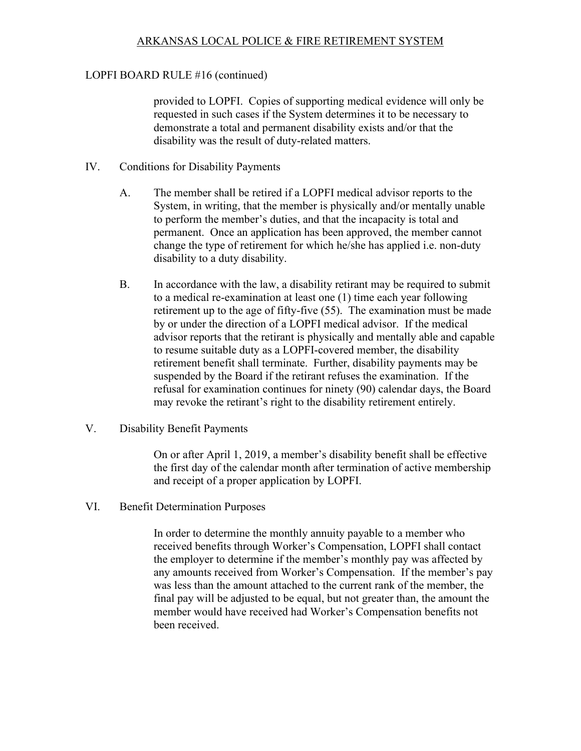# LOPFI BOARD RULE #16 (continued)

provided to LOPFI. Copies of supporting medical evidence will only be requested in such cases if the System determines it to be necessary to demonstrate a total and permanent disability exists and/or that the disability was the result of duty-related matters.

- IV. Conditions for Disability Payments
	- A. The member shall be retired if a LOPFI medical advisor reports to the System, in writing, that the member is physically and/or mentally unable to perform the member's duties, and that the incapacity is total and permanent. Once an application has been approved, the member cannot change the type of retirement for which he/she has applied i.e. non-duty disability to a duty disability.
	- B. In accordance with the law, a disability retirant may be required to submit to a medical re-examination at least one (1) time each year following retirement up to the age of fifty-five (55). The examination must be made by or under the direction of a LOPFI medical advisor. If the medical advisor reports that the retirant is physically and mentally able and capable to resume suitable duty as a LOPFI-covered member, the disability retirement benefit shall terminate. Further, disability payments may be suspended by the Board if the retirant refuses the examination. If the refusal for examination continues for ninety (90) calendar days, the Board may revoke the retirant's right to the disability retirement entirely.
- V. Disability Benefit Payments

On or after April 1, 2019, a member's disability benefit shall be effective the first day of the calendar month after termination of active membership and receipt of a proper application by LOPFI.

VI. Benefit Determination Purposes

In order to determine the monthly annuity payable to a member who received benefits through Worker's Compensation, LOPFI shall contact the employer to determine if the member's monthly pay was affected by any amounts received from Worker's Compensation. If the member's pay was less than the amount attached to the current rank of the member, the final pay will be adjusted to be equal, but not greater than, the amount the member would have received had Worker's Compensation benefits not been received.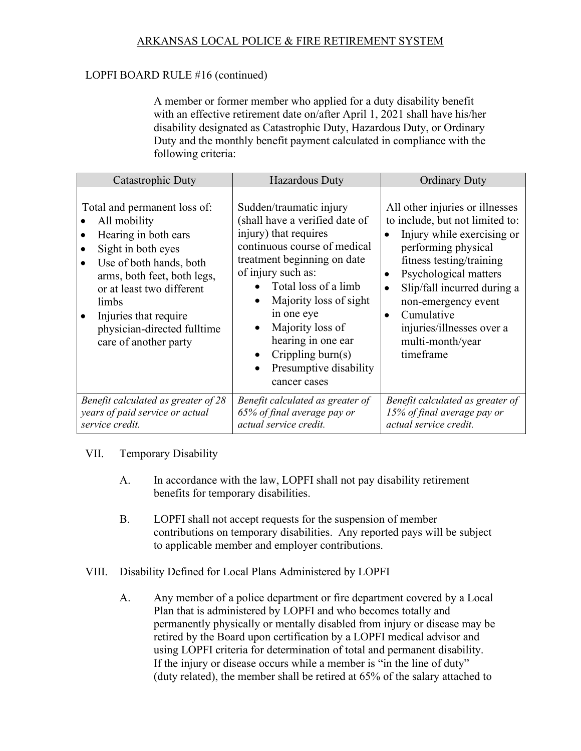## LOPFI BOARD RULE #16 (continued)

A member or former member who applied for a duty disability benefit with an effective retirement date on/after April 1, 2021 shall have his/her disability designated as Catastrophic Duty, Hazardous Duty, or Ordinary Duty and the monthly benefit payment calculated in compliance with the following criteria:

| Catastrophic Duty                                                                                                                                                                                                                                                           | <b>Hazardous Duty</b>                                                                                                                                                                                                                                                                                                                               | <b>Ordinary Duty</b>                                                                                                                                                                                                                                                                                                                                               |
|-----------------------------------------------------------------------------------------------------------------------------------------------------------------------------------------------------------------------------------------------------------------------------|-----------------------------------------------------------------------------------------------------------------------------------------------------------------------------------------------------------------------------------------------------------------------------------------------------------------------------------------------------|--------------------------------------------------------------------------------------------------------------------------------------------------------------------------------------------------------------------------------------------------------------------------------------------------------------------------------------------------------------------|
| Total and permanent loss of:<br>All mobility<br>Hearing in both ears<br>Sight in both eyes<br>Use of both hands, both<br>arms, both feet, both legs,<br>or at least two different<br>limbs<br>Injuries that require<br>physician-directed fulltime<br>care of another party | Sudden/traumatic injury<br>(shall have a verified date of<br>injury) that requires<br>continuous course of medical<br>treatment beginning on date<br>of injury such as:<br>Total loss of a limb<br>Majority loss of sight<br>in one eye<br>Majority loss of<br>hearing in one ear<br>Crippling burn $(s)$<br>Presumptive disability<br>cancer cases | All other injuries or illnesses<br>to include, but not limited to:<br>Injury while exercising or<br>$\bullet$<br>performing physical<br>fitness testing/training<br>Psychological matters<br>$\bullet$<br>Slip/fall incurred during a<br>$\bullet$<br>non-emergency event<br>Cumulative<br>$\bullet$<br>injuries/illnesses over a<br>multi-month/year<br>timeframe |
| Benefit calculated as greater of 28<br>years of paid service or actual<br>service credit.                                                                                                                                                                                   | Benefit calculated as greater of<br>65% of final average pay or<br>actual service credit.                                                                                                                                                                                                                                                           | Benefit calculated as greater of<br>15% of final average pay or<br>actual service credit.                                                                                                                                                                                                                                                                          |

## VII. Temporary Disability

- A. In accordance with the law, LOPFI shall not pay disability retirement benefits for temporary disabilities.
- B. LOPFI shall not accept requests for the suspension of member contributions on temporary disabilities. Any reported pays will be subject to applicable member and employer contributions.
- VIII. Disability Defined for Local Plans Administered by LOPFI
	- A. Any member of a police department or fire department covered by a Local Plan that is administered by LOPFI and who becomes totally and permanently physically or mentally disabled from injury or disease may be retired by the Board upon certification by a LOPFI medical advisor and using LOPFI criteria for determination of total and permanent disability. If the injury or disease occurs while a member is "in the line of duty" (duty related), the member shall be retired at 65% of the salary attached to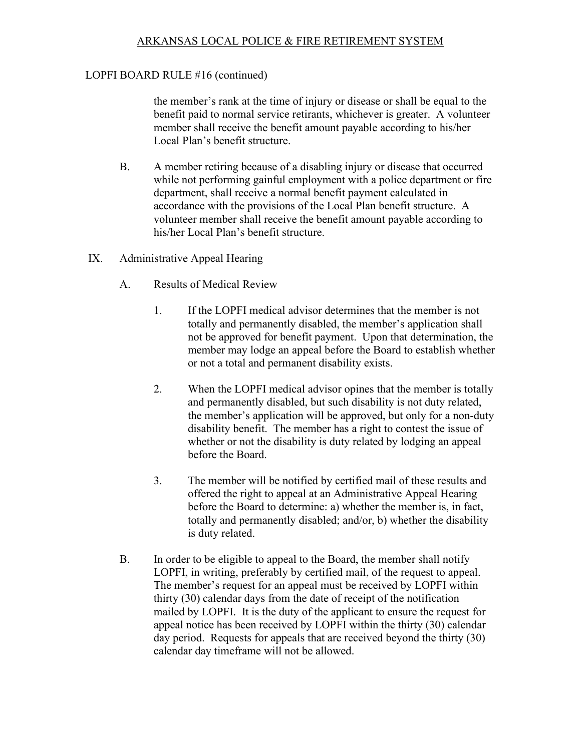#### LOPFI BOARD RULE #16 (continued)

the member's rank at the time of injury or disease or shall be equal to the benefit paid to normal service retirants, whichever is greater. A volunteer member shall receive the benefit amount payable according to his/her Local Plan's benefit structure.

- B. A member retiring because of a disabling injury or disease that occurred while not performing gainful employment with a police department or fire department, shall receive a normal benefit payment calculated in accordance with the provisions of the Local Plan benefit structure. A volunteer member shall receive the benefit amount payable according to his/her Local Plan's benefit structure.
- IX. Administrative Appeal Hearing
	- A. Results of Medical Review
		- 1. If the LOPFI medical advisor determines that the member is not totally and permanently disabled, the member's application shall not be approved for benefit payment. Upon that determination, the member may lodge an appeal before the Board to establish whether or not a total and permanent disability exists.
		- 2. When the LOPFI medical advisor opines that the member is totally and permanently disabled, but such disability is not duty related, the member's application will be approved, but only for a non-duty disability benefit. The member has a right to contest the issue of whether or not the disability is duty related by lodging an appeal before the Board.
		- 3. The member will be notified by certified mail of these results and offered the right to appeal at an Administrative Appeal Hearing before the Board to determine: a) whether the member is, in fact, totally and permanently disabled; and/or, b) whether the disability is duty related.
	- B. In order to be eligible to appeal to the Board, the member shall notify LOPFI, in writing, preferably by certified mail, of the request to appeal. The member's request for an appeal must be received by LOPFI within thirty (30) calendar days from the date of receipt of the notification mailed by LOPFI. It is the duty of the applicant to ensure the request for appeal notice has been received by LOPFI within the thirty (30) calendar day period. Requests for appeals that are received beyond the thirty (30) calendar day timeframe will not be allowed.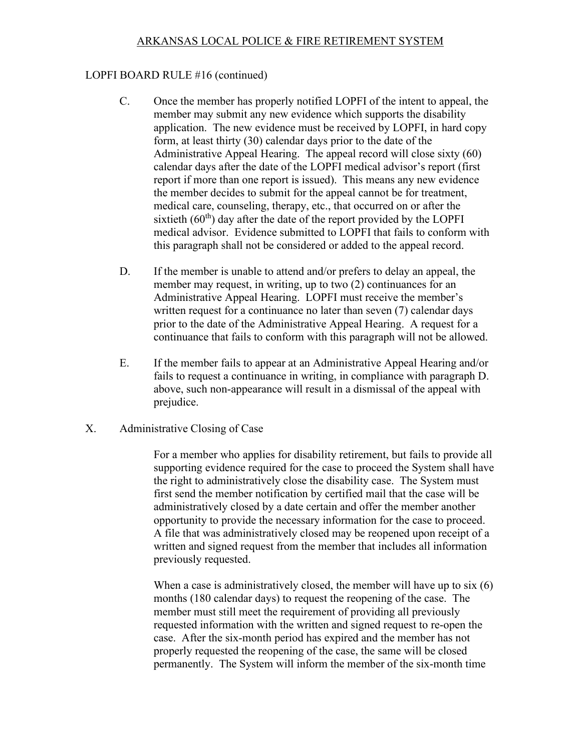#### LOPFI BOARD RULE #16 (continued)

- C. Once the member has properly notified LOPFI of the intent to appeal, the member may submit any new evidence which supports the disability application. The new evidence must be received by LOPFI, in hard copy form, at least thirty (30) calendar days prior to the date of the Administrative Appeal Hearing. The appeal record will close sixty (60) calendar days after the date of the LOPFI medical advisor's report (first report if more than one report is issued). This means any new evidence the member decides to submit for the appeal cannot be for treatment, medical care, counseling, therapy, etc., that occurred on or after the sixtieth  $(60<sup>th</sup>)$  day after the date of the report provided by the LOPFI medical advisor. Evidence submitted to LOPFI that fails to conform with this paragraph shall not be considered or added to the appeal record.
- D. If the member is unable to attend and/or prefers to delay an appeal, the member may request, in writing, up to two (2) continuances for an Administrative Appeal Hearing. LOPFI must receive the member's written request for a continuance no later than seven (7) calendar days prior to the date of the Administrative Appeal Hearing. A request for a continuance that fails to conform with this paragraph will not be allowed.
- E. If the member fails to appear at an Administrative Appeal Hearing and/or fails to request a continuance in writing, in compliance with paragraph D. above, such non-appearance will result in a dismissal of the appeal with prejudice.
- X. Administrative Closing of Case

For a member who applies for disability retirement, but fails to provide all supporting evidence required for the case to proceed the System shall have the right to administratively close the disability case. The System must first send the member notification by certified mail that the case will be administratively closed by a date certain and offer the member another opportunity to provide the necessary information for the case to proceed. A file that was administratively closed may be reopened upon receipt of a written and signed request from the member that includes all information previously requested.

When a case is administratively closed, the member will have up to six (6) months (180 calendar days) to request the reopening of the case. The member must still meet the requirement of providing all previously requested information with the written and signed request to re-open the case. After the six-month period has expired and the member has not properly requested the reopening of the case, the same will be closed permanently. The System will inform the member of the six-month time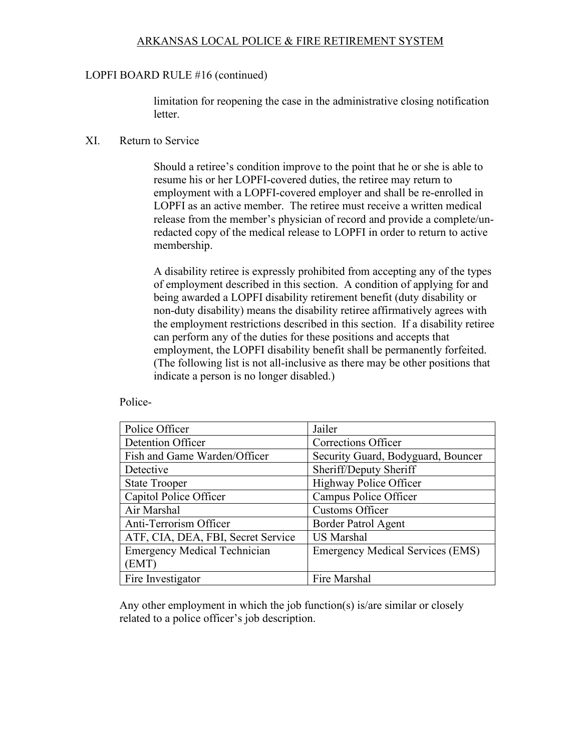#### LOPFI BOARD RULE #16 (continued)

limitation for reopening the case in the administrative closing notification letter.

#### XI. Return to Service

Should a retiree's condition improve to the point that he or she is able to resume his or her LOPFI-covered duties, the retiree may return to employment with a LOPFI-covered employer and shall be re-enrolled in LOPFI as an active member. The retiree must receive a written medical release from the member's physician of record and provide a complete/unredacted copy of the medical release to LOPFI in order to return to active membership.

A disability retiree is expressly prohibited from accepting any of the types of employment described in this section. A condition of applying for and being awarded a LOPFI disability retirement benefit (duty disability or non-duty disability) means the disability retiree affirmatively agrees with the employment restrictions described in this section. If a disability retiree can perform any of the duties for these positions and accepts that employment, the LOPFI disability benefit shall be permanently forfeited. (The following list is not all-inclusive as there may be other positions that indicate a person is no longer disabled.)

Police-

| Police Officer                      | Jailer                                  |
|-------------------------------------|-----------------------------------------|
| Detention Officer                   | Corrections Officer                     |
| Fish and Game Warden/Officer        | Security Guard, Bodyguard, Bouncer      |
| Detective                           | Sheriff/Deputy Sheriff                  |
| <b>State Trooper</b>                | Highway Police Officer                  |
| Capitol Police Officer              | Campus Police Officer                   |
| Air Marshal                         | <b>Customs Officer</b>                  |
| Anti-Terrorism Officer              | <b>Border Patrol Agent</b>              |
| ATF, CIA, DEA, FBI, Secret Service  | <b>US Marshal</b>                       |
| <b>Emergency Medical Technician</b> | <b>Emergency Medical Services (EMS)</b> |
| (EMT)                               |                                         |
| Fire Investigator                   | Fire Marshal                            |

Any other employment in which the job function(s) is/are similar or closely related to a police officer's job description.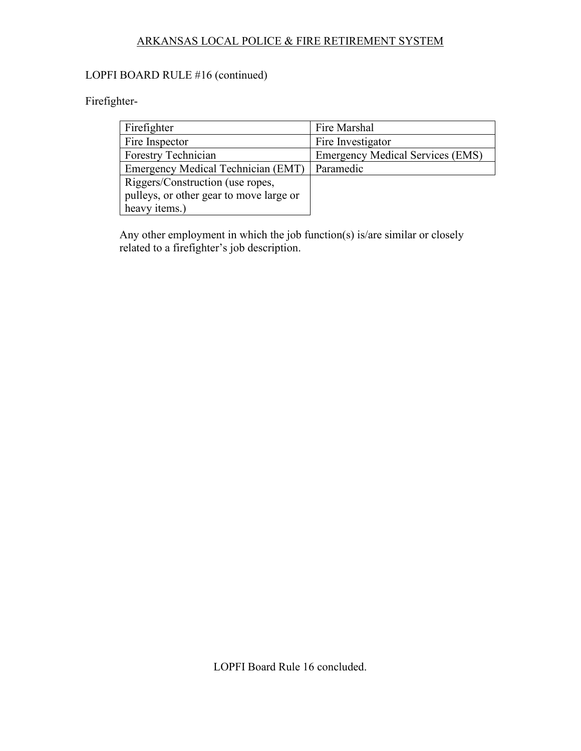# LOPFI BOARD RULE #16 (continued)

# Firefighter-

| Firefighter                             | Fire Marshal                            |
|-----------------------------------------|-----------------------------------------|
| Fire Inspector                          | Fire Investigator                       |
| Forestry Technician                     | <b>Emergency Medical Services (EMS)</b> |
| Emergency Medical Technician (EMT)      | Paramedic                               |
| Riggers/Construction (use ropes,        |                                         |
| pulleys, or other gear to move large or |                                         |
| heavy items.)                           |                                         |

Any other employment in which the job function(s) is/are similar or closely related to a firefighter's job description.

LOPFI Board Rule 16 concluded.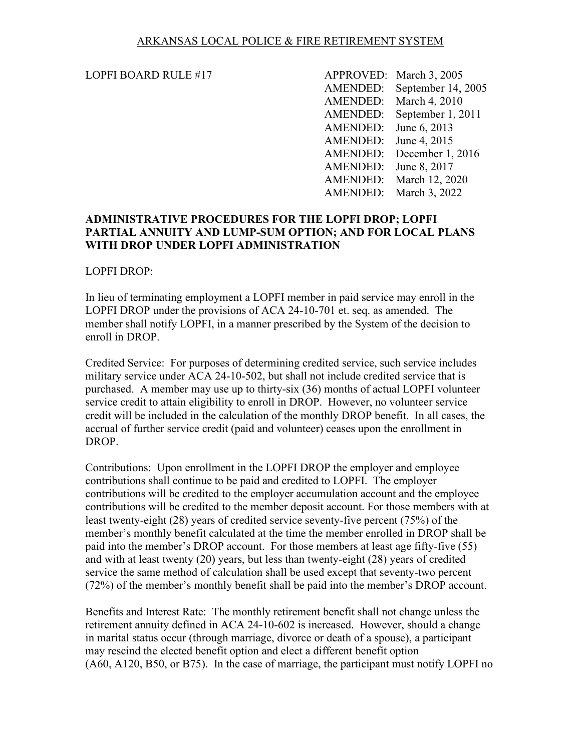LOPFI BOARD RULE #17 APPROVED: March 3, 2005 AMENDED: September 14, 2005 AMENDED: March 4, 2010 AMENDED: September 1, 2011 AMENDED: June 6, 2013 AMENDED: June 4, 2015 AMENDED: December 1, 2016 AMENDED: June 8, 2017 AMENDED: March 12, 2020 AMENDED: March 3, 2022

#### **ADMINISTRATIVE PROCEDURES FOR THE LOPFI DROP; LOPFI PARTIAL ANNUITY AND LUMP-SUM OPTION; AND FOR LOCAL PLANS WITH DROP UNDER LOPFI ADMINISTRATION**

#### LOPFI DROP:

In lieu of terminating employment a LOPFI member in paid service may enroll in the LOPFI DROP under the provisions of ACA 24-10-701 et. seq. as amended. The member shall notify LOPFI, in a manner prescribed by the System of the decision to enroll in DROP.

Credited Service: For purposes of determining credited service, such service includes military service under ACA 24-10-502, but shall not include credited service that is purchased. A member may use up to thirty-six (36) months of actual LOPFI volunteer service credit to attain eligibility to enroll in DROP. However, no volunteer service credit will be included in the calculation of the monthly DROP benefit. In all cases, the accrual of further service credit (paid and volunteer) ceases upon the enrollment in DROP.

Contributions: Upon enrollment in the LOPFI DROP the employer and employee contributions shall continue to be paid and credited to LOPFI. The employer contributions will be credited to the employer accumulation account and the employee contributions will be credited to the member deposit account. For those members with at least twenty-eight (28) years of credited service seventy-five percent (75%) of the member's monthly benefit calculated at the time the member enrolled in DROP shall be paid into the member's DROP account. For those members at least age fifty-five (55) and with at least twenty (20) years, but less than twenty-eight (28) years of credited service the same method of calculation shall be used except that seventy-two percent (72%) of the member's monthly benefit shall be paid into the member's DROP account.

Benefits and Interest Rate: The monthly retirement benefit shall not change unless the retirement annuity defined in ACA 24-10-602 is increased. However, should a change in marital status occur (through marriage, divorce or death of a spouse), a participant may rescind the elected benefit option and elect a different benefit option (A60, A120, B50, or B75). In the case of marriage, the participant must notify LOPFI no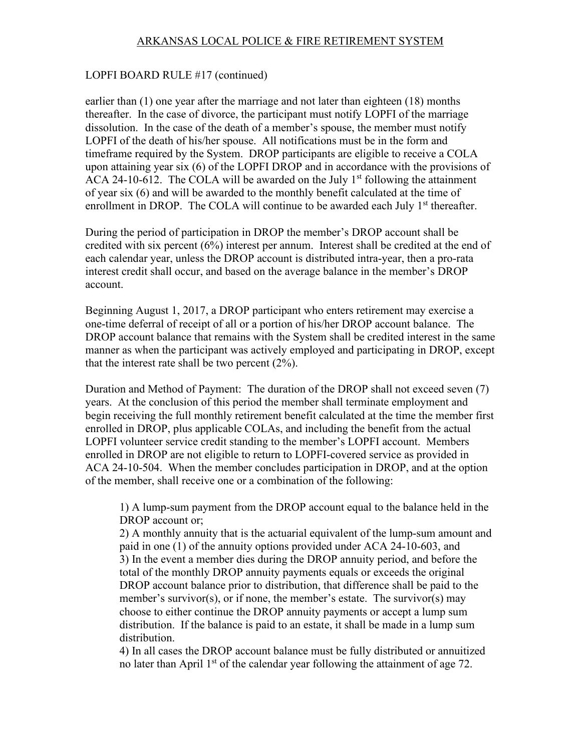#### LOPFI BOARD RULE #17 (continued)

earlier than (1) one year after the marriage and not later than eighteen (18) months thereafter. In the case of divorce, the participant must notify LOPFI of the marriage dissolution. In the case of the death of a member's spouse, the member must notify LOPFI of the death of his/her spouse. All notifications must be in the form and timeframe required by the System. DROP participants are eligible to receive a COLA upon attaining year six (6) of the LOPFI DROP and in accordance with the provisions of ACA 24-10-612. The COLA will be awarded on the July  $1<sup>st</sup>$  following the attainment of year six (6) and will be awarded to the monthly benefit calculated at the time of enrollment in DROP. The COLA will continue to be awarded each July 1<sup>st</sup> thereafter.

During the period of participation in DROP the member's DROP account shall be credited with six percent (6%) interest per annum. Interest shall be credited at the end of each calendar year, unless the DROP account is distributed intra-year, then a pro-rata interest credit shall occur, and based on the average balance in the member's DROP account.

Beginning August 1, 2017, a DROP participant who enters retirement may exercise a one-time deferral of receipt of all or a portion of his/her DROP account balance. The DROP account balance that remains with the System shall be credited interest in the same manner as when the participant was actively employed and participating in DROP, except that the interest rate shall be two percent (2%).

Duration and Method of Payment: The duration of the DROP shall not exceed seven (7) years. At the conclusion of this period the member shall terminate employment and begin receiving the full monthly retirement benefit calculated at the time the member first enrolled in DROP, plus applicable COLAs, and including the benefit from the actual LOPFI volunteer service credit standing to the member's LOPFI account. Members enrolled in DROP are not eligible to return to LOPFI-covered service as provided in ACA 24-10-504. When the member concludes participation in DROP, and at the option of the member, shall receive one or a combination of the following:

1) A lump-sum payment from the DROP account equal to the balance held in the DROP account or;

2) A monthly annuity that is the actuarial equivalent of the lump-sum amount and paid in one (1) of the annuity options provided under ACA 24-10-603, and 3) In the event a member dies during the DROP annuity period, and before the total of the monthly DROP annuity payments equals or exceeds the original DROP account balance prior to distribution, that difference shall be paid to the member's survivor(s), or if none, the member's estate. The survivor(s) may choose to either continue the DROP annuity payments or accept a lump sum distribution. If the balance is paid to an estate, it shall be made in a lump sum distribution.

4) In all cases the DROP account balance must be fully distributed or annuitized no later than April  $1<sup>st</sup>$  of the calendar year following the attainment of age 72.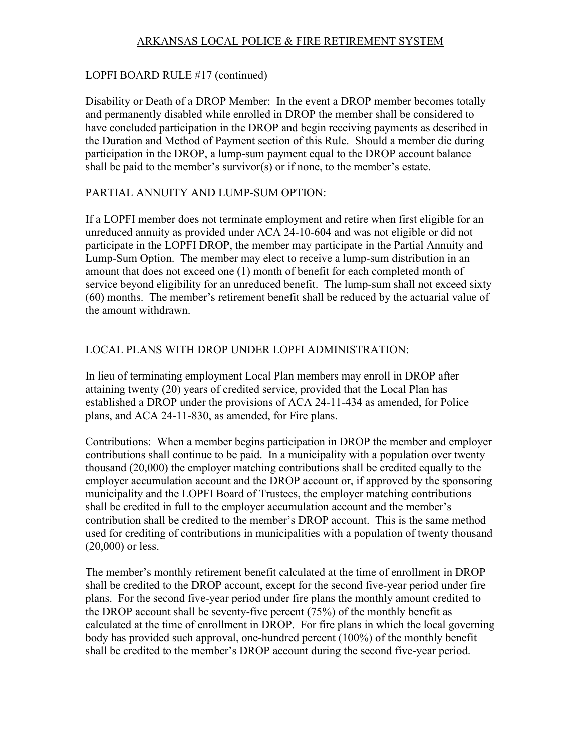## LOPFI BOARD RULE #17 (continued)

Disability or Death of a DROP Member: In the event a DROP member becomes totally and permanently disabled while enrolled in DROP the member shall be considered to have concluded participation in the DROP and begin receiving payments as described in the Duration and Method of Payment section of this Rule. Should a member die during participation in the DROP, a lump-sum payment equal to the DROP account balance shall be paid to the member's survivor(s) or if none, to the member's estate.

## PARTIAL ANNUITY AND LUMP-SUM OPTION:

If a LOPFI member does not terminate employment and retire when first eligible for an unreduced annuity as provided under ACA 24-10-604 and was not eligible or did not participate in the LOPFI DROP, the member may participate in the Partial Annuity and Lump-Sum Option. The member may elect to receive a lump-sum distribution in an amount that does not exceed one (1) month of benefit for each completed month of service beyond eligibility for an unreduced benefit. The lump-sum shall not exceed sixty (60) months. The member's retirement benefit shall be reduced by the actuarial value of the amount withdrawn.

## LOCAL PLANS WITH DROP UNDER LOPFI ADMINISTRATION:

In lieu of terminating employment Local Plan members may enroll in DROP after attaining twenty (20) years of credited service, provided that the Local Plan has established a DROP under the provisions of ACA 24-11-434 as amended, for Police plans, and ACA 24-11-830, as amended, for Fire plans.

Contributions: When a member begins participation in DROP the member and employer contributions shall continue to be paid. In a municipality with a population over twenty thousand (20,000) the employer matching contributions shall be credited equally to the employer accumulation account and the DROP account or, if approved by the sponsoring municipality and the LOPFI Board of Trustees, the employer matching contributions shall be credited in full to the employer accumulation account and the member's contribution shall be credited to the member's DROP account. This is the same method used for crediting of contributions in municipalities with a population of twenty thousand (20,000) or less.

The member's monthly retirement benefit calculated at the time of enrollment in DROP shall be credited to the DROP account, except for the second five-year period under fire plans. For the second five-year period under fire plans the monthly amount credited to the DROP account shall be seventy-five percent (75%) of the monthly benefit as calculated at the time of enrollment in DROP. For fire plans in which the local governing body has provided such approval, one-hundred percent (100%) of the monthly benefit shall be credited to the member's DROP account during the second five-year period.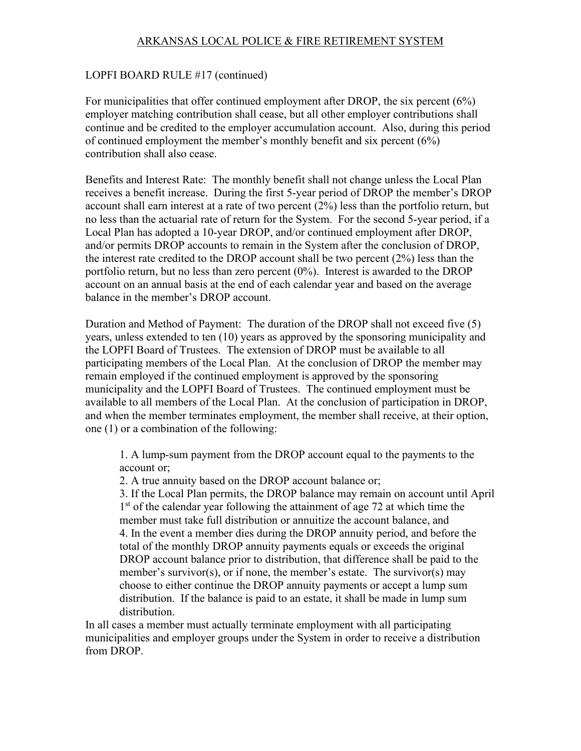#### LOPFI BOARD RULE #17 (continued)

For municipalities that offer continued employment after DROP, the six percent (6%) employer matching contribution shall cease, but all other employer contributions shall continue and be credited to the employer accumulation account. Also, during this period of continued employment the member's monthly benefit and six percent (6%) contribution shall also cease.

Benefits and Interest Rate: The monthly benefit shall not change unless the Local Plan receives a benefit increase. During the first 5-year period of DROP the member's DROP account shall earn interest at a rate of two percent (2%) less than the portfolio return, but no less than the actuarial rate of return for the System. For the second 5-year period, if a Local Plan has adopted a 10-year DROP, and/or continued employment after DROP, and/or permits DROP accounts to remain in the System after the conclusion of DROP, the interest rate credited to the DROP account shall be two percent (2%) less than the portfolio return, but no less than zero percent (0%). Interest is awarded to the DROP account on an annual basis at the end of each calendar year and based on the average balance in the member's DROP account.

Duration and Method of Payment: The duration of the DROP shall not exceed five (5) years, unless extended to ten (10) years as approved by the sponsoring municipality and the LOPFI Board of Trustees. The extension of DROP must be available to all participating members of the Local Plan. At the conclusion of DROP the member may remain employed if the continued employment is approved by the sponsoring municipality and the LOPFI Board of Trustees. The continued employment must be available to all members of the Local Plan. At the conclusion of participation in DROP, and when the member terminates employment, the member shall receive, at their option, one (1) or a combination of the following:

1. A lump-sum payment from the DROP account equal to the payments to the account or;

2. A true annuity based on the DROP account balance or;

3. If the Local Plan permits, the DROP balance may remain on account until April 1<sup>st</sup> of the calendar year following the attainment of age 72 at which time the member must take full distribution or annuitize the account balance, and 4. In the event a member dies during the DROP annuity period, and before the total of the monthly DROP annuity payments equals or exceeds the original DROP account balance prior to distribution, that difference shall be paid to the member's survivor(s), or if none, the member's estate. The survivor(s) may choose to either continue the DROP annuity payments or accept a lump sum distribution. If the balance is paid to an estate, it shall be made in lump sum distribution.

In all cases a member must actually terminate employment with all participating municipalities and employer groups under the System in order to receive a distribution from DROP.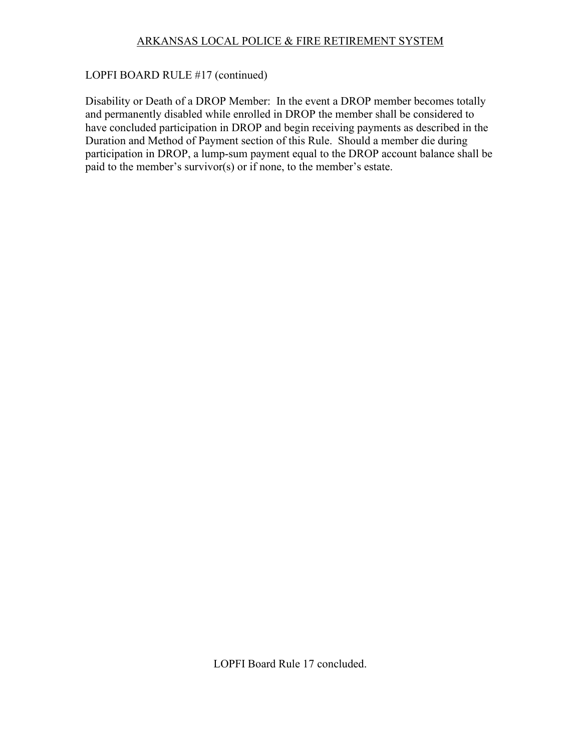#### LOPFI BOARD RULE #17 (continued)

Disability or Death of a DROP Member: In the event a DROP member becomes totally and permanently disabled while enrolled in DROP the member shall be considered to have concluded participation in DROP and begin receiving payments as described in the Duration and Method of Payment section of this Rule. Should a member die during participation in DROP, a lump-sum payment equal to the DROP account balance shall be paid to the member's survivor(s) or if none, to the member's estate.

LOPFI Board Rule 17 concluded.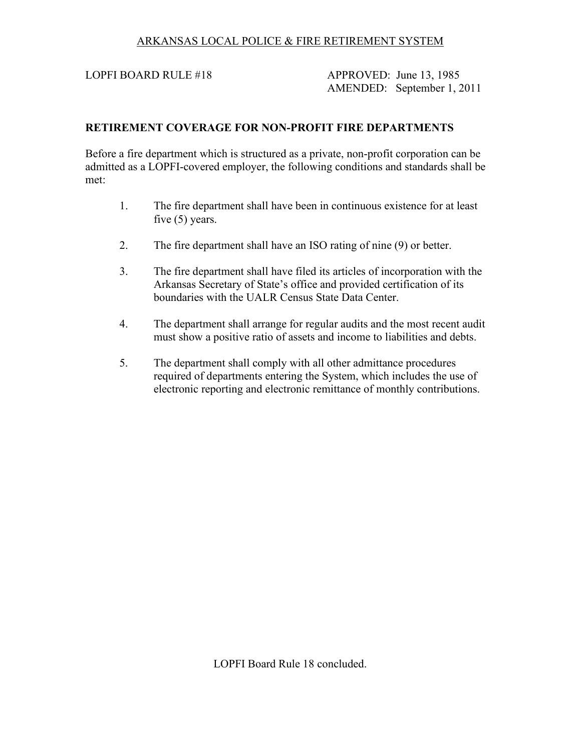LOPFI BOARD RULE #18 APPROVED: June 13, 1985 AMENDED: September 1, 2011

#### **RETIREMENT COVERAGE FOR NON-PROFIT FIRE DEPARTMENTS**

Before a fire department which is structured as a private, non-profit corporation can be admitted as a LOPFI-covered employer, the following conditions and standards shall be met:

- 1. The fire department shall have been in continuous existence for at least five (5) years.
- 2. The fire department shall have an ISO rating of nine (9) or better.
- 3. The fire department shall have filed its articles of incorporation with the Arkansas Secretary of State's office and provided certification of its boundaries with the UALR Census State Data Center.
- 4. The department shall arrange for regular audits and the most recent audit must show a positive ratio of assets and income to liabilities and debts.
- 5. The department shall comply with all other admittance procedures required of departments entering the System, which includes the use of electronic reporting and electronic remittance of monthly contributions.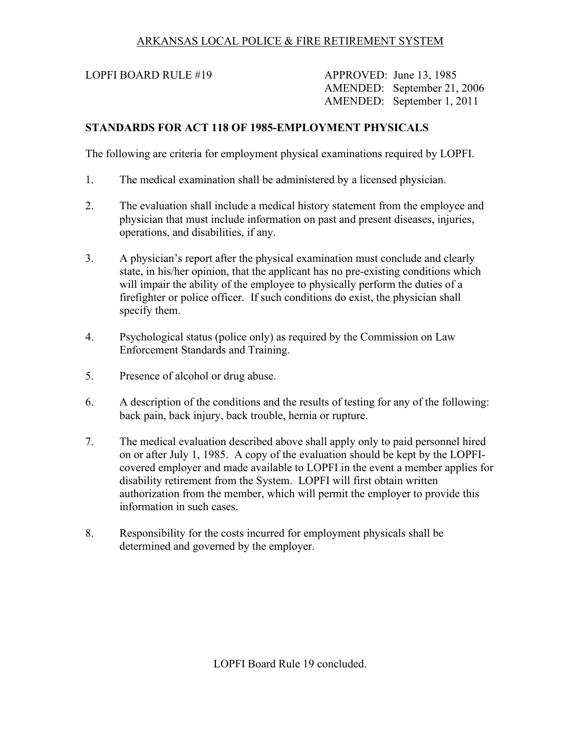LOPFI BOARD RULE #19 APPROVED: June 13, 1985 AMENDED: September 21, 2006 AMENDED: September 1, 2011

# **STANDARDS FOR ACT 118 OF 1985-EMPLOYMENT PHYSICALS**

The following are criteria for employment physical examinations required by LOPFI.

- 1. The medical examination shall be administered by a licensed physician.
- 2. The evaluation shall include a medical history statement from the employee and physician that must include information on past and present diseases, injuries, operations, and disabilities, if any.
- 3. A physician's report after the physical examination must conclude and clearly state, in his/her opinion, that the applicant has no pre-existing conditions which will impair the ability of the employee to physically perform the duties of a firefighter or police officer. If such conditions do exist, the physician shall specify them.
- 4. Psychological status (police only) as required by the Commission on Law Enforcement Standards and Training.
- 5. Presence of alcohol or drug abuse.
- 6. A description of the conditions and the results of testing for any of the following: back pain, back injury, back trouble, hernia or rupture.
- 7. The medical evaluation described above shall apply only to paid personnel hired on or after July 1, 1985. A copy of the evaluation should be kept by the LOPFIcovered employer and made available to LOPFI in the event a member applies for disability retirement from the System. LOPFI will first obtain written authorization from the member, which will permit the employer to provide this information in such cases.
- 8. Responsibility for the costs incurred for employment physicals shall be determined and governed by the employer.

LOPFI Board Rule 19 concluded.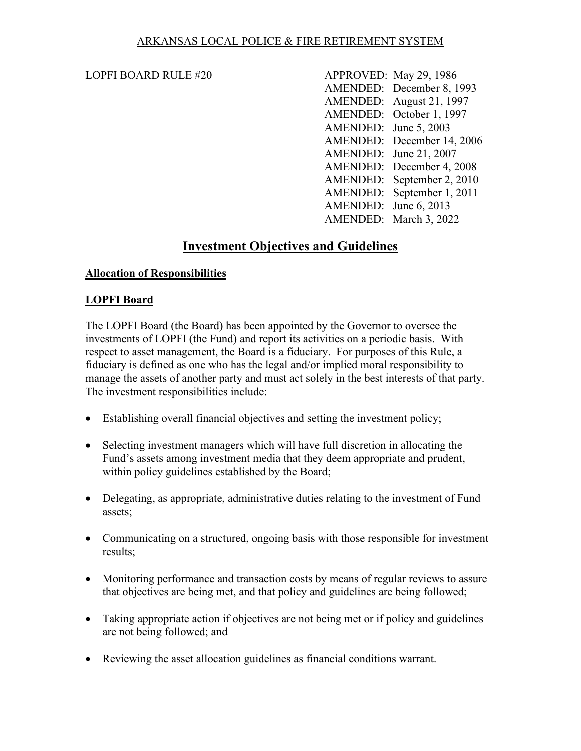LOPFI BOARD RULE #20 APPROVED: May 29, 1986 AMENDED: December 8, 1993 AMENDED: August 21, 1997 AMENDED: October 1, 1997 AMENDED: June 5, 2003 AMENDED: December 14, 2006 AMENDED: June 21, 2007 AMENDED: December 4, 2008 AMENDED: September 2, 2010 AMENDED: September 1, 2011 AMENDED: June 6, 2013 AMENDED: March 3, 2022

# **Investment Objectives and Guidelines**

#### **Allocation of Responsibilities**

#### **LOPFI Board**

The LOPFI Board (the Board) has been appointed by the Governor to oversee the investments of LOPFI (the Fund) and report its activities on a periodic basis. With respect to asset management, the Board is a fiduciary. For purposes of this Rule, a fiduciary is defined as one who has the legal and/or implied moral responsibility to manage the assets of another party and must act solely in the best interests of that party. The investment responsibilities include:

- Establishing overall financial objectives and setting the investment policy;
- Selecting investment managers which will have full discretion in allocating the Fund's assets among investment media that they deem appropriate and prudent, within policy guidelines established by the Board;
- Delegating, as appropriate, administrative duties relating to the investment of Fund assets;
- Communicating on a structured, ongoing basis with those responsible for investment results;
- Monitoring performance and transaction costs by means of regular reviews to assure that objectives are being met, and that policy and guidelines are being followed;
- Taking appropriate action if objectives are not being met or if policy and guidelines are not being followed; and
- Reviewing the asset allocation guidelines as financial conditions warrant.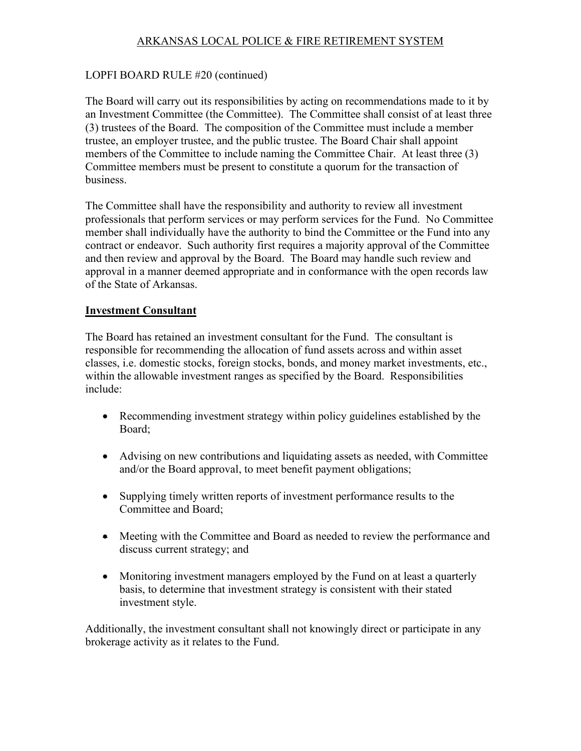## LOPFI BOARD RULE #20 (continued)

The Board will carry out its responsibilities by acting on recommendations made to it by an Investment Committee (the Committee). The Committee shall consist of at least three (3) trustees of the Board. The composition of the Committee must include a member trustee, an employer trustee, and the public trustee. The Board Chair shall appoint members of the Committee to include naming the Committee Chair. At least three (3) Committee members must be present to constitute a quorum for the transaction of business.

The Committee shall have the responsibility and authority to review all investment professionals that perform services or may perform services for the Fund. No Committee member shall individually have the authority to bind the Committee or the Fund into any contract or endeavor. Such authority first requires a majority approval of the Committee and then review and approval by the Board. The Board may handle such review and approval in a manner deemed appropriate and in conformance with the open records law of the State of Arkansas.

#### **Investment Consultant**

The Board has retained an investment consultant for the Fund. The consultant is responsible for recommending the allocation of fund assets across and within asset classes, i.e. domestic stocks, foreign stocks, bonds, and money market investments, etc., within the allowable investment ranges as specified by the Board. Responsibilities include:

- Recommending investment strategy within policy guidelines established by the Board;
- Advising on new contributions and liquidating assets as needed, with Committee and/or the Board approval, to meet benefit payment obligations;
- Supplying timely written reports of investment performance results to the Committee and Board;
- Meeting with the Committee and Board as needed to review the performance and discuss current strategy; and
- Monitoring investment managers employed by the Fund on at least a quarterly basis, to determine that investment strategy is consistent with their stated investment style.

Additionally, the investment consultant shall not knowingly direct or participate in any brokerage activity as it relates to the Fund.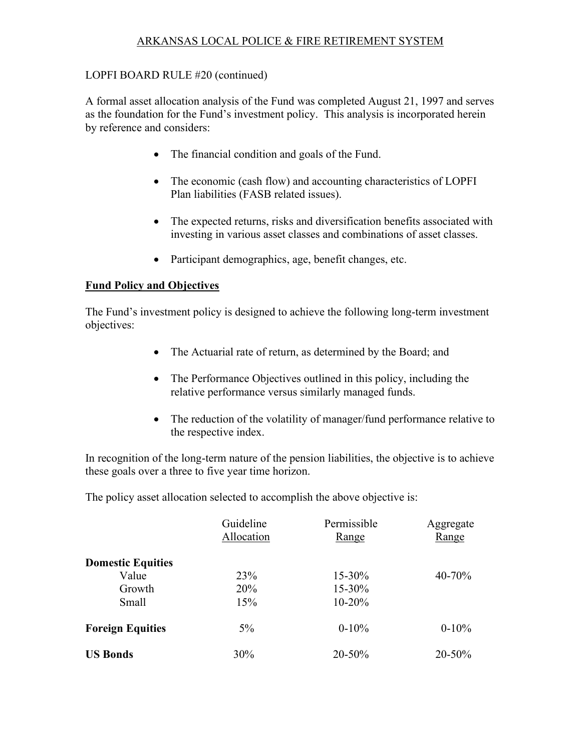## LOPFI BOARD RULE #20 (continued)

A formal asset allocation analysis of the Fund was completed August 21, 1997 and serves as the foundation for the Fund's investment policy. This analysis is incorporated herein by reference and considers:

- The financial condition and goals of the Fund.
- The economic (cash flow) and accounting characteristics of LOPFI Plan liabilities (FASB related issues).
- The expected returns, risks and diversification benefits associated with investing in various asset classes and combinations of asset classes.
- Participant demographics, age, benefit changes, etc.

#### **Fund Policy and Objectives**

The Fund's investment policy is designed to achieve the following long-term investment objectives:

- The Actuarial rate of return, as determined by the Board; and
- The Performance Objectives outlined in this policy, including the relative performance versus similarly managed funds.
- The reduction of the volatility of manager/fund performance relative to the respective index.

In recognition of the long-term nature of the pension liabilities, the objective is to achieve these goals over a three to five year time horizon.

The policy asset allocation selected to accomplish the above objective is:

|                          | Guideline<br>Allocation | Permissible<br><u>Range</u> | Aggregate<br>Range |
|--------------------------|-------------------------|-----------------------------|--------------------|
| <b>Domestic Equities</b> |                         |                             |                    |
| Value                    | 23%                     | 15-30%                      | $40 - 70%$         |
| Growth                   | <b>20%</b>              | 15-30%                      |                    |
| Small                    | 15%                     | $10-20%$                    |                    |
| <b>Foreign Equities</b>  | $5\%$                   | $0-10%$                     | $0-10%$            |
| <b>US Bonds</b>          | 30%                     | 20-50%                      | 20-50%             |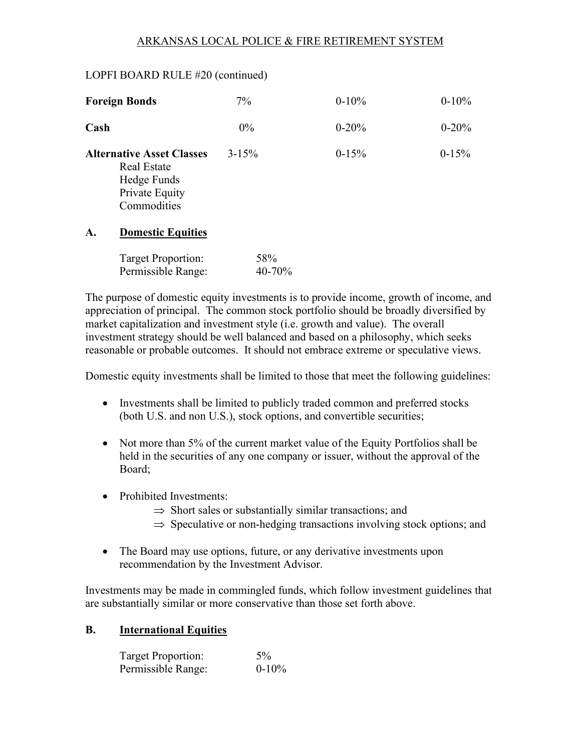#### LOPFI BOARD RULE #20 (continued)

| <b>Foreign Bonds</b>                                                                                   | 7%            | $0-10%$   | $0-10%$   |
|--------------------------------------------------------------------------------------------------------|---------------|-----------|-----------|
| Cash                                                                                                   | $0\%$         | $0 - 20%$ | $0 - 20%$ |
| <b>Alternative Asset Classes</b><br><b>Real Estate</b><br>Hedge Funds<br>Private Equity<br>Commodities | $3 - 15%$     | $0-15%$   | $0-15%$   |
| $\mathbf{A}$ .<br><b>Domestic Equities</b>                                                             |               |           |           |
| Target Proportion:<br>Permissible Range:                                                               | 58%<br>40-70% |           |           |

The purpose of domestic equity investments is to provide income, growth of income, and appreciation of principal. The common stock portfolio should be broadly diversified by market capitalization and investment style (i.e. growth and value). The overall investment strategy should be well balanced and based on a philosophy, which seeks reasonable or probable outcomes. It should not embrace extreme or speculative views.

Domestic equity investments shall be limited to those that meet the following guidelines:

- Investments shall be limited to publicly traded common and preferred stocks (both U.S. and non U.S.), stock options, and convertible securities;
- Not more than 5% of the current market value of the Equity Portfolios shall be held in the securities of any one company or issuer, without the approval of the Board;
- Prohibited Investments:
	- $\Rightarrow$  Short sales or substantially similar transactions; and
	- $\Rightarrow$  Speculative or non-hedging transactions involving stock options; and
- The Board may use options, future, or any derivative investments upon recommendation by the Investment Advisor.

Investments may be made in commingled funds, which follow investment guidelines that are substantially similar or more conservative than those set forth above.

#### **B. International Equities**

| Target Proportion: | $5\%$    |
|--------------------|----------|
| Permissible Range: | $0-10\%$ |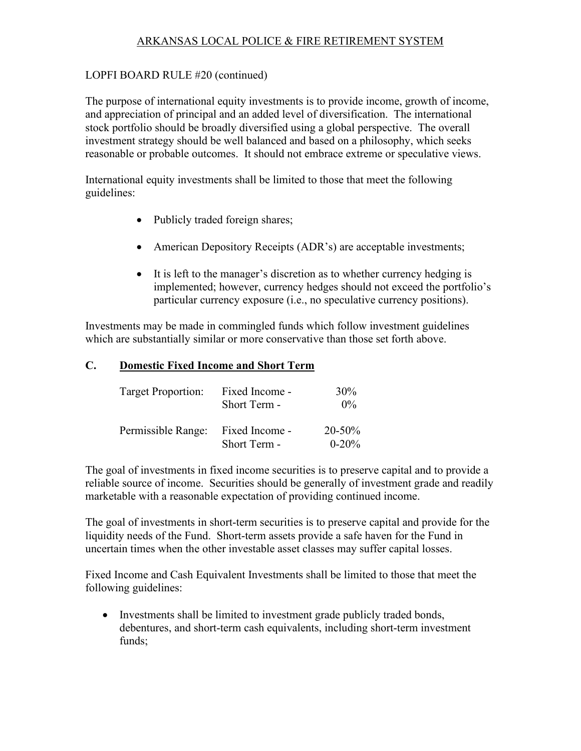#### LOPFI BOARD RULE #20 (continued)

The purpose of international equity investments is to provide income, growth of income, and appreciation of principal and an added level of diversification. The international stock portfolio should be broadly diversified using a global perspective. The overall investment strategy should be well balanced and based on a philosophy, which seeks reasonable or probable outcomes. It should not embrace extreme or speculative views.

International equity investments shall be limited to those that meet the following guidelines:

- Publicly traded foreign shares;
- American Depository Receipts (ADR's) are acceptable investments;
- It is left to the manager's discretion as to whether currency hedging is implemented; however, currency hedges should not exceed the portfolio's particular currency exposure (i.e., no speculative currency positions).

Investments may be made in commingled funds which follow investment guidelines which are substantially similar or more conservative than those set forth above.

#### **C. Domestic Fixed Income and Short Term**

| Target Proportion: | Fixed Income -<br>Short Term - | $30\%$<br>$0\%$           |
|--------------------|--------------------------------|---------------------------|
| Permissible Range: | Fixed Income -<br>Short Term - | $20 - 50\%$<br>$0 - 20\%$ |

The goal of investments in fixed income securities is to preserve capital and to provide a reliable source of income. Securities should be generally of investment grade and readily marketable with a reasonable expectation of providing continued income.

The goal of investments in short-term securities is to preserve capital and provide for the liquidity needs of the Fund. Short-term assets provide a safe haven for the Fund in uncertain times when the other investable asset classes may suffer capital losses.

Fixed Income and Cash Equivalent Investments shall be limited to those that meet the following guidelines:

• Investments shall be limited to investment grade publicly traded bonds, debentures, and short-term cash equivalents, including short-term investment funds;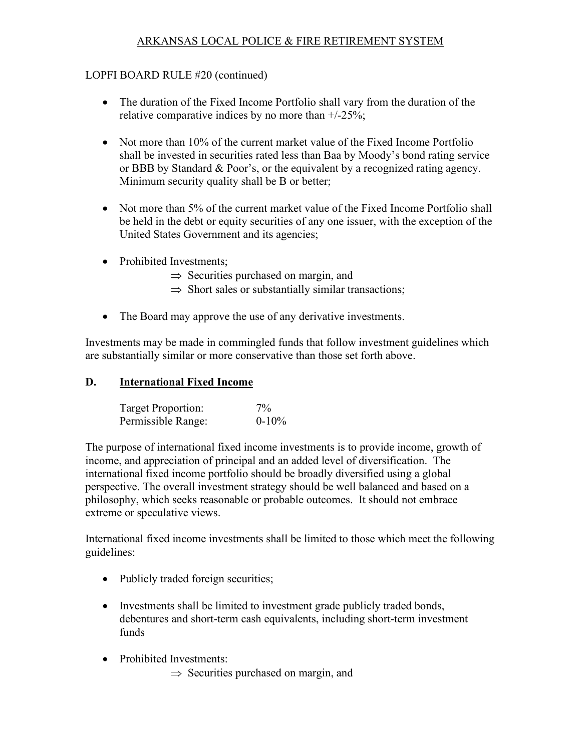## LOPFI BOARD RULE #20 (continued)

- The duration of the Fixed Income Portfolio shall vary from the duration of the relative comparative indices by no more than +/-25%;
- Not more than 10% of the current market value of the Fixed Income Portfolio shall be invested in securities rated less than Baa by Moody's bond rating service or BBB by Standard & Poor's, or the equivalent by a recognized rating agency. Minimum security quality shall be B or better;
- Not more than 5% of the current market value of the Fixed Income Portfolio shall be held in the debt or equity securities of any one issuer, with the exception of the United States Government and its agencies;
- Prohibited Investments;
	- $\Rightarrow$  Securities purchased on margin, and
	- $\Rightarrow$  Short sales or substantially similar transactions;
- The Board may approve the use of any derivative investments.

Investments may be made in commingled funds that follow investment guidelines which are substantially similar or more conservative than those set forth above.

## **D. International Fixed Income**

| Target Proportion: | $7\%$    |
|--------------------|----------|
| Permissible Range: | $0-10\%$ |

The purpose of international fixed income investments is to provide income, growth of income, and appreciation of principal and an added level of diversification. The international fixed income portfolio should be broadly diversified using a global perspective. The overall investment strategy should be well balanced and based on a philosophy, which seeks reasonable or probable outcomes. It should not embrace extreme or speculative views.

International fixed income investments shall be limited to those which meet the following guidelines:

- Publicly traded foreign securities;
- Investments shall be limited to investment grade publicly traded bonds, debentures and short-term cash equivalents, including short-term investment funds
- Prohibited Investments:
	- $\Rightarrow$  Securities purchased on margin, and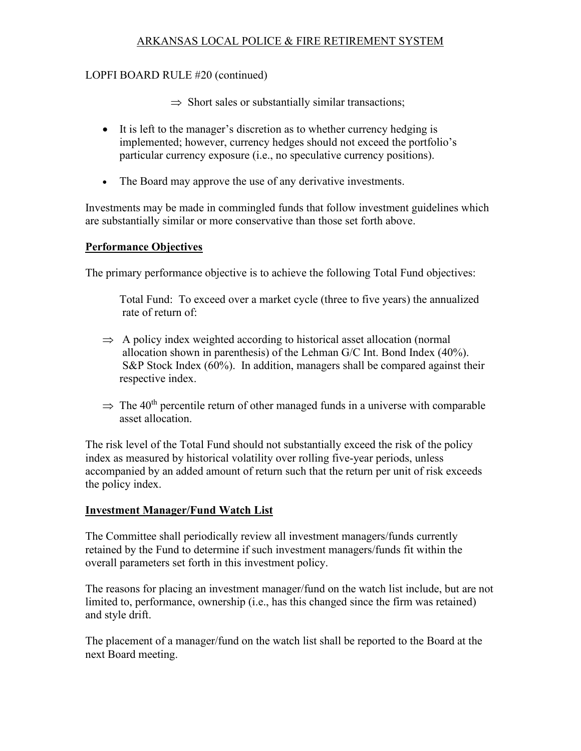## LOPFI BOARD RULE #20 (continued)

 $\Rightarrow$  Short sales or substantially similar transactions;

- It is left to the manager's discretion as to whether currency hedging is implemented; however, currency hedges should not exceed the portfolio's particular currency exposure (i.e., no speculative currency positions).
- The Board may approve the use of any derivative investments.

Investments may be made in commingled funds that follow investment guidelines which are substantially similar or more conservative than those set forth above.

## **Performance Objectives**

The primary performance objective is to achieve the following Total Fund objectives:

Total Fund: To exceed over a market cycle (three to five years) the annualized rate of return of:

- $\Rightarrow$  A policy index weighted according to historical asset allocation (normal allocation shown in parenthesis) of the Lehman G/C Int. Bond Index (40%). S&P Stock Index (60%). In addition, managers shall be compared against their respective index.
- $\Rightarrow$  The 40<sup>th</sup> percentile return of other managed funds in a universe with comparable asset allocation.

The risk level of the Total Fund should not substantially exceed the risk of the policy index as measured by historical volatility over rolling five-year periods, unless accompanied by an added amount of return such that the return per unit of risk exceeds the policy index.

# **Investment Manager/Fund Watch List**

The Committee shall periodically review all investment managers/funds currently retained by the Fund to determine if such investment managers/funds fit within the overall parameters set forth in this investment policy.

The reasons for placing an investment manager/fund on the watch list include, but are not limited to, performance, ownership (i.e., has this changed since the firm was retained) and style drift.

The placement of a manager/fund on the watch list shall be reported to the Board at the next Board meeting.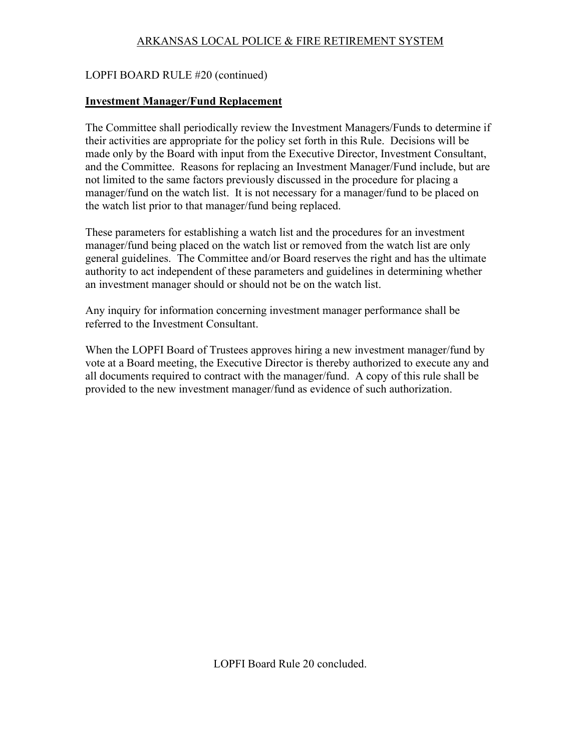## LOPFI BOARD RULE #20 (continued)

#### **Investment Manager/Fund Replacement**

The Committee shall periodically review the Investment Managers/Funds to determine if their activities are appropriate for the policy set forth in this Rule. Decisions will be made only by the Board with input from the Executive Director, Investment Consultant, and the Committee. Reasons for replacing an Investment Manager/Fund include, but are not limited to the same factors previously discussed in the procedure for placing a manager/fund on the watch list. It is not necessary for a manager/fund to be placed on the watch list prior to that manager/fund being replaced.

These parameters for establishing a watch list and the procedures for an investment manager/fund being placed on the watch list or removed from the watch list are only general guidelines. The Committee and/or Board reserves the right and has the ultimate authority to act independent of these parameters and guidelines in determining whether an investment manager should or should not be on the watch list.

Any inquiry for information concerning investment manager performance shall be referred to the Investment Consultant.

When the LOPFI Board of Trustees approves hiring a new investment manager/fund by vote at a Board meeting, the Executive Director is thereby authorized to execute any and all documents required to contract with the manager/fund. A copy of this rule shall be provided to the new investment manager/fund as evidence of such authorization.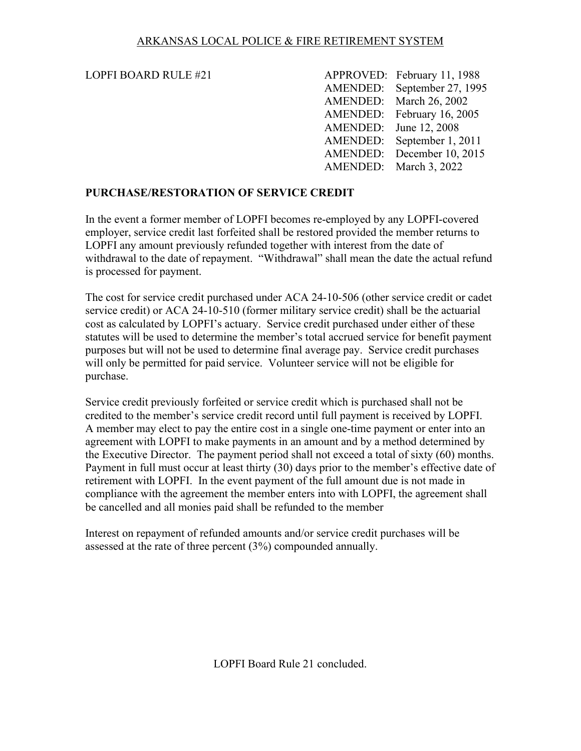| LOPFI BOARD RULE #21 |                        | APPROVED: February 11, 1988 |
|----------------------|------------------------|-----------------------------|
|                      |                        | AMENDED: September 27, 1995 |
|                      |                        | AMENDED: March 26, 2002     |
|                      |                        | AMENDED: February 16, 2005  |
|                      | AMENDED: June 12, 2008 |                             |
|                      |                        | AMENDED: September 1, 2011  |
|                      |                        | AMENDED: December 10, 2015  |
|                      |                        | AMENDED: March 3, 2022      |

## **PURCHASE/RESTORATION OF SERVICE CREDIT**

In the event a former member of LOPFI becomes re-employed by any LOPFI-covered employer, service credit last forfeited shall be restored provided the member returns to LOPFI any amount previously refunded together with interest from the date of withdrawal to the date of repayment. "Withdrawal" shall mean the date the actual refund is processed for payment.

The cost for service credit purchased under ACA 24-10-506 (other service credit or cadet service credit) or ACA 24-10-510 (former military service credit) shall be the actuarial cost as calculated by LOPFI's actuary. Service credit purchased under either of these statutes will be used to determine the member's total accrued service for benefit payment purposes but will not be used to determine final average pay. Service credit purchases will only be permitted for paid service. Volunteer service will not be eligible for purchase.

Service credit previously forfeited or service credit which is purchased shall not be credited to the member's service credit record until full payment is received by LOPFI. A member may elect to pay the entire cost in a single one-time payment or enter into an agreement with LOPFI to make payments in an amount and by a method determined by the Executive Director. The payment period shall not exceed a total of sixty (60) months. Payment in full must occur at least thirty (30) days prior to the member's effective date of retirement with LOPFI. In the event payment of the full amount due is not made in compliance with the agreement the member enters into with LOPFI, the agreement shall be cancelled and all monies paid shall be refunded to the member

Interest on repayment of refunded amounts and/or service credit purchases will be assessed at the rate of three percent (3%) compounded annually.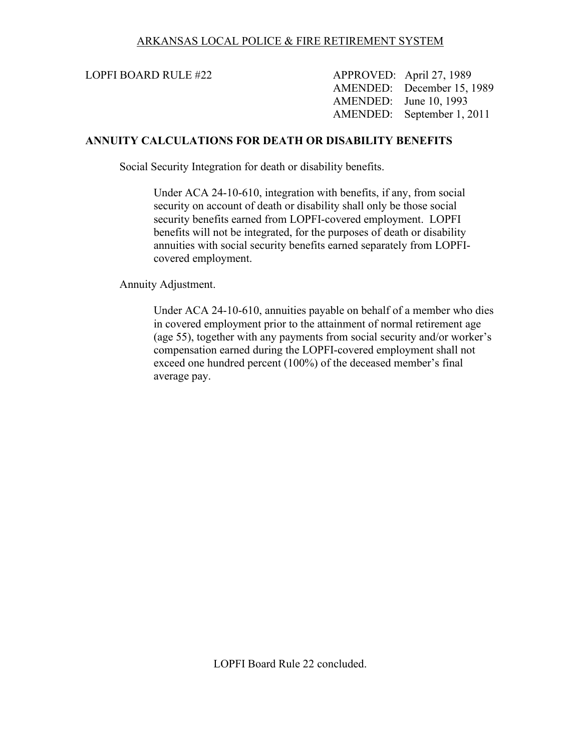LOPFI BOARD RULE #22 APPROVED: April 27, 1989 AMENDED: December 15, 1989 AMENDED: June 10, 1993 AMENDED: September 1, 2011

#### **ANNUITY CALCULATIONS FOR DEATH OR DISABILITY BENEFITS**

Social Security Integration for death or disability benefits.

Under ACA 24-10-610, integration with benefits, if any, from social security on account of death or disability shall only be those social security benefits earned from LOPFI-covered employment. LOPFI benefits will not be integrated, for the purposes of death or disability annuities with social security benefits earned separately from LOPFIcovered employment.

Annuity Adjustment.

Under ACA 24-10-610, annuities payable on behalf of a member who dies in covered employment prior to the attainment of normal retirement age (age 55), together with any payments from social security and/or worker's compensation earned during the LOPFI-covered employment shall not exceed one hundred percent (100%) of the deceased member's final average pay.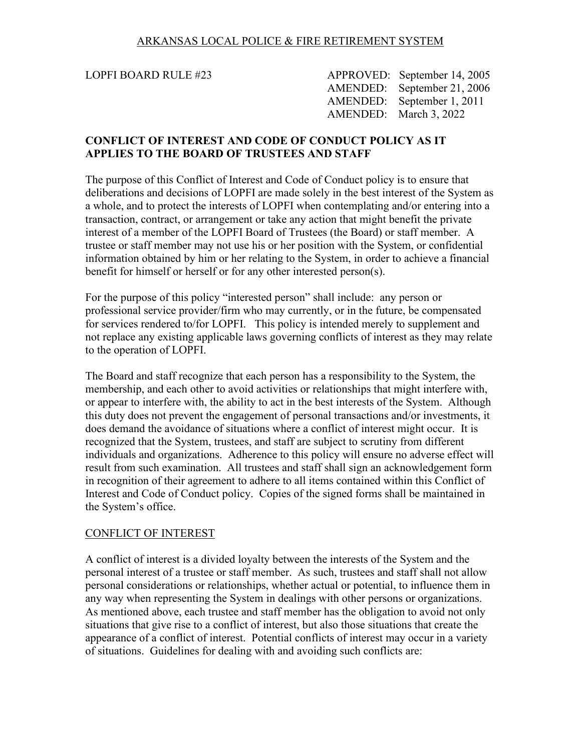LOPFI BOARD RULE #23 APPROVED: September 14, 2005 AMENDED: September 21, 2006 AMENDED: September 1, 2011 AMENDED: March 3, 2022

#### **CONFLICT OF INTEREST AND CODE OF CONDUCT POLICY AS IT APPLIES TO THE BOARD OF TRUSTEES AND STAFF**

The purpose of this Conflict of Interest and Code of Conduct policy is to ensure that deliberations and decisions of LOPFI are made solely in the best interest of the System as a whole, and to protect the interests of LOPFI when contemplating and/or entering into a transaction, contract, or arrangement or take any action that might benefit the private interest of a member of the LOPFI Board of Trustees (the Board) or staff member. A trustee or staff member may not use his or her position with the System, or confidential information obtained by him or her relating to the System, in order to achieve a financial benefit for himself or herself or for any other interested person(s).

For the purpose of this policy "interested person" shall include: any person or professional service provider/firm who may currently, or in the future, be compensated for services rendered to/for LOPFI. This policy is intended merely to supplement and not replace any existing applicable laws governing conflicts of interest as they may relate to the operation of LOPFI.

The Board and staff recognize that each person has a responsibility to the System, the membership, and each other to avoid activities or relationships that might interfere with, or appear to interfere with, the ability to act in the best interests of the System. Although this duty does not prevent the engagement of personal transactions and/or investments, it does demand the avoidance of situations where a conflict of interest might occur. It is recognized that the System, trustees, and staff are subject to scrutiny from different individuals and organizations. Adherence to this policy will ensure no adverse effect will result from such examination. All trustees and staff shall sign an acknowledgement form in recognition of their agreement to adhere to all items contained within this Conflict of Interest and Code of Conduct policy. Copies of the signed forms shall be maintained in the System's office.

#### CONFLICT OF INTEREST

A conflict of interest is a divided loyalty between the interests of the System and the personal interest of a trustee or staff member. As such, trustees and staff shall not allow personal considerations or relationships, whether actual or potential, to influence them in any way when representing the System in dealings with other persons or organizations. As mentioned above, each trustee and staff member has the obligation to avoid not only situations that give rise to a conflict of interest, but also those situations that create the appearance of a conflict of interest. Potential conflicts of interest may occur in a variety of situations. Guidelines for dealing with and avoiding such conflicts are: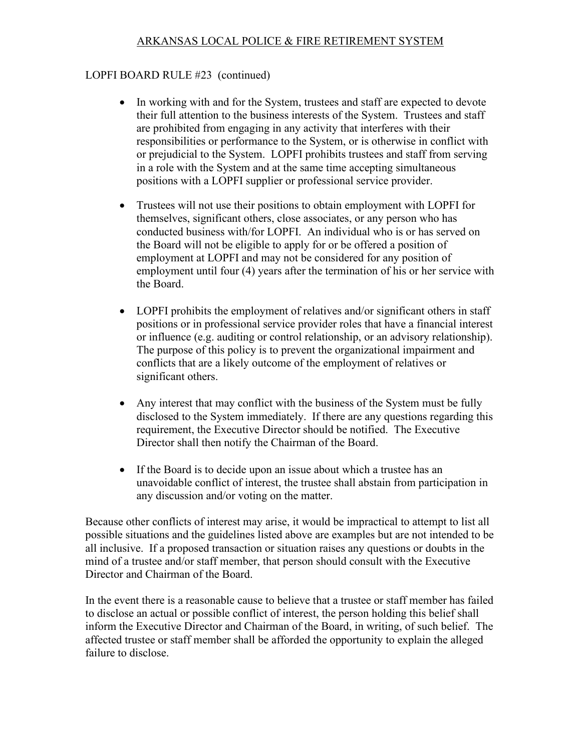## LOPFI BOARD RULE #23 (continued)

- In working with and for the System, trustees and staff are expected to devote their full attention to the business interests of the System. Trustees and staff are prohibited from engaging in any activity that interferes with their responsibilities or performance to the System, or is otherwise in conflict with or prejudicial to the System. LOPFI prohibits trustees and staff from serving in a role with the System and at the same time accepting simultaneous positions with a LOPFI supplier or professional service provider.
- Trustees will not use their positions to obtain employment with LOPFI for themselves, significant others, close associates, or any person who has conducted business with/for LOPFI. An individual who is or has served on the Board will not be eligible to apply for or be offered a position of employment at LOPFI and may not be considered for any position of employment until four (4) years after the termination of his or her service with the Board.
- LOPFI prohibits the employment of relatives and/or significant others in staff positions or in professional service provider roles that have a financial interest or influence (e.g. auditing or control relationship, or an advisory relationship). The purpose of this policy is to prevent the organizational impairment and conflicts that are a likely outcome of the employment of relatives or significant others.
- Any interest that may conflict with the business of the System must be fully disclosed to the System immediately. If there are any questions regarding this requirement, the Executive Director should be notified. The Executive Director shall then notify the Chairman of the Board.
- If the Board is to decide upon an issue about which a trustee has an unavoidable conflict of interest, the trustee shall abstain from participation in any discussion and/or voting on the matter.

Because other conflicts of interest may arise, it would be impractical to attempt to list all possible situations and the guidelines listed above are examples but are not intended to be all inclusive. If a proposed transaction or situation raises any questions or doubts in the mind of a trustee and/or staff member, that person should consult with the Executive Director and Chairman of the Board.

In the event there is a reasonable cause to believe that a trustee or staff member has failed to disclose an actual or possible conflict of interest, the person holding this belief shall inform the Executive Director and Chairman of the Board, in writing, of such belief. The affected trustee or staff member shall be afforded the opportunity to explain the alleged failure to disclose.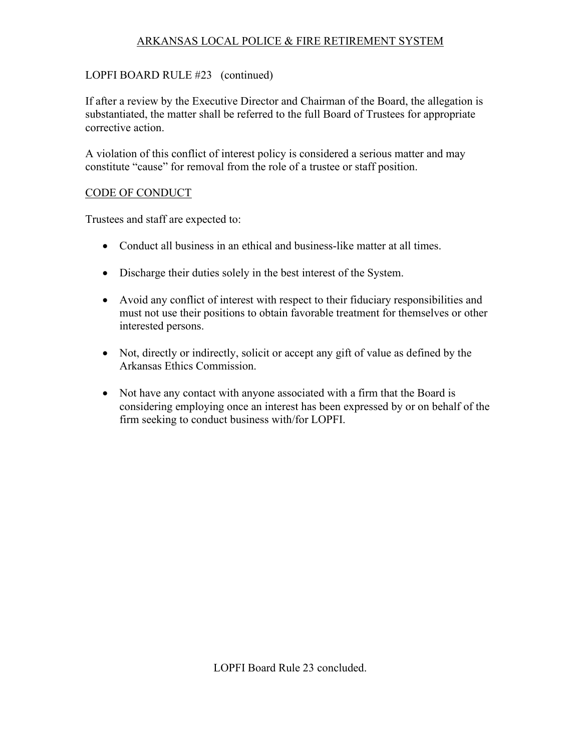## LOPFI BOARD RULE #23 (continued)

If after a review by the Executive Director and Chairman of the Board, the allegation is substantiated, the matter shall be referred to the full Board of Trustees for appropriate corrective action.

A violation of this conflict of interest policy is considered a serious matter and may constitute "cause" for removal from the role of a trustee or staff position.

## CODE OF CONDUCT

Trustees and staff are expected to:

- Conduct all business in an ethical and business-like matter at all times.
- Discharge their duties solely in the best interest of the System.
- Avoid any conflict of interest with respect to their fiduciary responsibilities and must not use their positions to obtain favorable treatment for themselves or other interested persons.
- Not, directly or indirectly, solicit or accept any gift of value as defined by the Arkansas Ethics Commission.
- Not have any contact with anyone associated with a firm that the Board is considering employing once an interest has been expressed by or on behalf of the firm seeking to conduct business with/for LOPFI.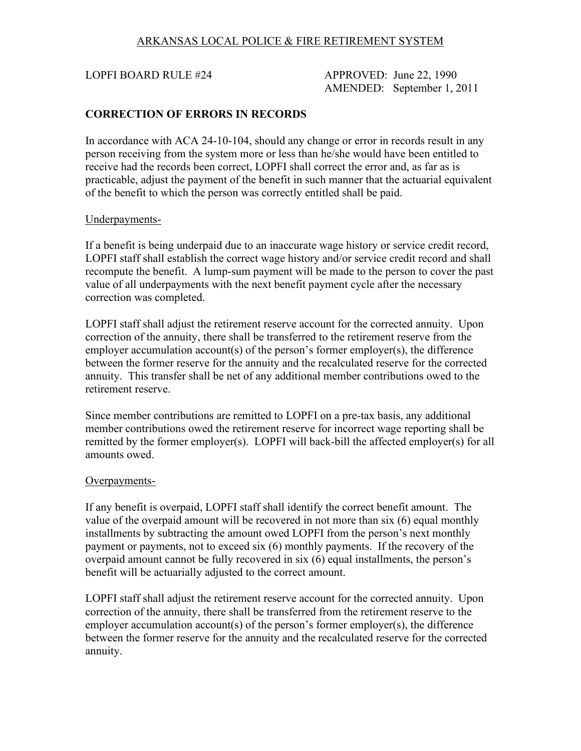LOPFI BOARD RULE #24 APPROVED: June 22, 1990 AMENDED: September 1, 2011

#### **CORRECTION OF ERRORS IN RECORDS**

In accordance with ACA 24-10-104, should any change or error in records result in any person receiving from the system more or less than he/she would have been entitled to receive had the records been correct, LOPFI shall correct the error and, as far as is practicable, adjust the payment of the benefit in such manner that the actuarial equivalent of the benefit to which the person was correctly entitled shall be paid.

#### Underpayments-

If a benefit is being underpaid due to an inaccurate wage history or service credit record, LOPFI staff shall establish the correct wage history and/or service credit record and shall recompute the benefit. A lump-sum payment will be made to the person to cover the past value of all underpayments with the next benefit payment cycle after the necessary correction was completed.

LOPFI staff shall adjust the retirement reserve account for the corrected annuity. Upon correction of the annuity, there shall be transferred to the retirement reserve from the employer accumulation account(s) of the person's former employer(s), the difference between the former reserve for the annuity and the recalculated reserve for the corrected annuity. This transfer shall be net of any additional member contributions owed to the retirement reserve.

Since member contributions are remitted to LOPFI on a pre-tax basis, any additional member contributions owed the retirement reserve for incorrect wage reporting shall be remitted by the former employer(s). LOPFI will back-bill the affected employer(s) for all amounts owed.

#### Overpayments-

If any benefit is overpaid, LOPFI staff shall identify the correct benefit amount. The value of the overpaid amount will be recovered in not more than six (6) equal monthly installments by subtracting the amount owed LOPFI from the person's next monthly payment or payments, not to exceed six (6) monthly payments. If the recovery of the overpaid amount cannot be fully recovered in six (6) equal installments, the person's benefit will be actuarially adjusted to the correct amount.

LOPFI staff shall adjust the retirement reserve account for the corrected annuity. Upon correction of the annuity, there shall be transferred from the retirement reserve to the employer accumulation account(s) of the person's former employer(s), the difference between the former reserve for the annuity and the recalculated reserve for the corrected annuity.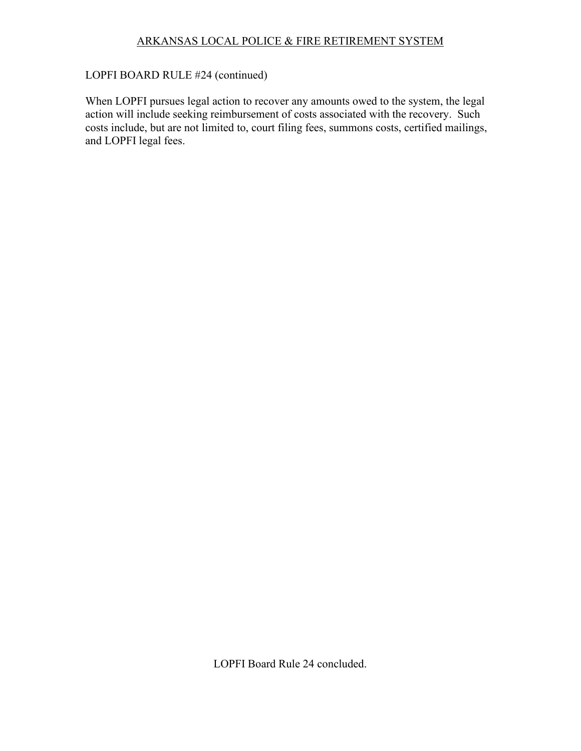# LOPFI BOARD RULE #24 (continued)

When LOPFI pursues legal action to recover any amounts owed to the system, the legal action will include seeking reimbursement of costs associated with the recovery. Such costs include, but are not limited to, court filing fees, summons costs, certified mailings, and LOPFI legal fees.

LOPFI Board Rule 24 concluded.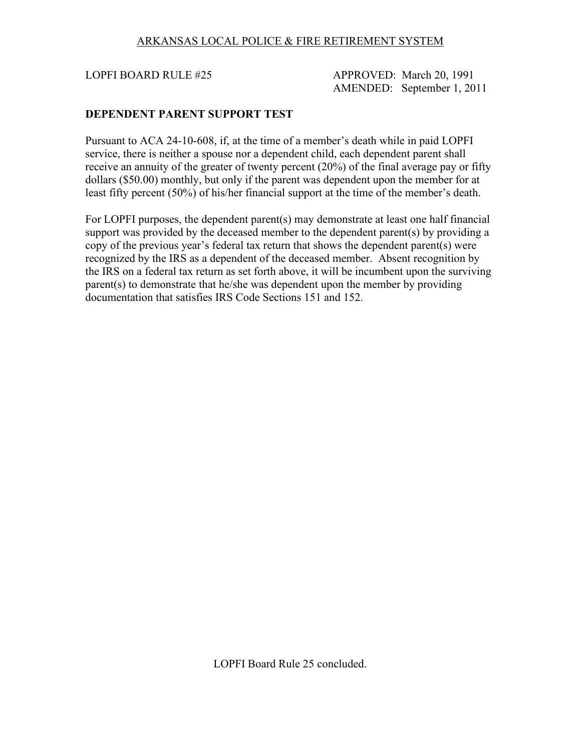LOPFI BOARD RULE #25 APPROVED: March 20, 1991 AMENDED: September 1, 2011

#### **DEPENDENT PARENT SUPPORT TEST**

Pursuant to ACA 24-10-608, if, at the time of a member's death while in paid LOPFI service, there is neither a spouse nor a dependent child, each dependent parent shall receive an annuity of the greater of twenty percent (20%) of the final average pay or fifty dollars (\$50.00) monthly, but only if the parent was dependent upon the member for at least fifty percent (50%) of his/her financial support at the time of the member's death.

For LOPFI purposes, the dependent parent(s) may demonstrate at least one half financial support was provided by the deceased member to the dependent parent(s) by providing a copy of the previous year's federal tax return that shows the dependent parent(s) were recognized by the IRS as a dependent of the deceased member. Absent recognition by the IRS on a federal tax return as set forth above, it will be incumbent upon the surviving parent(s) to demonstrate that he/she was dependent upon the member by providing documentation that satisfies IRS Code Sections 151 and 152.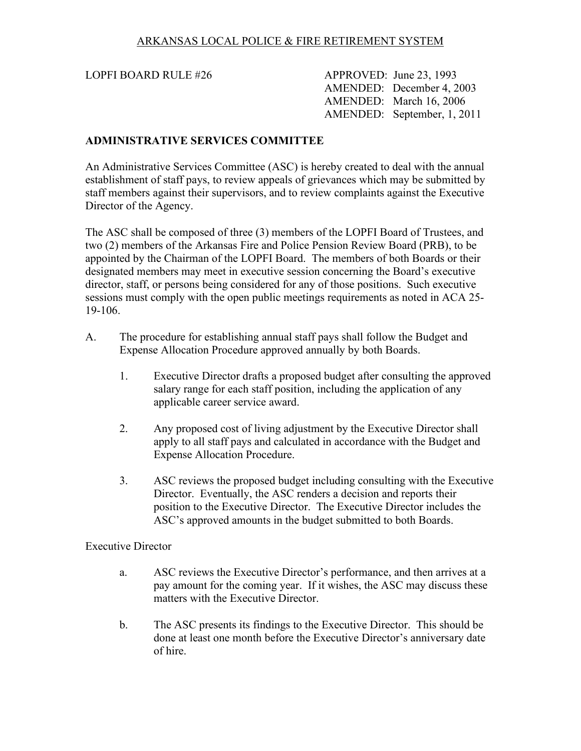LOPFI BOARD RULE #26 APPROVED: June 23, 1993 AMENDED: December 4, 2003 AMENDED: March 16, 2006 AMENDED: September, 1, 2011

#### **ADMINISTRATIVE SERVICES COMMITTEE**

An Administrative Services Committee (ASC) is hereby created to deal with the annual establishment of staff pays, to review appeals of grievances which may be submitted by staff members against their supervisors, and to review complaints against the Executive Director of the Agency.

The ASC shall be composed of three (3) members of the LOPFI Board of Trustees, and two (2) members of the Arkansas Fire and Police Pension Review Board (PRB), to be appointed by the Chairman of the LOPFI Board. The members of both Boards or their designated members may meet in executive session concerning the Board's executive director, staff, or persons being considered for any of those positions. Such executive sessions must comply with the open public meetings requirements as noted in ACA 25- 19-106.

- A. The procedure for establishing annual staff pays shall follow the Budget and Expense Allocation Procedure approved annually by both Boards.
	- 1. Executive Director drafts a proposed budget after consulting the approved salary range for each staff position, including the application of any applicable career service award.
	- 2. Any proposed cost of living adjustment by the Executive Director shall apply to all staff pays and calculated in accordance with the Budget and Expense Allocation Procedure.
	- 3. ASC reviews the proposed budget including consulting with the Executive Director. Eventually, the ASC renders a decision and reports their position to the Executive Director. The Executive Director includes the ASC's approved amounts in the budget submitted to both Boards.

#### Executive Director

- a. ASC reviews the Executive Director's performance, and then arrives at a pay amount for the coming year. If it wishes, the ASC may discuss these matters with the Executive Director.
- b. The ASC presents its findings to the Executive Director. This should be done at least one month before the Executive Director's anniversary date of hire.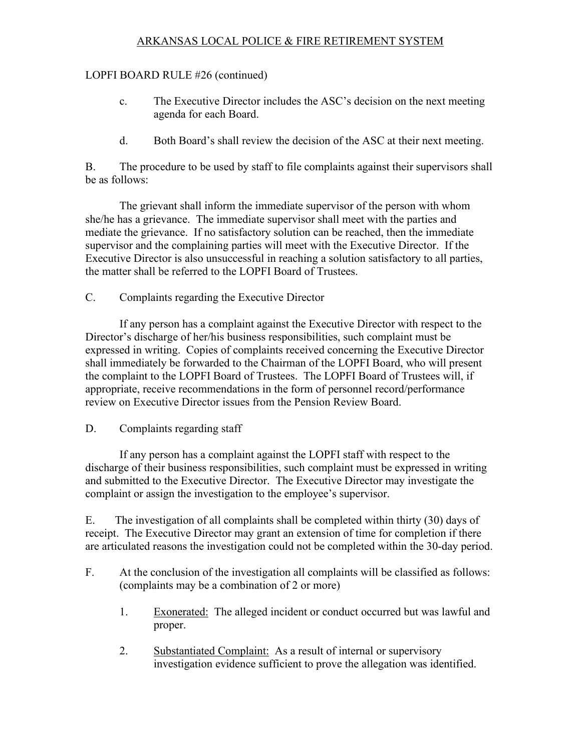## LOPFI BOARD RULE #26 (continued)

- c. The Executive Director includes the ASC's decision on the next meeting agenda for each Board.
- d. Both Board's shall review the decision of the ASC at their next meeting.

B. The procedure to be used by staff to file complaints against their supervisors shall be as follows:

The grievant shall inform the immediate supervisor of the person with whom she/he has a grievance. The immediate supervisor shall meet with the parties and mediate the grievance. If no satisfactory solution can be reached, then the immediate supervisor and the complaining parties will meet with the Executive Director. If the Executive Director is also unsuccessful in reaching a solution satisfactory to all parties, the matter shall be referred to the LOPFI Board of Trustees.

C. Complaints regarding the Executive Director

If any person has a complaint against the Executive Director with respect to the Director's discharge of her/his business responsibilities, such complaint must be expressed in writing. Copies of complaints received concerning the Executive Director shall immediately be forwarded to the Chairman of the LOPFI Board, who will present the complaint to the LOPFI Board of Trustees. The LOPFI Board of Trustees will, if appropriate, receive recommendations in the form of personnel record/performance review on Executive Director issues from the Pension Review Board.

## D. Complaints regarding staff

If any person has a complaint against the LOPFI staff with respect to the discharge of their business responsibilities, such complaint must be expressed in writing and submitted to the Executive Director. The Executive Director may investigate the complaint or assign the investigation to the employee's supervisor.

E. The investigation of all complaints shall be completed within thirty (30) days of receipt. The Executive Director may grant an extension of time for completion if there are articulated reasons the investigation could not be completed within the 30-day period.

- F. At the conclusion of the investigation all complaints will be classified as follows: (complaints may be a combination of 2 or more)
	- 1. Exonerated: The alleged incident or conduct occurred but was lawful and proper.
	- 2. Substantiated Complaint: As a result of internal or supervisory investigation evidence sufficient to prove the allegation was identified.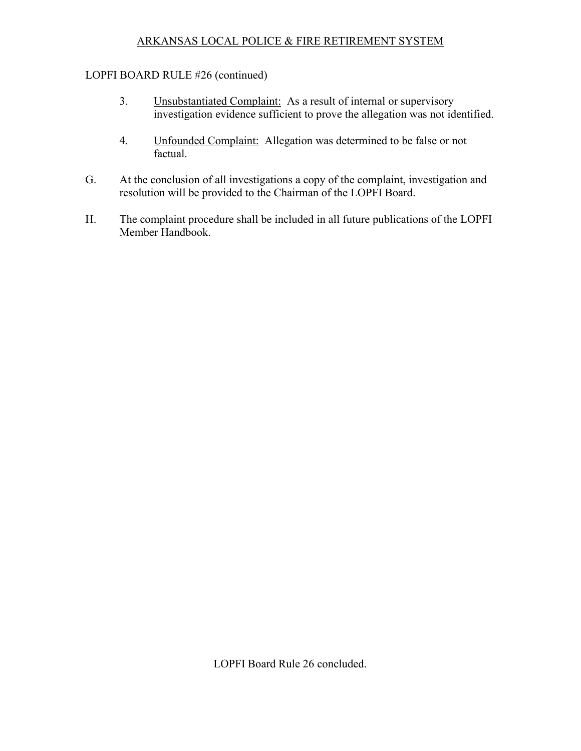## LOPFI BOARD RULE #26 (continued)

- 3. Unsubstantiated Complaint: As a result of internal or supervisory investigation evidence sufficient to prove the allegation was not identified.
- 4. Unfounded Complaint: Allegation was determined to be false or not factual.
- G. At the conclusion of all investigations a copy of the complaint, investigation and resolution will be provided to the Chairman of the LOPFI Board.
- H. The complaint procedure shall be included in all future publications of the LOPFI Member Handbook.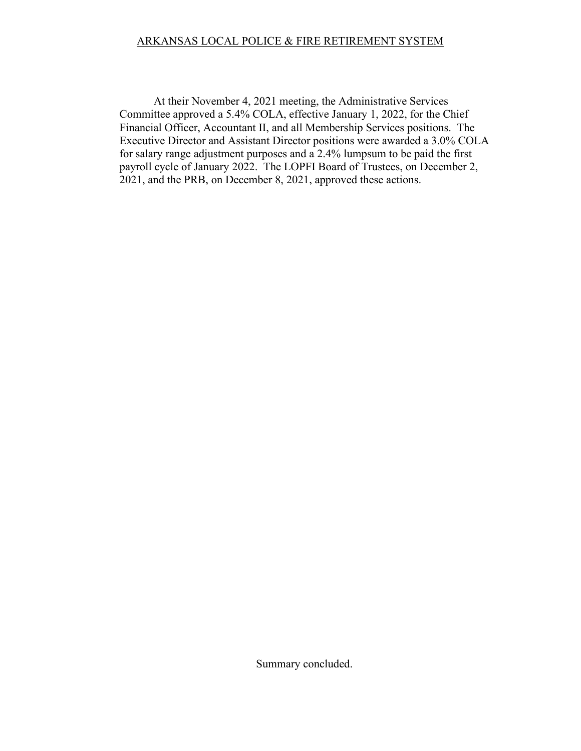At their November 4, 2021 meeting, the Administrative Services Committee approved a 5.4% COLA, effective January 1, 2022, for the Chief Financial Officer, Accountant II, and all Membership Services positions. The Executive Director and Assistant Director positions were awarded a 3.0% COLA for salary range adjustment purposes and a 2.4% lumpsum to be paid the first payroll cycle of January 2022. The LOPFI Board of Trustees, on December 2, 2021, and the PRB, on December 8, 2021, approved these actions.

Summary concluded.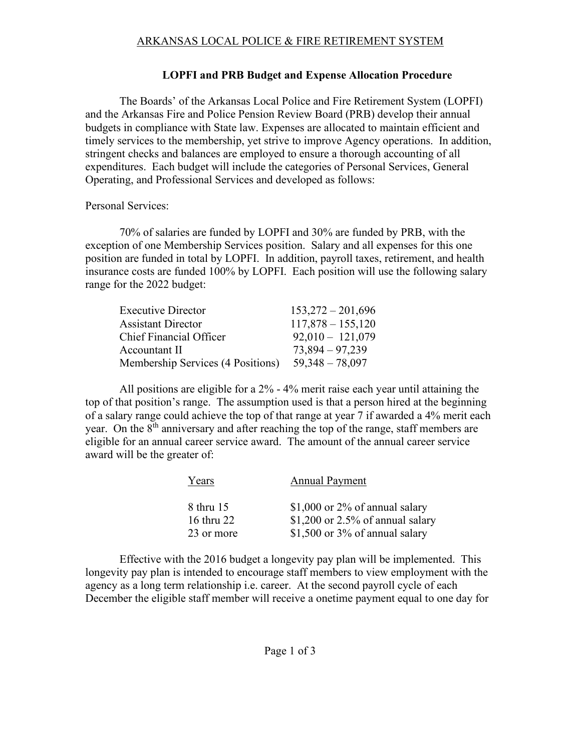## **LOPFI and PRB Budget and Expense Allocation Procedure**

The Boards' of the Arkansas Local Police and Fire Retirement System (LOPFI) and the Arkansas Fire and Police Pension Review Board (PRB) develop their annual budgets in compliance with State law. Expenses are allocated to maintain efficient and timely services to the membership, yet strive to improve Agency operations. In addition, stringent checks and balances are employed to ensure a thorough accounting of all expenditures. Each budget will include the categories of Personal Services, General Operating, and Professional Services and developed as follows:

## Personal Services:

70% of salaries are funded by LOPFI and 30% are funded by PRB, with the exception of one Membership Services position. Salary and all expenses for this one position are funded in total by LOPFI. In addition, payroll taxes, retirement, and health insurance costs are funded 100% by LOPFI. Each position will use the following salary range for the 2022 budget:

| <b>Executive Director</b>         | $153,272 - 201,696$ |
|-----------------------------------|---------------------|
| <b>Assistant Director</b>         | $117,878 - 155,120$ |
| Chief Financial Officer           | $92,010 - 121,079$  |
| Accountant II                     | $73,894 - 97,239$   |
| Membership Services (4 Positions) | $59,348 - 78,097$   |

All positions are eligible for a 2% - 4% merit raise each year until attaining the top of that position's range. The assumption used is that a person hired at the beginning of a salary range could achieve the top of that range at year 7 if awarded a 4% merit each year. On the 8<sup>th</sup> anniversary and after reaching the top of the range, staff members are eligible for an annual career service award. The amount of the annual career service award will be the greater of:

| Years                   | <b>Annual Payment</b>                                                 |
|-------------------------|-----------------------------------------------------------------------|
| 8 thru 15<br>16 thru 22 | \$1,000 or $2\%$ of annual salary<br>\$1,200 or 2.5% of annual salary |
| 23 or more              | \$1,500 or $3\%$ of annual salary                                     |

Effective with the 2016 budget a longevity pay plan will be implemented. This longevity pay plan is intended to encourage staff members to view employment with the agency as a long term relationship i.e. career. At the second payroll cycle of each December the eligible staff member will receive a onetime payment equal to one day for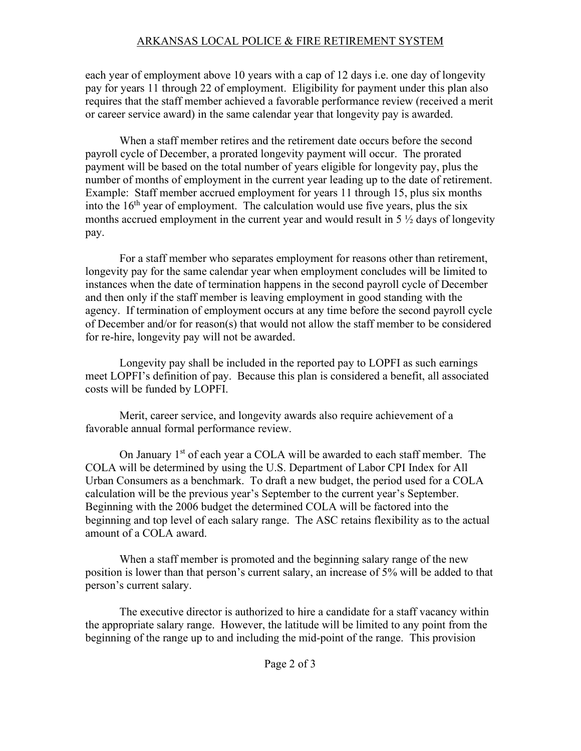each year of employment above 10 years with a cap of 12 days i.e. one day of longevity pay for years 11 through 22 of employment. Eligibility for payment under this plan also requires that the staff member achieved a favorable performance review (received a merit or career service award) in the same calendar year that longevity pay is awarded.

When a staff member retires and the retirement date occurs before the second payroll cycle of December, a prorated longevity payment will occur. The prorated payment will be based on the total number of years eligible for longevity pay, plus the number of months of employment in the current year leading up to the date of retirement. Example: Staff member accrued employment for years 11 through 15, plus six months into the  $16<sup>th</sup>$  year of employment. The calculation would use five years, plus the six months accrued employment in the current year and would result in 5 ½ days of longevity pay.

For a staff member who separates employment for reasons other than retirement, longevity pay for the same calendar year when employment concludes will be limited to instances when the date of termination happens in the second payroll cycle of December and then only if the staff member is leaving employment in good standing with the agency. If termination of employment occurs at any time before the second payroll cycle of December and/or for reason(s) that would not allow the staff member to be considered for re-hire, longevity pay will not be awarded.

Longevity pay shall be included in the reported pay to LOPFI as such earnings meet LOPFI's definition of pay. Because this plan is considered a benefit, all associated costs will be funded by LOPFI.

Merit, career service, and longevity awards also require achievement of a favorable annual formal performance review.

On January 1<sup>st</sup> of each year a COLA will be awarded to each staff member. The COLA will be determined by using the U.S. Department of Labor CPI Index for All Urban Consumers as a benchmark. To draft a new budget, the period used for a COLA calculation will be the previous year's September to the current year's September. Beginning with the 2006 budget the determined COLA will be factored into the beginning and top level of each salary range. The ASC retains flexibility as to the actual amount of a COLA award.

When a staff member is promoted and the beginning salary range of the new position is lower than that person's current salary, an increase of 5% will be added to that person's current salary.

The executive director is authorized to hire a candidate for a staff vacancy within the appropriate salary range. However, the latitude will be limited to any point from the beginning of the range up to and including the mid-point of the range. This provision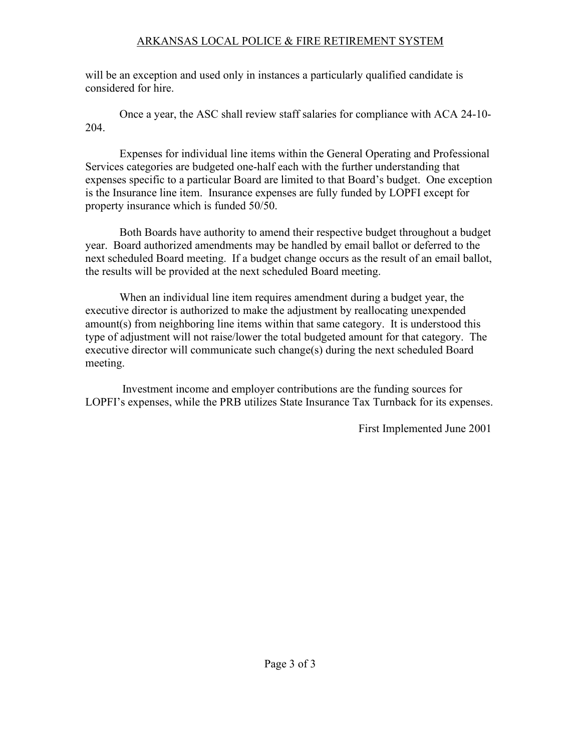will be an exception and used only in instances a particularly qualified candidate is considered for hire.

Once a year, the ASC shall review staff salaries for compliance with ACA 24-10- 204.

Expenses for individual line items within the General Operating and Professional Services categories are budgeted one-half each with the further understanding that expenses specific to a particular Board are limited to that Board's budget. One exception is the Insurance line item. Insurance expenses are fully funded by LOPFI except for property insurance which is funded 50/50.

Both Boards have authority to amend their respective budget throughout a budget year. Board authorized amendments may be handled by email ballot or deferred to the next scheduled Board meeting. If a budget change occurs as the result of an email ballot, the results will be provided at the next scheduled Board meeting.

When an individual line item requires amendment during a budget year, the executive director is authorized to make the adjustment by reallocating unexpended amount(s) from neighboring line items within that same category. It is understood this type of adjustment will not raise/lower the total budgeted amount for that category. The executive director will communicate such change(s) during the next scheduled Board meeting.

 Investment income and employer contributions are the funding sources for LOPFI's expenses, while the PRB utilizes State Insurance Tax Turnback for its expenses.

First Implemented June 2001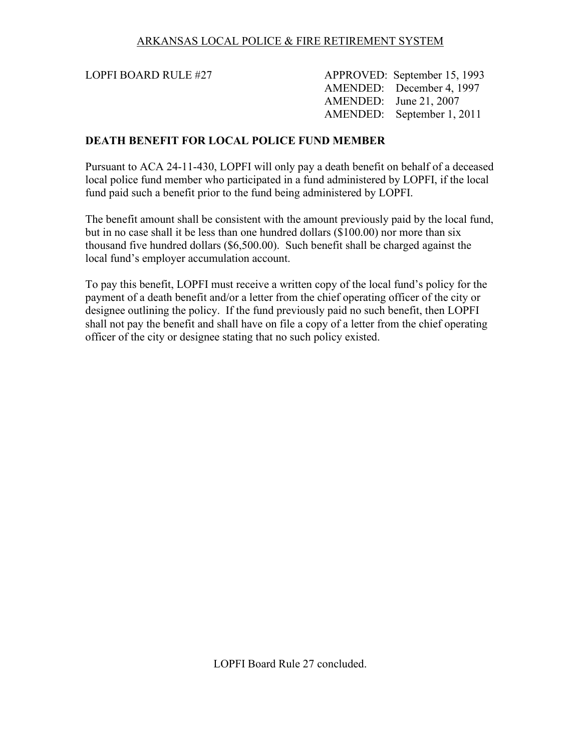LOPFI BOARD RULE #27 APPROVED: September 15, 1993 AMENDED: December 4, 1997 AMENDED: June 21, 2007 AMENDED: September 1, 2011

#### **DEATH BENEFIT FOR LOCAL POLICE FUND MEMBER**

Pursuant to ACA 24-11-430, LOPFI will only pay a death benefit on behalf of a deceased local police fund member who participated in a fund administered by LOPFI, if the local fund paid such a benefit prior to the fund being administered by LOPFI.

The benefit amount shall be consistent with the amount previously paid by the local fund, but in no case shall it be less than one hundred dollars (\$100.00) nor more than six thousand five hundred dollars (\$6,500.00). Such benefit shall be charged against the local fund's employer accumulation account.

To pay this benefit, LOPFI must receive a written copy of the local fund's policy for the payment of a death benefit and/or a letter from the chief operating officer of the city or designee outlining the policy. If the fund previously paid no such benefit, then LOPFI shall not pay the benefit and shall have on file a copy of a letter from the chief operating officer of the city or designee stating that no such policy existed.

LOPFI Board Rule 27 concluded.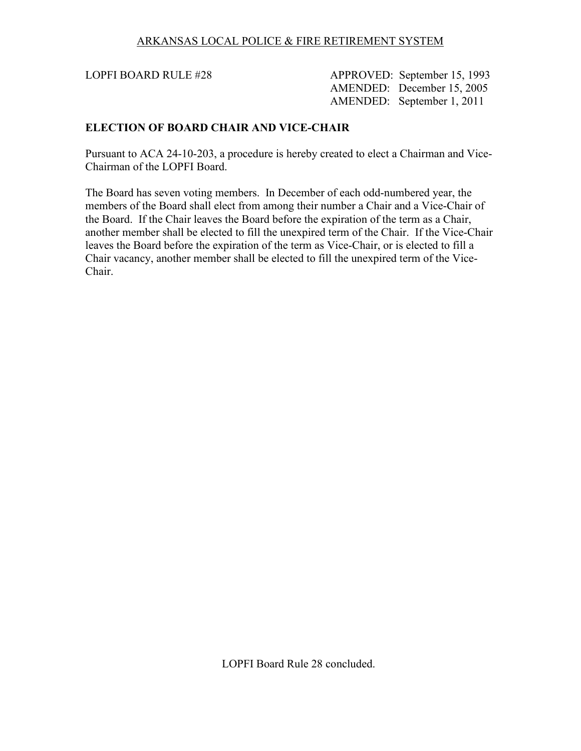LOPFI BOARD RULE #28 APPROVED: September 15, 1993 AMENDED: December 15, 2005 AMENDED: September 1, 2011

#### **ELECTION OF BOARD CHAIR AND VICE-CHAIR**

Pursuant to ACA 24-10-203, a procedure is hereby created to elect a Chairman and Vice-Chairman of the LOPFI Board.

The Board has seven voting members. In December of each odd-numbered year, the members of the Board shall elect from among their number a Chair and a Vice-Chair of the Board. If the Chair leaves the Board before the expiration of the term as a Chair, another member shall be elected to fill the unexpired term of the Chair. If the Vice-Chair leaves the Board before the expiration of the term as Vice-Chair, or is elected to fill a Chair vacancy, another member shall be elected to fill the unexpired term of the Vice-Chair.

LOPFI Board Rule 28 concluded.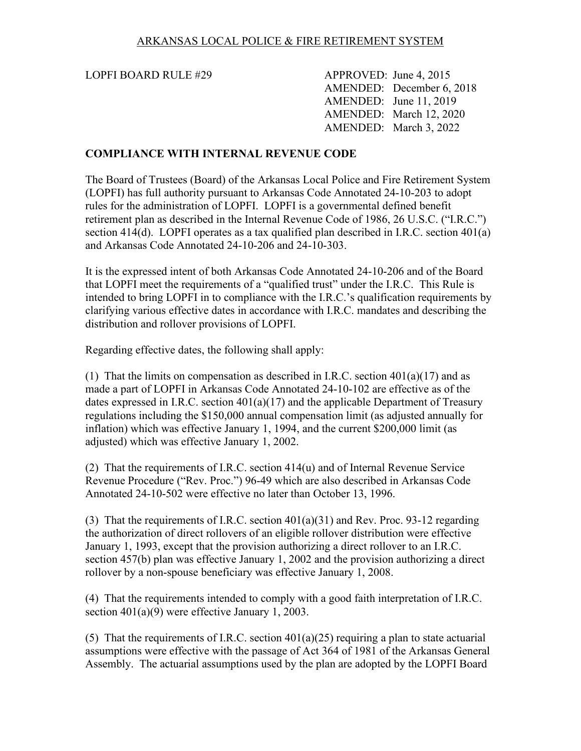LOPFI BOARD RULE #29 APPROVED: June 4, 2015

 AMENDED: December 6, 2018 AMENDED: June 11, 2019 AMENDED: March 12, 2020 AMENDED: March 3, 2022

#### **COMPLIANCE WITH INTERNAL REVENUE CODE**

The Board of Trustees (Board) of the Arkansas Local Police and Fire Retirement System (LOPFI) has full authority pursuant to Arkansas Code Annotated 24-10-203 to adopt rules for the administration of LOPFI. LOPFI is a governmental defined benefit retirement plan as described in the Internal Revenue Code of 1986, 26 U.S.C. ("I.R.C.") section 414(d). LOPFI operates as a tax qualified plan described in I.R.C. section 401(a) and Arkansas Code Annotated 24-10-206 and 24-10-303.

It is the expressed intent of both Arkansas Code Annotated 24-10-206 and of the Board that LOPFI meet the requirements of a "qualified trust" under the I.R.C. This Rule is intended to bring LOPFI in to compliance with the I.R.C.'s qualification requirements by clarifying various effective dates in accordance with I.R.C. mandates and describing the distribution and rollover provisions of LOPFI.

Regarding effective dates, the following shall apply:

(1) That the limits on compensation as described in I.R.C. section  $401(a)(17)$  and as made a part of LOPFI in Arkansas Code Annotated 24-10-102 are effective as of the dates expressed in I.R.C. section 401(a)(17) and the applicable Department of Treasury regulations including the \$150,000 annual compensation limit (as adjusted annually for inflation) which was effective January 1, 1994, and the current \$200,000 limit (as adjusted) which was effective January 1, 2002.

(2) That the requirements of I.R.C. section 414(u) and of Internal Revenue Service Revenue Procedure ("Rev. Proc.") 96-49 which are also described in Arkansas Code Annotated 24-10-502 were effective no later than October 13, 1996.

(3) That the requirements of I.R.C. section 401(a)(31) and Rev. Proc. 93-12 regarding the authorization of direct rollovers of an eligible rollover distribution were effective January 1, 1993, except that the provision authorizing a direct rollover to an I.R.C. section 457(b) plan was effective January 1, 2002 and the provision authorizing a direct rollover by a non-spouse beneficiary was effective January 1, 2008.

(4) That the requirements intended to comply with a good faith interpretation of I.R.C. section 401(a)(9) were effective January 1, 2003.

(5) That the requirements of I.R.C. section 401(a)(25) requiring a plan to state actuarial assumptions were effective with the passage of Act 364 of 1981 of the Arkansas General Assembly. The actuarial assumptions used by the plan are adopted by the LOPFI Board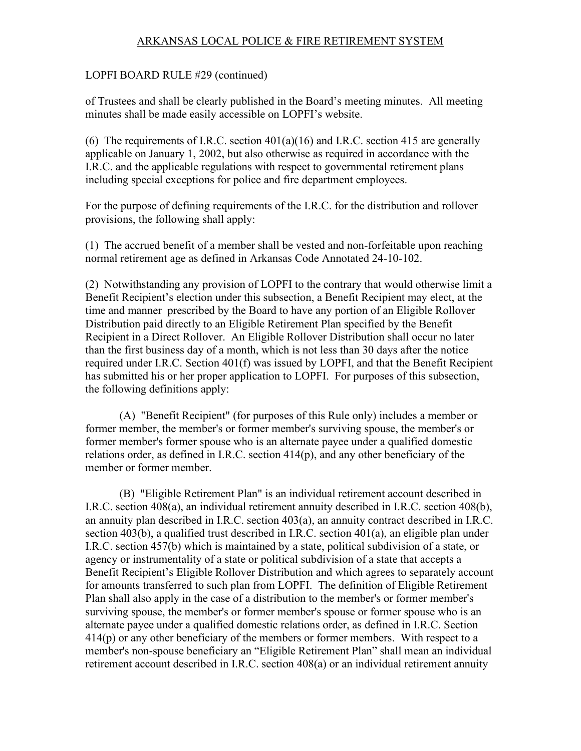#### LOPFI BOARD RULE #29 (continued)

of Trustees and shall be clearly published in the Board's meeting minutes. All meeting minutes shall be made easily accessible on LOPFI's website.

(6) The requirements of I.R.C. section  $401(a)(16)$  and I.R.C. section 415 are generally applicable on January 1, 2002, but also otherwise as required in accordance with the I.R.C. and the applicable regulations with respect to governmental retirement plans including special exceptions for police and fire department employees.

For the purpose of defining requirements of the I.R.C. for the distribution and rollover provisions, the following shall apply:

(1) The accrued benefit of a member shall be vested and non-forfeitable upon reaching normal retirement age as defined in Arkansas Code Annotated 24-10-102.

(2) Notwithstanding any provision of LOPFI to the contrary that would otherwise limit a Benefit Recipient's election under this subsection, a Benefit Recipient may elect, at the time and manner prescribed by the Board to have any portion of an Eligible Rollover Distribution paid directly to an Eligible Retirement Plan specified by the Benefit Recipient in a Direct Rollover. An Eligible Rollover Distribution shall occur no later than the first business day of a month, which is not less than 30 days after the notice required under I.R.C. Section 401(f) was issued by LOPFI, and that the Benefit Recipient has submitted his or her proper application to LOPFI. For purposes of this subsection, the following definitions apply:

(A) "Benefit Recipient" (for purposes of this Rule only) includes a member or former member, the member's or former member's surviving spouse, the member's or former member's former spouse who is an alternate payee under a qualified domestic relations order, as defined in I.R.C. section 414(p), and any other beneficiary of the member or former member.

(B) "Eligible Retirement Plan" is an individual retirement account described in I.R.C. section 408(a), an individual retirement annuity described in I.R.C. section 408(b), an annuity plan described in I.R.C. section 403(a), an annuity contract described in I.R.C. section 403(b), a qualified trust described in I.R.C. section 401(a), an eligible plan under I.R.C. section 457(b) which is maintained by a state, political subdivision of a state, or agency or instrumentality of a state or political subdivision of a state that accepts a Benefit Recipient's Eligible Rollover Distribution and which agrees to separately account for amounts transferred to such plan from LOPFI. The definition of Eligible Retirement Plan shall also apply in the case of a distribution to the member's or former member's surviving spouse, the member's or former member's spouse or former spouse who is an alternate payee under a qualified domestic relations order, as defined in I.R.C. Section  $414(p)$  or any other beneficiary of the members or former members. With respect to a member's non-spouse beneficiary an "Eligible Retirement Plan" shall mean an individual retirement account described in I.R.C. section 408(a) or an individual retirement annuity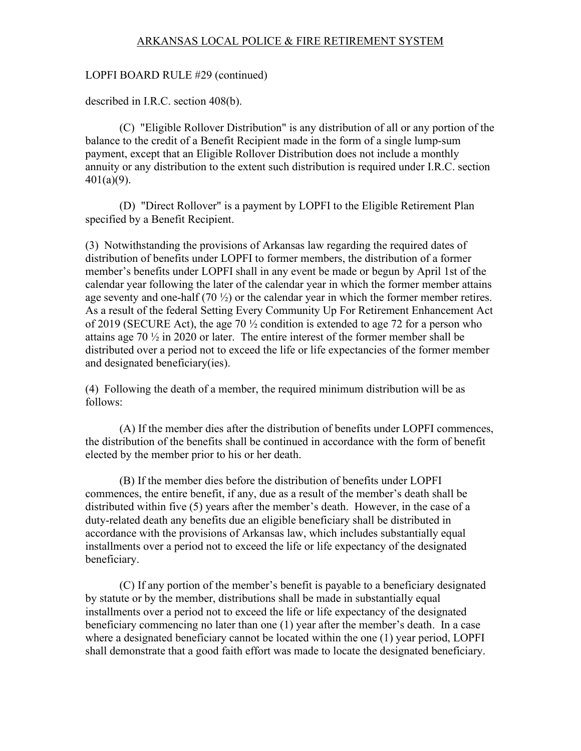#### LOPFI BOARD RULE #29 (continued)

described in I.R.C. section 408(b).

(C) "Eligible Rollover Distribution" is any distribution of all or any portion of the balance to the credit of a Benefit Recipient made in the form of a single lump-sum payment, except that an Eligible Rollover Distribution does not include a monthly annuity or any distribution to the extent such distribution is required under I.R.C. section 401(a)(9).

(D) "Direct Rollover" is a payment by LOPFI to the Eligible Retirement Plan specified by a Benefit Recipient.

(3) Notwithstanding the provisions of Arkansas law regarding the required dates of distribution of benefits under LOPFI to former members, the distribution of a former member's benefits under LOPFI shall in any event be made or begun by April 1st of the calendar year following the later of the calendar year in which the former member attains age seventy and one-half  $(70 \frac{1}{2})$  or the calendar year in which the former member retires. As a result of the federal Setting Every Community Up For Retirement Enhancement Act of 2019 (SECURE Act), the age 70 ½ condition is extended to age 72 for a person who attains age 70 ½ in 2020 or later. The entire interest of the former member shall be distributed over a period not to exceed the life or life expectancies of the former member and designated beneficiary(ies).

(4) Following the death of a member, the required minimum distribution will be as follows:

(A) If the member dies after the distribution of benefits under LOPFI commences, the distribution of the benefits shall be continued in accordance with the form of benefit elected by the member prior to his or her death.

(B) If the member dies before the distribution of benefits under LOPFI commences, the entire benefit, if any, due as a result of the member's death shall be distributed within five (5) years after the member's death. However, in the case of a duty-related death any benefits due an eligible beneficiary shall be distributed in accordance with the provisions of Arkansas law, which includes substantially equal installments over a period not to exceed the life or life expectancy of the designated beneficiary.

(C) If any portion of the member's benefit is payable to a beneficiary designated by statute or by the member, distributions shall be made in substantially equal installments over a period not to exceed the life or life expectancy of the designated beneficiary commencing no later than one (1) year after the member's death. In a case where a designated beneficiary cannot be located within the one (1) year period, LOPFI shall demonstrate that a good faith effort was made to locate the designated beneficiary.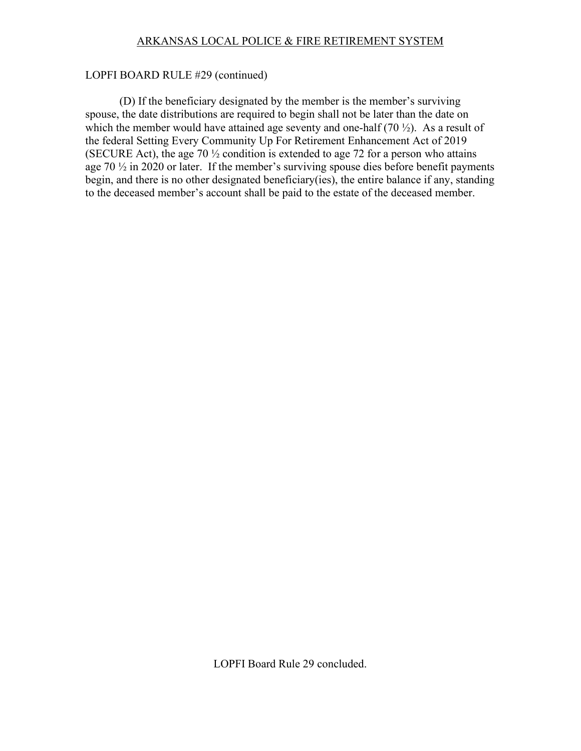#### LOPFI BOARD RULE #29 (continued)

(D) If the beneficiary designated by the member is the member's surviving spouse, the date distributions are required to begin shall not be later than the date on which the member would have attained age seventy and one-half  $(70 \frac{1}{2})$ . As a result of the federal Setting Every Community Up For Retirement Enhancement Act of 2019 (SECURE Act), the age 70  $\frac{1}{2}$  condition is extended to age 72 for a person who attains age  $70\frac{1}{2}$  in 2020 or later. If the member's surviving spouse dies before benefit payments begin, and there is no other designated beneficiary(ies), the entire balance if any, standing to the deceased member's account shall be paid to the estate of the deceased member.

LOPFI Board Rule 29 concluded.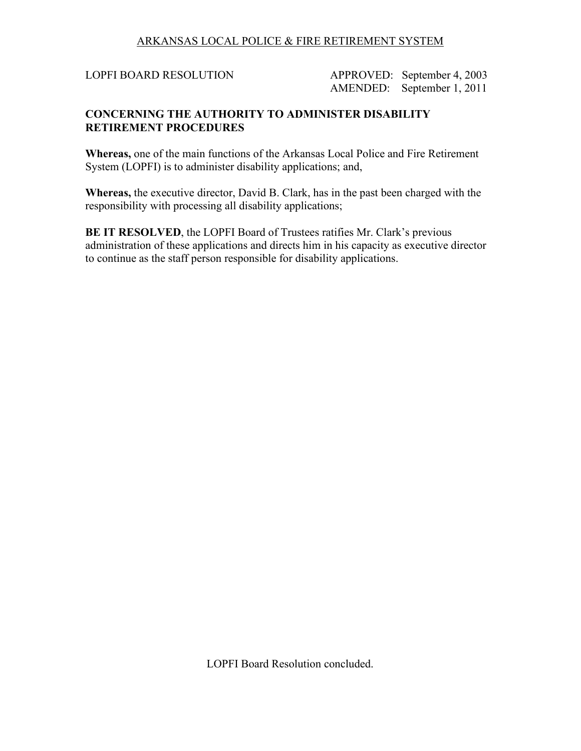LOPFI BOARD RESOLUTION APPROVED: September 4, 2003 AMENDED: September 1, 2011

# **CONCERNING THE AUTHORITY TO ADMINISTER DISABILITY RETIREMENT PROCEDURES**

**Whereas,** one of the main functions of the Arkansas Local Police and Fire Retirement System (LOPFI) is to administer disability applications; and,

**Whereas,** the executive director, David B. Clark, has in the past been charged with the responsibility with processing all disability applications;

**BE IT RESOLVED**, the LOPFI Board of Trustees ratifies Mr. Clark's previous administration of these applications and directs him in his capacity as executive director to continue as the staff person responsible for disability applications.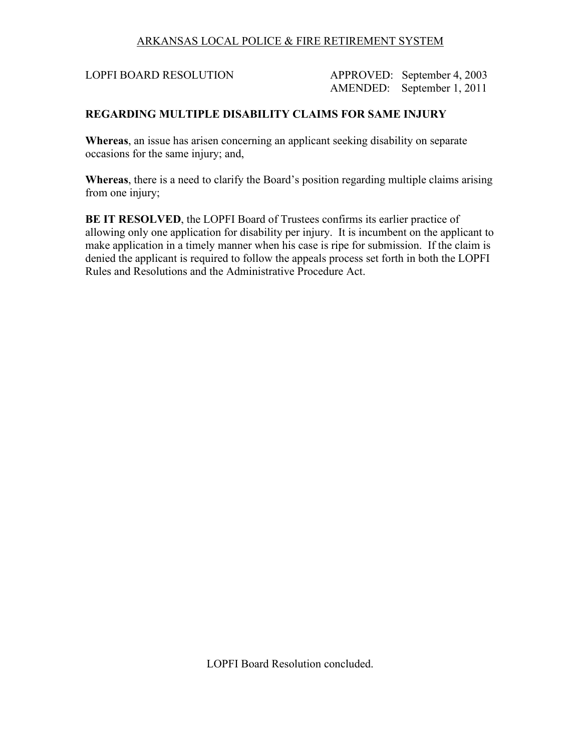LOPFI BOARD RESOLUTION APPROVED: September 4, 2003 AMENDED: September 1, 2011

# **REGARDING MULTIPLE DISABILITY CLAIMS FOR SAME INJURY**

**Whereas**, an issue has arisen concerning an applicant seeking disability on separate occasions for the same injury; and,

**Whereas**, there is a need to clarify the Board's position regarding multiple claims arising from one injury;

**BE IT RESOLVED**, the LOPFI Board of Trustees confirms its earlier practice of allowing only one application for disability per injury. It is incumbent on the applicant to make application in a timely manner when his case is ripe for submission. If the claim is denied the applicant is required to follow the appeals process set forth in both the LOPFI Rules and Resolutions and the Administrative Procedure Act.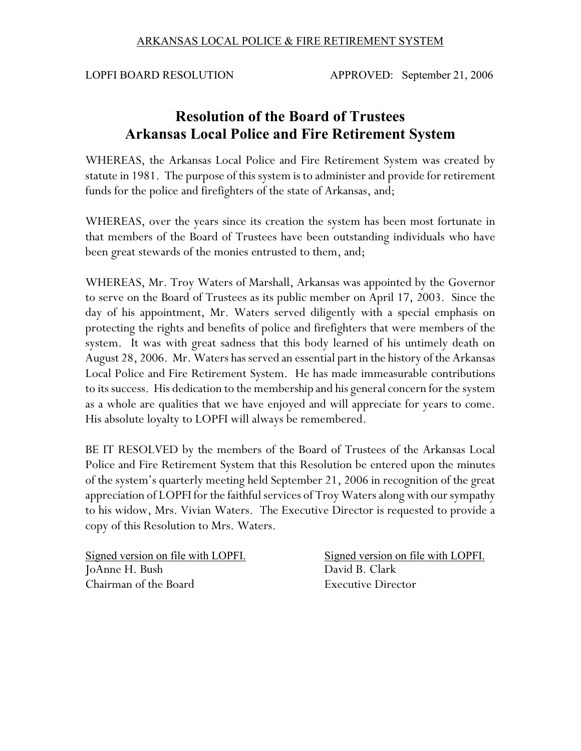LOPFI BOARD RESOLUTION APPROVED: September 21, 2006

# **Resolution of the Board of Trustees Arkansas Local Police and Fire Retirement System**

WHEREAS, the Arkansas Local Police and Fire Retirement System was created by statute in 1981. The purpose of this system is to administer and provide for retirement funds for the police and firefighters of the state of Arkansas, and;

WHEREAS, over the years since its creation the system has been most fortunate in that members of the Board of Trustees have been outstanding individuals who have been great stewards of the monies entrusted to them, and;

WHEREAS, Mr. Troy Waters of Marshall, Arkansas was appointed by the Governor to serve on the Board of Trustees as its public member on April 17, 2003. Since the day of his appointment, Mr. Waters served diligently with a special emphasis on protecting the rights and benefits of police and firefighters that were members of the system. It was with great sadness that this body learned of his untimely death on August 28, 2006. Mr. Waters has served an essential part in the history of the Arkansas Local Police and Fire Retirement System. He has made immeasurable contributions to its success. His dedication to the membership and his general concern for the system as a whole are qualities that we have enjoyed and will appreciate for years to come. His absolute loyalty to LOPFI will always be remembered.

BE IT RESOLVED by the members of the Board of Trustees of the Arkansas Local Police and Fire Retirement System that this Resolution be entered upon the minutes of the system's quarterly meeting held September 21, 2006 in recognition of the great appreciation of LOPFI for the faithful services of Troy Waters along with our sympathy to his widow, Mrs. Vivian Waters. The Executive Director is requested to provide a copy of this Resolution to Mrs. Waters.

JoAnne H. Bush Chairman of the Board Executive Director

Signed version on file with LOPFI.<br>
Signed version on file with LOPFI.<br>
David B. Clark<br>
David B. Clark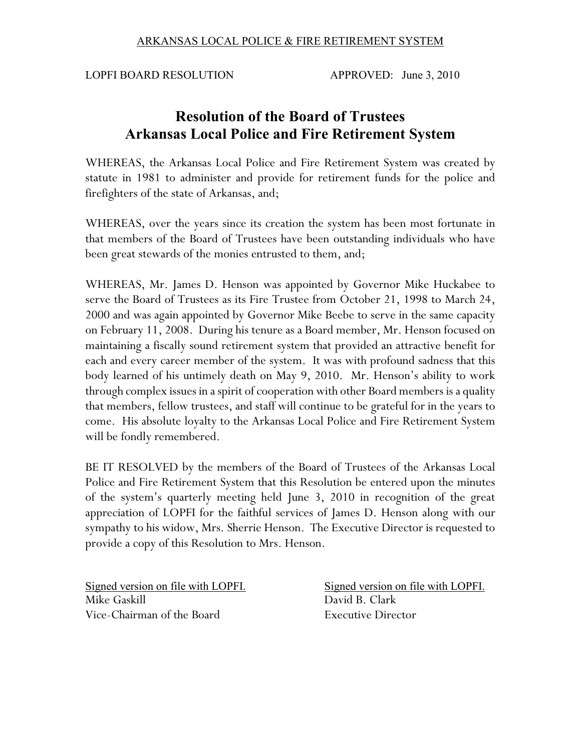LOPFI BOARD RESOLUTION APPROVED: June 3, 2010

# **Resolution of the Board of Trustees Arkansas Local Police and Fire Retirement System**

WHEREAS, the Arkansas Local Police and Fire Retirement System was created by statute in 1981 to administer and provide for retirement funds for the police and firefighters of the state of Arkansas, and;

WHEREAS, over the years since its creation the system has been most fortunate in that members of the Board of Trustees have been outstanding individuals who have been great stewards of the monies entrusted to them, and;

WHEREAS, Mr. James D. Henson was appointed by Governor Mike Huckabee to serve the Board of Trustees as its Fire Trustee from October 21, 1998 to March 24, 2000 and was again appointed by Governor Mike Beebe to serve in the same capacity on February 11, 2008. During his tenure as a Board member, Mr. Henson focused on maintaining a fiscally sound retirement system that provided an attractive benefit for each and every career member of the system. It was with profound sadness that this body learned of his untimely death on May 9, 2010. Mr. Henson's ability to work through complex issues in a spirit of cooperation with other Board members is a quality that members, fellow trustees, and staff will continue to be grateful for in the years to come. His absolute loyalty to the Arkansas Local Police and Fire Retirement System will be fondly remembered.

BE IT RESOLVED by the members of the Board of Trustees of the Arkansas Local Police and Fire Retirement System that this Resolution be entered upon the minutes of the system's quarterly meeting held June 3, 2010 in recognition of the great appreciation of LOPFI for the faithful services of James D. Henson along with our sympathy to his widow, Mrs. Sherrie Henson. The Executive Director is requested to provide a copy of this Resolution to Mrs. Henson.

Mike Gaskill **David B. Clark** Vice-Chairman of the Board Executive Director

Signed version on file with LOPFI. Signed version on file with LOPFI.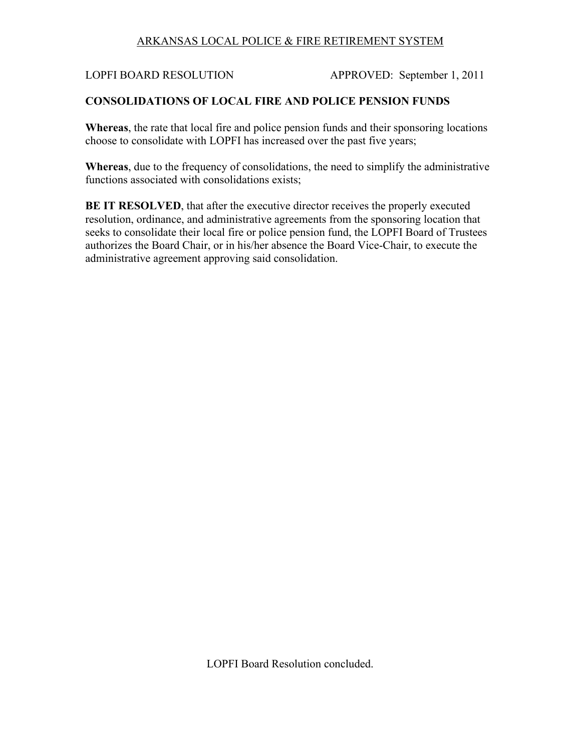LOPFI BOARD RESOLUTION APPROVED: September 1, 2011

## **CONSOLIDATIONS OF LOCAL FIRE AND POLICE PENSION FUNDS**

**Whereas**, the rate that local fire and police pension funds and their sponsoring locations choose to consolidate with LOPFI has increased over the past five years;

**Whereas**, due to the frequency of consolidations, the need to simplify the administrative functions associated with consolidations exists;

**BE IT RESOLVED**, that after the executive director receives the properly executed resolution, ordinance, and administrative agreements from the sponsoring location that seeks to consolidate their local fire or police pension fund, the LOPFI Board of Trustees authorizes the Board Chair, or in his/her absence the Board Vice-Chair, to execute the administrative agreement approving said consolidation.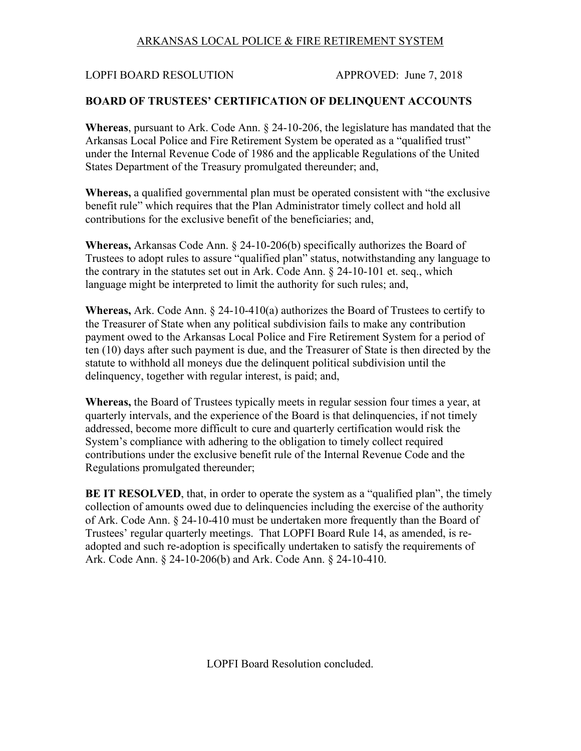LOPFI BOARD RESOLUTION APPROVED: June 7, 2018

# **BOARD OF TRUSTEES' CERTIFICATION OF DELINQUENT ACCOUNTS**

**Whereas**, pursuant to Ark. Code Ann. § 24-10-206, the legislature has mandated that the Arkansas Local Police and Fire Retirement System be operated as a "qualified trust" under the Internal Revenue Code of 1986 and the applicable Regulations of the United States Department of the Treasury promulgated thereunder; and,

**Whereas,** a qualified governmental plan must be operated consistent with "the exclusive benefit rule" which requires that the Plan Administrator timely collect and hold all contributions for the exclusive benefit of the beneficiaries; and,

**Whereas,** Arkansas Code Ann. § 24-10-206(b) specifically authorizes the Board of Trustees to adopt rules to assure "qualified plan" status, notwithstanding any language to the contrary in the statutes set out in Ark. Code Ann. § 24-10-101 et. seq., which language might be interpreted to limit the authority for such rules; and,

**Whereas,** Ark. Code Ann. § 24-10-410(a) authorizes the Board of Trustees to certify to the Treasurer of State when any political subdivision fails to make any contribution payment owed to the Arkansas Local Police and Fire Retirement System for a period of ten (10) days after such payment is due, and the Treasurer of State is then directed by the statute to withhold all moneys due the delinquent political subdivision until the delinquency, together with regular interest, is paid; and,

**Whereas,** the Board of Trustees typically meets in regular session four times a year, at quarterly intervals, and the experience of the Board is that delinquencies, if not timely addressed, become more difficult to cure and quarterly certification would risk the System's compliance with adhering to the obligation to timely collect required contributions under the exclusive benefit rule of the Internal Revenue Code and the Regulations promulgated thereunder;

**BE IT RESOLVED**, that, in order to operate the system as a "qualified plan", the timely collection of amounts owed due to delinquencies including the exercise of the authority of Ark. Code Ann. § 24-10-410 must be undertaken more frequently than the Board of Trustees' regular quarterly meetings. That LOPFI Board Rule 14, as amended, is readopted and such re-adoption is specifically undertaken to satisfy the requirements of Ark. Code Ann. § 24-10-206(b) and Ark. Code Ann. § 24-10-410.